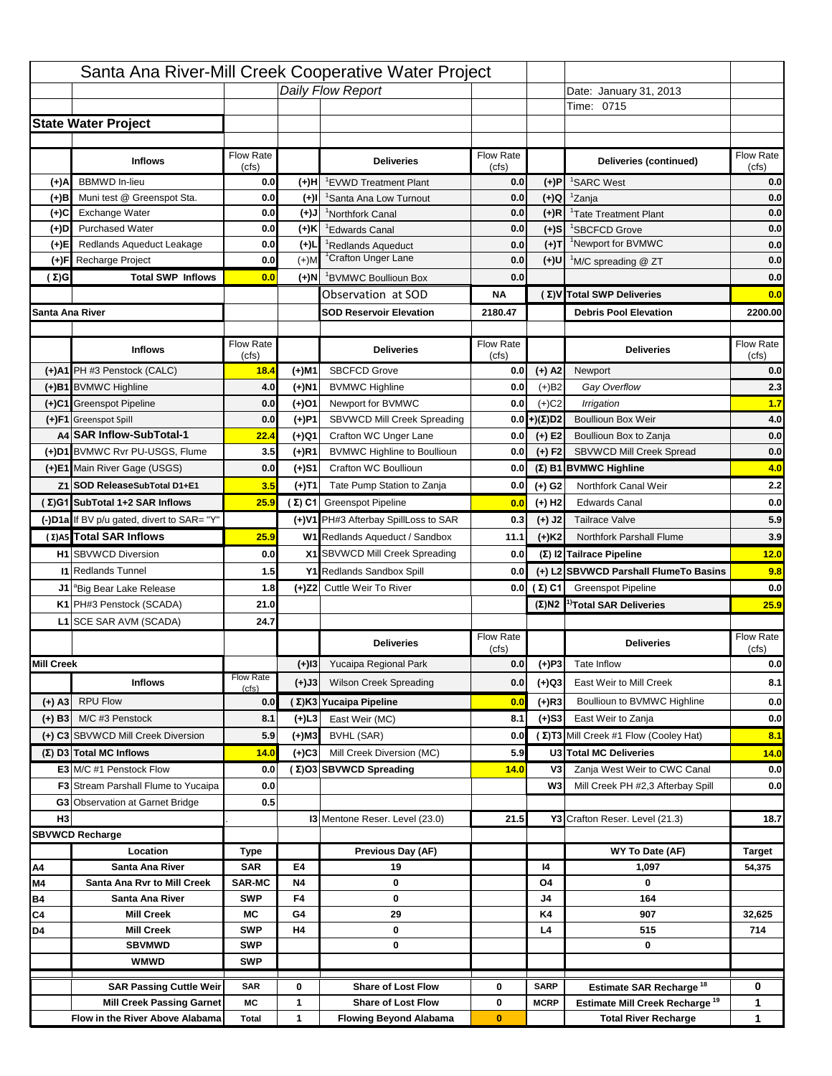|                   |                                                                    |                    |           | Santa Ana River-Mill Creek Cooperative Water Project   |                           |                            |                                                                                   |                          |
|-------------------|--------------------------------------------------------------------|--------------------|-----------|--------------------------------------------------------|---------------------------|----------------------------|-----------------------------------------------------------------------------------|--------------------------|
|                   |                                                                    |                    |           | Daily Flow Report                                      |                           |                            | Date: January 31, 2013                                                            |                          |
|                   |                                                                    |                    |           |                                                        |                           |                            | Time: 0715                                                                        |                          |
|                   | <b>State Water Project</b>                                         |                    |           |                                                        |                           |                            |                                                                                   |                          |
|                   |                                                                    |                    |           |                                                        |                           |                            |                                                                                   |                          |
|                   | <b>Inflows</b>                                                     | Flow Rate<br>(cfs) |           | <b>Deliveries</b>                                      | <b>Flow Rate</b><br>(cfs) |                            | Deliveries (continued)                                                            | Flow Rate<br>(cfs)       |
| (+)A              | <b>BBMWD</b> In-lieu                                               | 0.0                | (+)H      | 'EVWD Treatment Plant                                  | 0.0                       | (+)P                       | <sup>1</sup> SARC West                                                            | 0.0                      |
| (+)B              | Muni test @ Greenspot Sta.                                         | 0.0                | $(+)$ l   | 'Santa Ana Low Turnout                                 | 0.0                       | $(+)Q$                     | <sup>1</sup> Zanja                                                                | 0.0                      |
| (+)C              | Exchange Water                                                     | 0.0                | $(L(+)$   | <sup>1</sup> Northfork Canal                           | 0.0                       | $(+)R$                     | <sup>1</sup> Tate Treatment Plant                                                 | 0.0                      |
| (+)D              | <b>Purchased Water</b>                                             | 0.0                | (+)K      | <sup>1</sup> Edwards Canal                             | 0.0                       | $(+)$ S                    | <sup>1</sup> SBCFCD Grove                                                         | 0.0                      |
| (+)E              | Redlands Aqueduct Leakage                                          | 0.0                | $(+)1$    | <sup>1</sup> Redlands Aqueduct                         | 0.0                       | $(+)T$                     | <sup>1</sup> Newport for BVMWC                                                    | 0.0                      |
| (+)F              | Recharge Project                                                   | 0.0                | $(+)$ M   | <sup>1</sup> Crafton Unger Lane                        | 0.0                       | $(+)$ U                    | <sup>1</sup> M/C spreading @ ZT                                                   | 0.0                      |
| (Σ)G              | <b>Total SWP Inflows</b>                                           | 0.0                | (+)N      | <sup>1</sup> BVMWC Boullioun Box                       | 0.0                       |                            |                                                                                   | 0.0                      |
|                   |                                                                    |                    |           | Observation at SOD                                     | ΝA                        |                            | (Σ) V Total SWP Deliveries                                                        | 0.0                      |
| Santa Ana River   |                                                                    |                    |           | <b>SOD Reservoir Elevation</b>                         | 2180.47                   |                            | <b>Debris Pool Elevation</b>                                                      | 2200.00                  |
|                   |                                                                    |                    |           |                                                        |                           |                            |                                                                                   |                          |
|                   | <b>Inflows</b>                                                     | Flow Rate          |           | <b>Deliveries</b>                                      | Flow Rate                 |                            | <b>Deliveries</b>                                                                 | Flow Rate                |
|                   | (+)A1 PH #3 Penstock (CALC)                                        | (cfs)<br>18.4      | (+)M1     | <b>SBCFCD Grove</b>                                    | (cfs)<br>0.0              | $(+)$ A2                   | Newport                                                                           | (cfs)<br>0.0             |
|                   | (+)B1 BVMWC Highline                                               | 4.0                | (+)N1     | <b>BVMWC Highline</b>                                  | 0.0                       | $(+)B2$                    | Gay Overflow                                                                      | 2.3                      |
|                   | (+)C1 Greenspot Pipeline                                           | 0.0                | (+)01     | Newport for BVMWC                                      | 0.0                       | $(+)$ C <sub>2</sub>       | Irrigation                                                                        | 1.7                      |
|                   | (+)F1 Greenspot Spill                                              | 0.0                | (+)P1     | SBVWCD Mill Creek Spreading                            | 0.0                       | (+)(Σ)D2                   | <b>Boullioun Box Weir</b>                                                         | 4.0                      |
|                   | A4 SAR Inflow-SubTotal-1                                           | 22.4               | (+)Q1     | Crafton WC Unger Lane                                  | 0.0                       | $(+) E2$                   | Boullioun Box to Zanja                                                            | 0.0                      |
|                   | (+)D1 BVMWC Rvr PU-USGS, Flume                                     | 3.5                | $(+)$ R1  | <b>BVMWC Highline to Boullioun</b>                     | 0.0                       | $(+) F2$                   | SBVWCD Mill Creek Spread                                                          | 0.0                      |
|                   | (+)E1 Main River Gage (USGS)                                       | 0.0                | (+)S1     | Crafton WC Boullioun                                   | 0.0                       |                            | $(\Sigma)$ B1 BVMWC Highline                                                      | 4.0                      |
|                   | Z1 SOD ReleaseSubTotal D1+E1                                       | 3.5                |           | Tate Pump Station to Zanja                             | 0.0                       |                            | Northfork Canal Weir                                                              | 2.2                      |
|                   | (Σ)G1 SubTotal 1+2 SAR Inflows                                     | 25.9               | (+)T1     |                                                        |                           | (+) G2                     | <b>Edwards Canal</b>                                                              | 0.0                      |
|                   |                                                                    |                    |           | (Σ) C1 Greenspot Pipeline                              | 0.0                       | $(+)$ H <sub>2</sub>       |                                                                                   |                          |
|                   | (-)D1a If BV p/u gated, divert to SAR= "Y"                         |                    |           | (+)V1 PH#3 Afterbay SpillLoss to SAR                   | 0.3                       | $(+)$ J2                   | <b>Tailrace Valve</b>                                                             | 5.9                      |
|                   | (Σ) A5 Total SAR Inflows                                           | 25.9               |           | W1 Redlands Aqueduct / Sandbox                         | 11.1                      | $(+)$ K <sub>2</sub>       | <b>Northfork Parshall Flume</b>                                                   | 3.9                      |
|                   | <b>H1</b> SBVWCD Diversion                                         | 0.0                |           | X1 SBVWCD Mill Creek Spreading                         | 0.0                       |                            | (Σ) I2 Tailrace Pipeline                                                          | 12.0                     |
|                   | <b>11 Redlands Tunnel</b>                                          | 1.5                |           | Y1 Redlands Sandbox Spill                              | 0.0                       |                            | (+) L2 SBVWCD Parshall FlumeTo Basins                                             | 9.8                      |
|                   | J1 <sup>a</sup> Big Bear Lake Release                              | 1.8                |           | (+)Z2 Cuttle Weir To River                             |                           | 0.0 $(\Sigma)$ C1          | <b>Greenspot Pipeline</b>                                                         | 0.0                      |
|                   | K1 PH#3 Penstock (SCADA)                                           | 21.0               |           |                                                        |                           |                            | $(\Sigma)$ N2 <sup>1</sup> Total SAR Deliveries                                   | 25.9                     |
|                   | L1 SCE SAR AVM (SCADA)                                             | 24.7               |           |                                                        |                           |                            |                                                                                   |                          |
|                   |                                                                    |                    |           |                                                        |                           |                            |                                                                                   |                          |
|                   |                                                                    |                    |           | <b>Deliveries</b>                                      | <b>Flow Rate</b>          |                            | <b>Deliveries</b>                                                                 | Flow Rate                |
|                   |                                                                    |                    |           |                                                        | (cfs)                     |                            |                                                                                   | (cfs)                    |
| <b>Mill Creek</b> |                                                                    | <b>Flow Rate</b>   | $(+)$ 13  | Yucaipa Regional Park                                  | 0.0                       | $(+)P3$                    | Tate Inflow                                                                       |                          |
|                   | <b>Inflows</b>                                                     | (cfs)              | (+)J3     | <b>Wilson Creek Spreading</b>                          | 0.0                       | (+)Q3                      | East Weir to Mill Creek                                                           |                          |
| (+) A3            | <b>RPU Flow</b>                                                    | 0.0                |           | (Σ)K3 Yucaipa Pipeline                                 | 0.0                       | $(+)$ R3                   | Boullioun to BVMWC Highline                                                       |                          |
| $(+)$ B3          | M/C #3 Penstock                                                    | 8.1                | (+)L3     | East Weir (MC)                                         | 8.1                       | $(+)$ S3                   | East Weir to Zanja                                                                | 0.0<br>8.1<br>0.0<br>0.0 |
|                   | (+) C3 SBVWCD Mill Creek Diversion                                 | 5.9                | (+)M3     | BVHL (SAR)                                             | 0.0                       |                            | (Σ) T3 Mill Creek #1 Flow (Cooley Hat)                                            | 8.1                      |
|                   | (Σ) D3 Total MC Inflows                                            | 14.0               | $(+)C3$   | Mill Creek Diversion (MC)                              | 5.9                       |                            | U3 Total MC Deliveries                                                            | 14.0                     |
|                   | E3 M/C #1 Penstock Flow                                            | 0.0                |           | (Σ)O3 SBVWCD Spreading                                 | 14.0                      | V3                         | Zanja West Weir to CWC Canal                                                      | 0.0                      |
|                   | <b>F3</b> Stream Parshall Flume to Yucaipa                         | 0.0                |           |                                                        |                           | W <sub>3</sub>             | Mill Creek PH #2,3 Afterbay Spill                                                 |                          |
|                   | G3 Observation at Garnet Bridge                                    | 0.5                |           |                                                        |                           |                            |                                                                                   | 0.0                      |
| H <sub>3</sub>    |                                                                    |                    |           | <b>13 Mentone Reser. Level (23.0)</b>                  | 21.5                      |                            | Y3 Crafton Reser. Level (21.3)                                                    | 18.7                     |
|                   | <b>SBVWCD Recharge</b>                                             |                    |           |                                                        |                           |                            |                                                                                   |                          |
|                   | Location                                                           | Type               |           | Previous Day (AF)                                      |                           |                            | WY To Date (AF)                                                                   | <b>Target</b>            |
| Α4                | Santa Ana River                                                    | <b>SAR</b>         | E4        | 19                                                     |                           | 14                         | 1,097                                                                             | 54,375                   |
| M4                | Santa Ana Rvr to Mill Creek                                        | <b>SAR-MC</b>      | <b>N4</b> | 0                                                      |                           | O4                         | 0                                                                                 |                          |
| Β4                | Santa Ana River<br><b>Mill Creek</b>                               | <b>SWP</b><br>МC   | F4<br>G4  | 0<br>29                                                |                           | J4<br>K4                   | 164<br>907                                                                        | 32,625                   |
| C4<br>D4          | <b>Mill Creek</b>                                                  | <b>SWP</b>         | H4        | 0                                                      |                           | L4                         | 515                                                                               | 714                      |
|                   | <b>SBVMWD</b>                                                      | <b>SWP</b>         |           | 0                                                      |                           |                            | 0                                                                                 |                          |
|                   | <b>WMWD</b>                                                        | <b>SWP</b>         |           |                                                        |                           |                            |                                                                                   |                          |
|                   |                                                                    |                    |           |                                                        |                           |                            |                                                                                   |                          |
|                   | <b>SAR Passing Cuttle Weir</b><br><b>Mill Creek Passing Garnet</b> | <b>SAR</b><br>МC   | 0<br>1    | <b>Share of Lost Flow</b><br><b>Share of Lost Flow</b> | 0<br>0                    | <b>SARP</b><br><b>MCRP</b> | Estimate SAR Recharge <sup>18</sup><br>Estimate Mill Creek Recharge <sup>19</sup> | 0<br>1                   |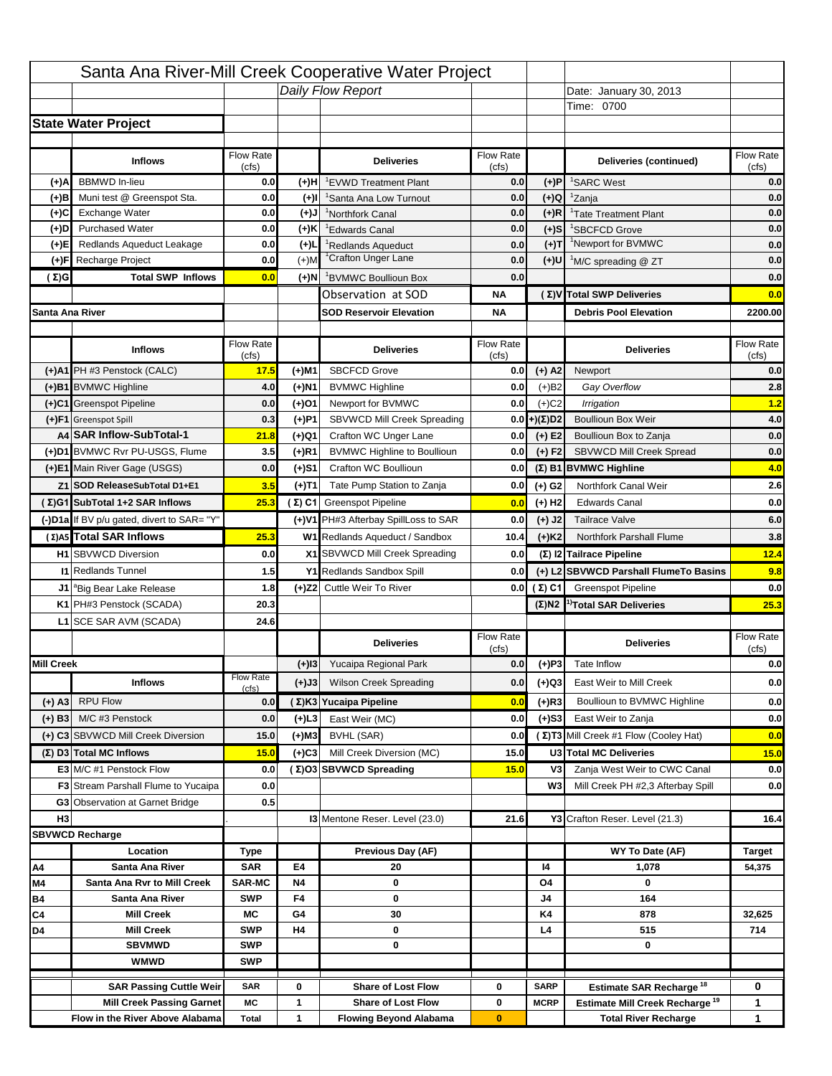|                   |                                            |                             |                 | Santa Ana River-Mill Creek Cooperative Water Project |                           |                      |                                                                                   |                                         |
|-------------------|--------------------------------------------|-----------------------------|-----------------|------------------------------------------------------|---------------------------|----------------------|-----------------------------------------------------------------------------------|-----------------------------------------|
|                   |                                            |                             |                 | Daily Flow Report                                    |                           |                      | Date: January 30, 2013                                                            |                                         |
|                   |                                            |                             |                 |                                                      |                           |                      | Time: 0700                                                                        |                                         |
|                   | <b>State Water Project</b>                 |                             |                 |                                                      |                           |                      |                                                                                   |                                         |
|                   |                                            |                             |                 |                                                      |                           |                      |                                                                                   |                                         |
|                   | <b>Inflows</b>                             | Flow Rate<br>(cfs)          |                 | <b>Deliveries</b>                                    | <b>Flow Rate</b><br>(cfs) |                      | Deliveries (continued)                                                            | Flow Rate<br>(cfs)                      |
| (+)A              | <b>BBMWD</b> In-lieu                       | 0.0                         | (+)H            | 'EVWD Treatment Plant                                | 0.0                       | (+)P                 | <sup>1</sup> SARC West                                                            | 0.0                                     |
| (+)B              | Muni test @ Greenspot Sta.                 | 0.0                         | $(+)$ l         | 'Santa Ana Low Turnout                               | 0.0                       | $(+)Q$               | <sup>1</sup> Zanja                                                                | 0.0                                     |
| (+)C              | Exchange Water                             | 0.0                         | $(L(+)$         | <sup>1</sup> Northfork Canal                         | 0.0                       | $(+)R$               | <sup>1</sup> Tate Treatment Plant                                                 | 0.0                                     |
| (+)D              | <b>Purchased Water</b>                     | 0.0                         | (+)K            | <sup>1</sup> Edwards Canal                           | 0.0                       | $(+)$ S              | <sup>1</sup> SBCFCD Grove                                                         | 0.0                                     |
| (+)E              | Redlands Aqueduct Leakage                  | 0.0                         | $(+)1$          | <sup>1</sup> Redlands Aqueduct                       | 0.0                       | $(+)T$               | <sup>1</sup> Newport for BVMWC                                                    | 0.0                                     |
| (+)F              | Recharge Project                           | 0.0                         | $(+)$ M         | <sup>1</sup> Crafton Unger Lane                      | 0.0                       | $(+)$ U              | <sup>1</sup> M/C spreading @ ZT                                                   | 0.0                                     |
| (Σ)G              | <b>Total SWP Inflows</b>                   | 0.0                         | (+)N            | <sup>1</sup> BVMWC Boullioun Box                     | 0.0                       |                      |                                                                                   | 0.0                                     |
|                   |                                            |                             |                 | Observation at SOD                                   | ΝA                        |                      | (Σ) V Total SWP Deliveries                                                        | 0.0                                     |
| Santa Ana River   |                                            |                             |                 | <b>SOD Reservoir Elevation</b>                       | ΝA                        |                      | <b>Debris Pool Elevation</b>                                                      | 2200.00                                 |
|                   |                                            |                             |                 |                                                      |                           |                      |                                                                                   |                                         |
|                   | <b>Inflows</b>                             | Flow Rate<br>(cfs)          |                 | <b>Deliveries</b>                                    | Flow Rate<br>(cfs)        |                      | <b>Deliveries</b>                                                                 | Flow Rate<br>(cfs)                      |
|                   | (+)A1 PH #3 Penstock (CALC)                | 17.5                        | (+)M1           | <b>SBCFCD Grove</b>                                  | 0.0                       | $(+)$ A2             | Newport                                                                           | 0.0                                     |
|                   | (+)B1 BVMWC Highline                       | 4.0                         | (+)N1           | <b>BVMWC Highline</b>                                | 0.0                       | $(+)B2$              | Gay Overflow                                                                      | 2.8                                     |
|                   | (+)C1 Greenspot Pipeline                   | 0.0                         | (+)01           | Newport for BVMWC                                    | 0.0                       | $(+)$ C <sub>2</sub> | Irrigation                                                                        | 1.2                                     |
|                   | (+)F1 Greenspot Spill                      | 0.3                         | (+)P1           | SBVWCD Mill Creek Spreading                          | 0.0                       | (+)(Σ)D2             | <b>Boullioun Box Weir</b>                                                         | 4.0                                     |
|                   | A4 SAR Inflow-SubTotal-1                   | 21.8                        | (+)Q1           | Crafton WC Unger Lane                                | 0.0                       | $(+) E2$             | Boullioun Box to Zanja                                                            | 0.0                                     |
|                   | (+)D1 BVMWC Rvr PU-USGS, Flume             | 3.5                         | $(+)$ R1        | <b>BVMWC Highline to Boullioun</b>                   | 0.0                       | $(+) F2$             | SBVWCD Mill Creek Spread                                                          | 0.0                                     |
|                   | (+)E1 Main River Gage (USGS)               | 0.0                         | (+)S1           | Crafton WC Boullioun                                 | 0.0                       |                      | $(\Sigma)$ B1 BVMWC Highline                                                      | 4.0                                     |
|                   | Z1 SOD ReleaseSubTotal D1+E1               | 3.5                         | (+)T1           | Tate Pump Station to Zanja                           | 0.0                       | (+) G2               | Northfork Canal Weir                                                              | 2.6                                     |
|                   | (Σ)G1 SubTotal 1+2 SAR Inflows             | 25.3                        |                 | (Σ) C1 Greenspot Pipeline                            | 0.0                       | $(+)$ H <sub>2</sub> | <b>Edwards Canal</b>                                                              | 0.0                                     |
|                   | (-)D1a If BV p/u gated, divert to SAR= "Y" |                             |                 | (+)V1 PH#3 Afterbay SpillLoss to SAR                 | 0.0                       | $(+)$ J2             | <b>Tailrace Valve</b>                                                             | 6.0                                     |
|                   | (Σ) A5 Total SAR Inflows                   | 25.3                        |                 | W1 Redlands Aqueduct / Sandbox                       |                           |                      | <b>Northfork Parshall Flume</b>                                                   |                                         |
|                   |                                            |                             |                 |                                                      | 10.4                      | $(+)$ K <sub>2</sub> |                                                                                   | 3.8                                     |
|                   |                                            |                             |                 |                                                      |                           |                      |                                                                                   |                                         |
|                   | <b>H1</b> SBVWCD Diversion                 | 0.0                         |                 | X1 SBVWCD Mill Creek Spreading                       | 0.0                       |                      | (Σ) I2 Tailrace Pipeline                                                          | 12.4                                    |
|                   | <b>11 Redlands Tunnel</b>                  | 1.5                         |                 | Y1 Redlands Sandbox Spill                            | 0.0                       |                      | (+) L2 SBVWCD Parshall FlumeTo Basins                                             |                                         |
|                   | J1 <sup>a</sup> Big Bear Lake Release      | 1.8                         |                 | (+)Z2 Cuttle Weir To River                           |                           | 0.0 $(\Sigma)$ C1    | <b>Greenspot Pipeline</b>                                                         |                                         |
|                   | K1 PH#3 Penstock (SCADA)                   | 20.3                        |                 |                                                      |                           |                      | $(\Sigma)$ N2 <sup>1</sup> Total SAR Deliveries                                   |                                         |
|                   | L1 SCE SAR AVM (SCADA)                     | 24.6                        |                 |                                                      |                           |                      |                                                                                   |                                         |
|                   |                                            |                             |                 | <b>Deliveries</b>                                    | <b>Flow Rate</b>          |                      | <b>Deliveries</b>                                                                 | Flow Rate                               |
| <b>Mill Creek</b> |                                            |                             | $(+)$ 13        | Yucaipa Regional Park                                | (cfs)<br>0.0              |                      | Tate Inflow                                                                       | (cfs)                                   |
|                   |                                            | <b>Flow Rate</b>            |                 |                                                      |                           | $(+)P3$              | East Weir to Mill Creek                                                           |                                         |
|                   | <b>Inflows</b>                             | (cfs)                       | (+)J3           | <b>Wilson Creek Spreading</b>                        | 0.0                       | (+)Q3                |                                                                                   |                                         |
| $(+)$ A3          | <b>RPU Flow</b>                            | 0.0                         |                 | (Σ)K3 Yucaipa Pipeline                               | 0.0                       | $(+)$ R3             | Boullioun to BVMWC Highline                                                       | 9.8<br>0.0<br>25.3<br>0.0<br>0.0<br>0.0 |
| $(+)$ B3          | M/C #3 Penstock                            | 0.0                         | $(+)$ L3        | East Weir (MC)                                       | 0.0                       | $(+)$ S3             | East Weir to Zanja                                                                | 0.0                                     |
|                   | (+) C3 SBVWCD Mill Creek Diversion         | 15.0                        | (+)M3           | BVHL (SAR)                                           | 0.0                       |                      | (Σ) T3 Mill Creek #1 Flow (Cooley Hat)                                            | 0.0                                     |
|                   | (Σ) D3 Total MC Inflows                    | 15.0                        | $(+)C3$         | Mill Creek Diversion (MC)                            | 15.0                      |                      | U3 Total MC Deliveries                                                            | 15.0                                    |
|                   | E3 M/C #1 Penstock Flow                    | 0.0                         |                 | (Σ)O3 SBVWCD Spreading                               | 15.0                      | V3                   | Zanja West Weir to CWC Canal                                                      | 0.0                                     |
|                   | <b>F3</b> Stream Parshall Flume to Yucaipa | 0.0                         |                 |                                                      |                           | W <sub>3</sub>       | Mill Creek PH #2,3 Afterbay Spill                                                 | 0.0                                     |
|                   | G3 Observation at Garnet Bridge            | 0.5                         |                 |                                                      |                           |                      |                                                                                   |                                         |
| H <sub>3</sub>    |                                            |                             |                 | 13 Mentone Reser. Level (23.0)                       | 21.6                      |                      | Y3 Crafton Reser. Level (21.3)                                                    | 16.4                                    |
|                   | <b>SBVWCD Recharge</b>                     |                             |                 |                                                      |                           |                      |                                                                                   |                                         |
|                   | Location                                   | Type                        |                 | Previous Day (AF)                                    |                           |                      | WY To Date (AF)                                                                   | Target                                  |
| Α4                | Santa Ana River                            | <b>SAR</b>                  | E4              | 20                                                   |                           | 14                   | 1,078<br>0                                                                        | 54,375                                  |
| M4                | Santa Ana Rvr to Mill Creek                | <b>SAR-MC</b><br><b>SWP</b> | <b>N4</b><br>F4 | 0<br>0                                               |                           | O4<br>J4             | 164                                                                               |                                         |
| Β4<br>C4          | Santa Ana River<br><b>Mill Creek</b>       | МC                          | G4              | 30                                                   |                           | K4                   | 878                                                                               | 32,625                                  |
| D4                | <b>Mill Creek</b>                          | <b>SWP</b>                  | H4              | 0                                                    |                           | L4                   | 515                                                                               | 714                                     |
|                   | <b>SBVMWD</b>                              | <b>SWP</b>                  |                 | 0                                                    |                           |                      | 0                                                                                 |                                         |
|                   | <b>WMWD</b>                                | <b>SWP</b>                  |                 |                                                      |                           |                      |                                                                                   |                                         |
|                   | <b>SAR Passing Cuttle Weir</b>             | <b>SAR</b>                  | 0               | <b>Share of Lost Flow</b>                            | 0                         | <b>SARP</b>          |                                                                                   | 0                                       |
|                   | <b>Mill Creek Passing Garnet</b>           | МC                          | 1               | <b>Share of Lost Flow</b>                            | 0                         | <b>MCRP</b>          | Estimate SAR Recharge <sup>18</sup><br>Estimate Mill Creek Recharge <sup>19</sup> | 1                                       |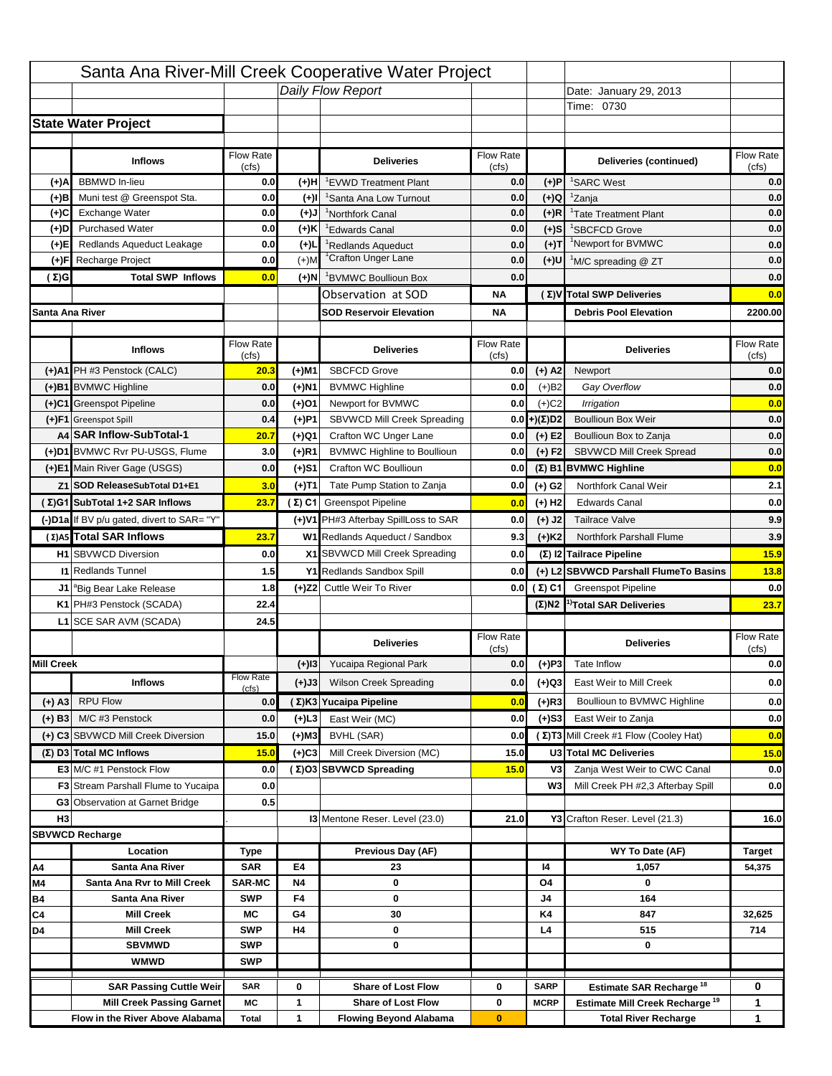|                   |                                                   |                  |                   | Santa Ana River-Mill Creek Cooperative Water Project        |                  |                      |                                                    |                                                         |
|-------------------|---------------------------------------------------|------------------|-------------------|-------------------------------------------------------------|------------------|----------------------|----------------------------------------------------|---------------------------------------------------------|
|                   |                                                   |                  |                   | Daily Flow Report                                           |                  |                      | Date: January 29, 2013                             |                                                         |
|                   |                                                   |                  |                   |                                                             |                  |                      | Time: 0730                                         |                                                         |
|                   | <b>State Water Project</b>                        |                  |                   |                                                             |                  |                      |                                                    |                                                         |
|                   |                                                   |                  |                   |                                                             |                  |                      |                                                    |                                                         |
|                   | <b>Inflows</b>                                    | Flow Rate        |                   | <b>Deliveries</b>                                           | <b>Flow Rate</b> |                      | Deliveries (continued)                             | Flow Rate                                               |
| (+)A              | <b>BBMWD</b> In-lieu                              | (cfs)<br>0.0     | (+)H              | 'EVWD Treatment Plant                                       | (cfs)<br>0.0     | (+)P                 | <sup>1</sup> SARC West                             | (cfs)<br>0.0                                            |
| (+)B              | Muni test @ Greenspot Sta.                        | 0.0              | $(+)$ l           | <sup>1</sup> Santa Ana Low Turnout                          | 0.0              | $(+)Q$               | <sup>1</sup> Zanja                                 | 0.0                                                     |
| (+)C              | Exchange Water                                    | 0.0              | $(L(+)$           | <sup>1</sup> Northfork Canal                                | 0.0              | $(+)R$               | <sup>1</sup> Tate Treatment Plant                  | 0.0                                                     |
| (+)D              | <b>Purchased Water</b>                            | 0.0              | (+)K              | <sup>1</sup> Edwards Canal                                  | 0.0              | $(+)$ S              | <sup>1</sup> SBCFCD Grove                          | 0.0                                                     |
| (+)E              | Redlands Aqueduct Leakage                         | 0.0              | $(+)1$            | <sup>1</sup> Redlands Aqueduct                              | 0.0              | $(+)T$               | <sup>1</sup> Newport for BVMWC                     | 0.0                                                     |
| (+)F              | Recharge Project                                  | 0.0              | $(+)$ M           | <sup>1</sup> Crafton Unger Lane                             | 0.0              | $(+)$ U              | <sup>1</sup> M/C spreading @ ZT                    | 0.0                                                     |
| (Σ)G              | <b>Total SWP Inflows</b>                          | 0.0              | (+)N              | <sup>1</sup> BVMWC Boullioun Box                            | 0.0              |                      |                                                    | 0.0                                                     |
|                   |                                                   |                  |                   | Observation at SOD                                          | ΝA               |                      | (Σ) V Total SWP Deliveries                         | 0.0                                                     |
| Santa Ana River   |                                                   |                  |                   | <b>SOD Reservoir Elevation</b>                              | ΝA               |                      | <b>Debris Pool Elevation</b>                       | 2200.00                                                 |
|                   |                                                   |                  |                   |                                                             |                  |                      |                                                    |                                                         |
|                   | <b>Inflows</b>                                    | Flow Rate        |                   | <b>Deliveries</b>                                           | Flow Rate        |                      | <b>Deliveries</b>                                  | Flow Rate                                               |
|                   |                                                   | (cfs)            |                   |                                                             | (cfs)            |                      |                                                    | (cfs)                                                   |
|                   | (+)A1 PH #3 Penstock (CALC)                       | 20.3             | (+)M1             | <b>SBCFCD Grove</b>                                         | 0.0              | $(+)$ A2             | Newport                                            | 0.0                                                     |
|                   | (+)B1 BVMWC Highline                              | 0.0              | (+)N1             | <b>BVMWC Highline</b>                                       | 0.0              | $(+)B2$              | Gay Overflow                                       | 0.0                                                     |
|                   | (+)C1 Greenspot Pipeline                          | 0.0              | (+)01             | Newport for BVMWC                                           | 0.0              | $(+)$ C <sub>2</sub> | Irrigation                                         | 0.0                                                     |
|                   | (+)F1 Greenspot Spill<br>A4 SAR Inflow-SubTotal-1 | 0.4              | (+)P1             | SBVWCD Mill Creek Spreading                                 | 0.0              | (+)(Σ)D2             | <b>Boullioun Box Weir</b>                          | 0.0                                                     |
|                   | (+)D1 BVMWC Rvr PU-USGS, Flume                    | 20.7<br>3.0      | (+)Q1<br>$(+)$ R1 | Crafton WC Unger Lane<br><b>BVMWC Highline to Boullioun</b> | 0.0<br>0.0       | $(+) E2$<br>$(+) F2$ | Boullioun Box to Zanja<br>SBVWCD Mill Creek Spread | 0.0<br>0.0                                              |
|                   | (+)E1 Main River Gage (USGS)                      | 0.0              |                   | Crafton WC Boullioun                                        | 0.0              |                      |                                                    | 0.0                                                     |
|                   |                                                   |                  | (+)S1             |                                                             |                  |                      | $(\Sigma)$ B1 BVMWC Highline                       |                                                         |
|                   | Z1 SOD ReleaseSubTotal D1+E1                      | 3.0              | (+)T1             | Tate Pump Station to Zanja                                  | 0.0              | (+) G2               | Northfork Canal Weir                               | 2.1                                                     |
|                   | (Σ)G1 SubTotal 1+2 SAR Inflows                    | 23.7             |                   | (Σ) C1 Greenspot Pipeline                                   | 0.0              | $(+)$ H <sub>2</sub> | <b>Edwards Canal</b>                               | 0.0                                                     |
|                   | (-)D1a If BV p/u gated, divert to SAR= "Y"        |                  |                   | (+)V1 PH#3 Afterbay SpillLoss to SAR                        | 0.0              | $(+)$ J2             | <b>Tailrace Valve</b>                              | 9.9                                                     |
|                   | (Σ) A5 Total SAR Inflows                          | 23.7             |                   | W1 Redlands Aqueduct / Sandbox                              | 9.3              | $(+)$ K <sub>2</sub> | <b>Northfork Parshall Flume</b>                    | 3.9                                                     |
|                   |                                                   |                  |                   |                                                             |                  |                      |                                                    |                                                         |
|                   | <b>H1</b> SBVWCD Diversion                        | 0.0              |                   | X1 SBVWCD Mill Creek Spreading                              | 0.0              |                      | (Σ) I2 Tailrace Pipeline                           |                                                         |
|                   | <b>11 Redlands Tunnel</b>                         | 1.5              |                   | Y1 Redlands Sandbox Spill                                   | 0.0              |                      | (+) L2 SBVWCD Parshall FlumeTo Basins              |                                                         |
|                   | J1 <sup>a</sup> Big Bear Lake Release             | 1.8              |                   | (+)Z2 Cuttle Weir To River                                  |                  | 0.0 $(\Sigma)$ C1    | <b>Greenspot Pipeline</b>                          |                                                         |
|                   | K1 PH#3 Penstock (SCADA)                          | 22.4             |                   |                                                             |                  |                      | $(\Sigma)$ N2 <sup>1</sup> Total SAR Deliveries    |                                                         |
|                   | L1 SCE SAR AVM (SCADA)                            | 24.5             |                   |                                                             |                  |                      |                                                    |                                                         |
|                   |                                                   |                  |                   | <b>Deliveries</b>                                           | <b>Flow Rate</b> |                      | <b>Deliveries</b>                                  | Flow Rate                                               |
|                   |                                                   |                  |                   |                                                             | (cfs)            |                      |                                                    | (cfs)                                                   |
| <b>Mill Creek</b> |                                                   | <b>Flow Rate</b> | $(+)$ 13          | Yucaipa Regional Park                                       | 0.0              | $(+)P3$              | Tate Inflow                                        |                                                         |
|                   | <b>Inflows</b>                                    | (cfs)            | (+)J3             | <b>Wilson Creek Spreading</b>                               | 0.0              | (+)Q3                | East Weir to Mill Creek                            |                                                         |
| (+) A3            | <b>RPU Flow</b>                                   | 0.0              |                   | (Σ)K3 Yucaipa Pipeline                                      | 0.0              | $(+)$ R3             | Boullioun to BVMWC Highline                        |                                                         |
| $(+)$ B3          | M/C #3 Penstock                                   | 0.0              | $(+)$ L3          | East Weir (MC)                                              | 0.0              | $(+)$ S3             | East Weir to Zanja                                 | 15.9<br>13.8<br>0.0<br>23.7<br>0.0<br>0.0<br>0.0<br>0.0 |
|                   | (+) C3 SBVWCD Mill Creek Diversion                | 15.0             | (+)M3             | BVHL (SAR)                                                  | 0.0              |                      | (Σ) T3 Mill Creek #1 Flow (Cooley Hat)             | 0.0                                                     |
|                   | (Σ) D3 Total MC Inflows                           | 15.0             | $(+)C3$           | Mill Creek Diversion (MC)                                   | 15.0             |                      | U3 Total MC Deliveries                             | 15.0                                                    |
|                   | E3 M/C #1 Penstock Flow                           | 0.0              |                   | (Σ)O3 SBVWCD Spreading                                      | 15.0             | V3                   | Zanja West Weir to CWC Canal                       |                                                         |
|                   | <b>F3</b> Stream Parshall Flume to Yucaipa        | 0.0              |                   |                                                             |                  | W <sub>3</sub>       | Mill Creek PH #2,3 Afterbay Spill                  |                                                         |
|                   | G3 Observation at Garnet Bridge                   | 0.5              |                   |                                                             |                  |                      |                                                    | 0.0<br>0.0                                              |
| H <sub>3</sub>    |                                                   |                  |                   | 13 Mentone Reser. Level (23.0)                              | 21.0             |                      | Y3 Crafton Reser. Level (21.3)                     | 16.0                                                    |
|                   | <b>SBVWCD Recharge</b>                            |                  |                   |                                                             |                  |                      |                                                    |                                                         |
|                   | Location                                          | Type             |                   | Previous Day (AF)                                           |                  |                      | WY To Date (AF)                                    | Target                                                  |
| Α4                | Santa Ana River                                   | <b>SAR</b>       | E4                | 23                                                          |                  | 14                   | 1,057                                              | 54,375                                                  |
| M4                | Santa Ana Rvr to Mill Creek                       | <b>SAR-MC</b>    | <b>N4</b>         | 0                                                           |                  | O4                   | 0                                                  |                                                         |
| Β4                | Santa Ana River                                   | <b>SWP</b>       | F4                | 0                                                           |                  | J4                   | 164                                                |                                                         |
| C4                | <b>Mill Creek</b>                                 | МC               | G4                | 30                                                          |                  | K4                   | 847                                                | 32,625                                                  |
| D4                | <b>Mill Creek</b>                                 | <b>SWP</b>       | H4                | 0                                                           |                  | L4                   | 515                                                | 714                                                     |
|                   | <b>SBVMWD</b>                                     | <b>SWP</b>       |                   | 0                                                           |                  |                      | 0                                                  |                                                         |
|                   | <b>WMWD</b>                                       | <b>SWP</b>       |                   |                                                             |                  |                      |                                                    |                                                         |
|                   | <b>SAR Passing Cuttle Weir</b>                    | <b>SAR</b>       | 0                 | <b>Share of Lost Flow</b>                                   | 0                | <b>SARP</b>          | Estimate SAR Recharge <sup>18</sup>                | 0                                                       |
|                   | <b>Mill Creek Passing Garnet</b>                  | МC               | 1                 | <b>Share of Lost Flow</b><br><b>Flowing Beyond Alabama</b>  | 0                | <b>MCRP</b>          | Estimate Mill Creek Recharge <sup>19</sup>         | 1<br>1                                                  |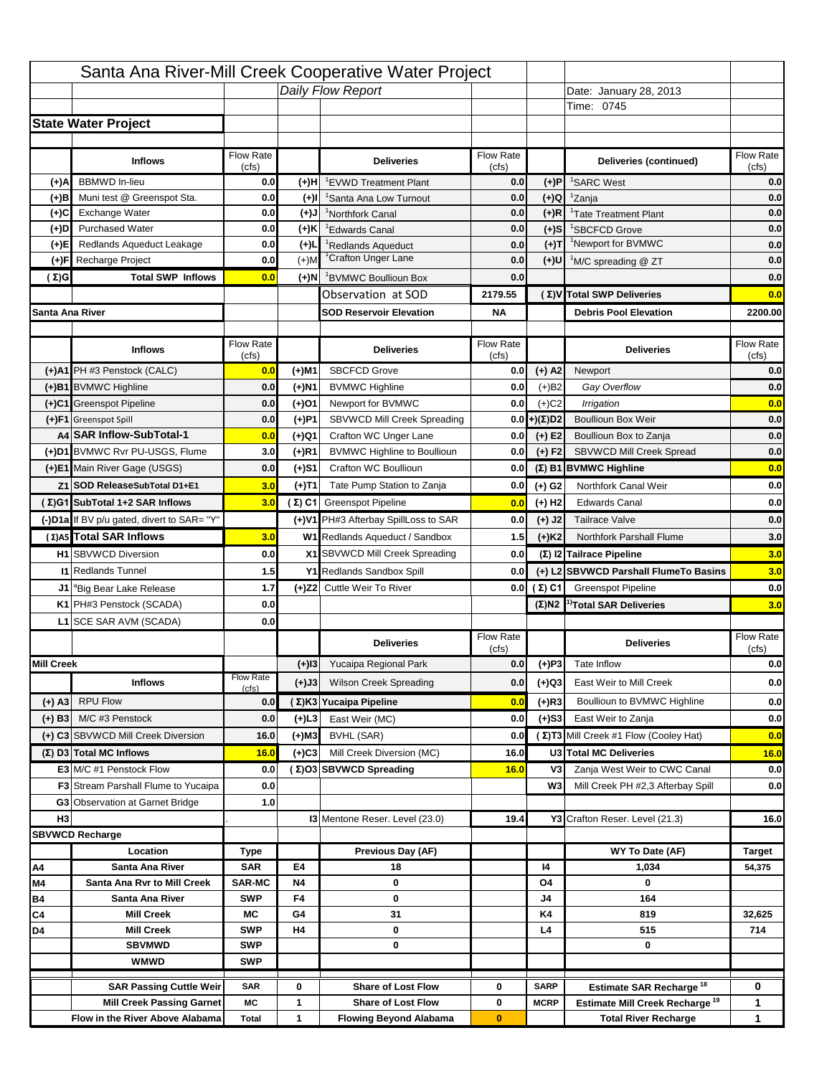|                   |                                            |                           |           | Santa Ana River-Mill Creek Cooperative Water Project       |                  |                      |                                                  |                                        |
|-------------------|--------------------------------------------|---------------------------|-----------|------------------------------------------------------------|------------------|----------------------|--------------------------------------------------|----------------------------------------|
|                   |                                            |                           |           | Daily Flow Report                                          |                  |                      | Date: January 28, 2013                           |                                        |
|                   |                                            |                           |           |                                                            |                  |                      | Time: 0745                                       |                                        |
|                   | <b>State Water Project</b>                 |                           |           |                                                            |                  |                      |                                                  |                                        |
|                   |                                            |                           |           |                                                            |                  |                      |                                                  |                                        |
|                   | <b>Inflows</b>                             | Flow Rate                 |           | <b>Deliveries</b>                                          | <b>Flow Rate</b> |                      | Deliveries (continued)                           | Flow Rate                              |
| (+)A              | <b>BBMWD</b> In-lieu                       | (cfs)<br>0.0              | (+)H      | 'EVWD Treatment Plant                                      | (cfs)<br>0.0     | (+)P                 | <sup>1</sup> SARC West                           | (cfs)<br>0.0                           |
| (+)B              | Muni test @ Greenspot Sta.                 | 0.0                       | $(+)$ l   | <sup>1</sup> Santa Ana Low Turnout                         | 0.0              | $(+)Q$               | <sup>1</sup> Zanja                               | 0.0                                    |
| (+)C              | Exchange Water                             | 0.0                       | $(L(+)$   | <sup>1</sup> Northfork Canal                               | 0.0              | $(+)R$               | <sup>1</sup> Tate Treatment Plant                | 0.0                                    |
| (+)D              | <b>Purchased Water</b>                     | 0.0                       | (+)K      | <sup>1</sup> Edwards Canal                                 | 0.0              | $(+)$ S              | <sup>1</sup> SBCFCD Grove                        | 0.0                                    |
| (+)E              | Redlands Aqueduct Leakage                  | 0.0                       | $(+)1$    | <sup>1</sup> Redlands Aqueduct                             | 0.0              | $(+)T$               | <sup>1</sup> Newport for BVMWC                   | 0.0                                    |
| (+)F              | Recharge Project                           | 0.0                       | $(+)$ M   | <sup>1</sup> Crafton Unger Lane                            | 0.0              | (+)U                 | <sup>1</sup> M/C spreading @ ZT                  | 0.0                                    |
| (Σ)G              | <b>Total SWP Inflows</b>                   | 0.0                       | (+)N      | <sup>1</sup> BVMWC Boullioun Box                           | 0.0              |                      |                                                  | 0.0                                    |
|                   |                                            |                           |           | Observation at SOD                                         | 2179.55          |                      | (Σ)V Total SWP Deliveries                        | 0.0                                    |
| Santa Ana River   |                                            |                           |           | <b>SOD Reservoir Elevation</b>                             | <b>NA</b>        |                      | <b>Debris Pool Elevation</b>                     | 2200.00                                |
|                   |                                            |                           |           |                                                            |                  |                      |                                                  |                                        |
|                   | <b>Inflows</b>                             | Flow Rate                 |           | <b>Deliveries</b>                                          | Flow Rate        |                      | <b>Deliveries</b>                                | Flow Rate                              |
|                   |                                            | (cfs)                     |           |                                                            | (cfs)            |                      |                                                  | (cfs)                                  |
|                   | (+)A1 PH #3 Penstock (CALC)                | 0.0                       | (+)M1     | <b>SBCFCD Grove</b>                                        | 0.0              | $(+)$ A2             | Newport                                          | 0.0                                    |
|                   | (+)B1 BVMWC Highline                       | 0.0                       | (+)N1     | <b>BVMWC Highline</b>                                      | 0.0              | $(+)B2$              | Gay Overflow                                     | 0.0                                    |
|                   | (+)C1 Greenspot Pipeline                   | 0.0                       | (+)01     | Newport for BVMWC                                          | 0.0              | $(+)$ C <sub>2</sub> | Irrigation                                       | 0.0                                    |
|                   | (+)F1 Greenspot Spill                      | 0.0                       | (+)P1     | SBVWCD Mill Creek Spreading                                | 0.0              | (+)(Σ)D2             | <b>Boullioun Box Weir</b>                        | 0.0                                    |
|                   | A4 SAR Inflow-SubTotal-1                   | 0.0                       | (+)Q1     | Crafton WC Unger Lane                                      | 0.0              | $(+) E2$             | Boullioun Box to Zanja                           | 0.0                                    |
|                   | (+)D1 BVMWC Rvr PU-USGS, Flume             | 3.0                       | $(+)$ R1  | <b>BVMWC Highline to Boullioun</b>                         | 0.0              | $(+) F2$             | SBVWCD Mill Creek Spread                         | 0.0                                    |
|                   | (+)E1 Main River Gage (USGS)               | 0.0                       | (+)S1     | Crafton WC Boullioun                                       | 0.0              |                      | $(\Sigma)$ B1 BVMWC Highline                     | 0.0                                    |
|                   | Z1 SOD ReleaseSubTotal D1+E1               | 3.0                       | (+)T1     | Tate Pump Station to Zanja                                 | 0.0              | (+) G2               | Northfork Canal Weir                             | 0.0                                    |
|                   | (Σ)G1 SubTotal 1+2 SAR Inflows             | 3.0                       |           | $(\Sigma)$ C1 Greenspot Pipeline                           | 0.0              | $(+)$ H <sub>2</sub> | <b>Edwards Canal</b>                             | 0.0                                    |
|                   | (-)D1a If BV p/u gated, divert to SAR= "Y" |                           |           | (+)V1 PH#3 Afterbay SpillLoss to SAR                       | 0.0              | $(+)$ J2             | <b>Tailrace Valve</b>                            | 0.0                                    |
|                   | (Σ) A5 Total SAR Inflows                   | 3.0                       |           | W1 Redlands Aqueduct / Sandbox                             | 1.5              | $(+)$ K <sub>2</sub> | <b>Northfork Parshall Flume</b>                  | 3.0                                    |
|                   | <b>H1</b> SBVWCD Diversion                 | 0.0                       |           | X1 SBVWCD Mill Creek Spreading                             | 0.0              |                      | (Σ) I2 Tailrace Pipeline                         | 3.0                                    |
|                   | <b>11 Redlands Tunnel</b>                  | 1.5                       |           | Y1 Redlands Sandbox Spill                                  | 0.0              |                      | (+) L2 SBVWCD Parshall FlumeTo Basins            | 3.0                                    |
|                   |                                            |                           |           |                                                            |                  | 0.0 $(\Sigma)$ C1    | <b>Greenspot Pipeline</b>                        | 0.0                                    |
|                   | J1 <sup>a</sup> Big Bear Lake Release      | 1.7                       |           | (+)Z2 Cuttle Weir To River                                 |                  |                      |                                                  |                                        |
|                   | K1 PH#3 Penstock (SCADA)                   | 0.0                       |           |                                                            |                  |                      | $(\Sigma)$ N2 <sup>1)</sup> Total SAR Deliveries |                                        |
|                   | L1 SCE SAR AVM (SCADA)                     | 0.0                       |           |                                                            |                  |                      |                                                  |                                        |
|                   |                                            |                           |           | <b>Deliveries</b>                                          | <b>Flow Rate</b> |                      | <b>Deliveries</b>                                | Flow Rate                              |
|                   |                                            |                           |           |                                                            | (cfs)            |                      |                                                  | (cfs)                                  |
| <b>Mill Creek</b> |                                            |                           | $(+)$ 13  | Yucaipa Regional Park                                      | 0.0              | $(+)P3$              | Tate Inflow                                      |                                        |
|                   | <b>Inflows</b>                             | <b>Flow Rate</b><br>(cfs) | (+)J3     | <b>Wilson Creek Spreading</b>                              | 0.0              | (+)Q3                | East Weir to Mill Creek                          |                                        |
| $(+)$ A3          | <b>RPU Flow</b>                            | 0.0                       |           | (Σ)K3 Yucaipa Pipeline                                     | 0.0              | $(+)$ R3             | Boullioun to BVMWC Highline                      |                                        |
| $(+)$ B3          | M/C #3 Penstock                            | 0.0                       | $(+)$ L3  | East Weir (MC)                                             | 0.0              | $(+)$ S3             | East Weir to Zanja                               |                                        |
|                   | (+) C3 SBVWCD Mill Creek Diversion         | 16.0                      | (+)M3     | BVHL (SAR)                                                 | 0.0              |                      | (Σ) T3 Mill Creek #1 Flow (Cooley Hat)           | 3.0<br>0.0<br>0.0<br>0.0<br>0.0<br>0.0 |
|                   | (Σ) D3 Total MC Inflows                    | 16.0                      | $(+)C3$   | Mill Creek Diversion (MC)                                  | 16.0             |                      | U3 Total MC Deliveries                           | 16.0                                   |
|                   | E3 M/C #1 Penstock Flow                    | 0.0                       |           | (Σ)O3 SBVWCD Spreading                                     | 16.0             | V3                   | Zanja West Weir to CWC Canal                     | 0.0                                    |
|                   | <b>F3</b> Stream Parshall Flume to Yucaipa | 0.0                       |           |                                                            |                  | W <sub>3</sub>       | Mill Creek PH #2,3 Afterbay Spill                | 0.0                                    |
|                   | G3 Observation at Garnet Bridge            | 1.0                       |           |                                                            |                  |                      |                                                  |                                        |
| H <sub>3</sub>    |                                            |                           |           | <b>13 Mentone Reser. Level (23.0)</b>                      | 19.4             |                      | Y3 Crafton Reser. Level (21.3)                   | 16.0                                   |
|                   | <b>SBVWCD Recharge</b>                     |                           |           |                                                            |                  |                      |                                                  |                                        |
|                   | Location                                   | Type                      |           | Previous Day (AF)                                          |                  |                      | WY To Date (AF)                                  | Target                                 |
| Α4                | Santa Ana River                            | <b>SAR</b>                | E4        | 18                                                         |                  | 14                   | 1,034                                            | 54,375                                 |
| M4                | Santa Ana Rvr to Mill Creek                | <b>SAR-MC</b>             | <b>N4</b> | 0                                                          |                  | O4                   | 0                                                |                                        |
| Β4                | Santa Ana River                            | <b>SWP</b>                | F4        | 0                                                          |                  | J4                   | 164                                              |                                        |
| C4                | <b>Mill Creek</b>                          | МC                        | G4        | 31                                                         |                  | K4                   | 819                                              | 32,625                                 |
| D4                | <b>Mill Creek</b>                          | <b>SWP</b>                | H4        | 0                                                          |                  | L4                   | 515                                              | 714                                    |
|                   | <b>SBVMWD</b>                              | <b>SWP</b>                |           | 0                                                          |                  |                      | 0                                                |                                        |
|                   | <b>WMWD</b>                                | <b>SWP</b>                |           |                                                            |                  |                      |                                                  |                                        |
|                   | <b>SAR Passing Cuttle Weir</b>             | <b>SAR</b>                | 0         | <b>Share of Lost Flow</b>                                  | 0                | <b>SARP</b>          | Estimate SAR Recharge <sup>18</sup>              | 0                                      |
|                   | <b>Mill Creek Passing Garnet</b>           | МC                        | 1         | <b>Share of Lost Flow</b><br><b>Flowing Beyond Alabama</b> | 0                | <b>MCRP</b>          | Estimate Mill Creek Recharge <sup>19</sup>       | 1<br>1                                 |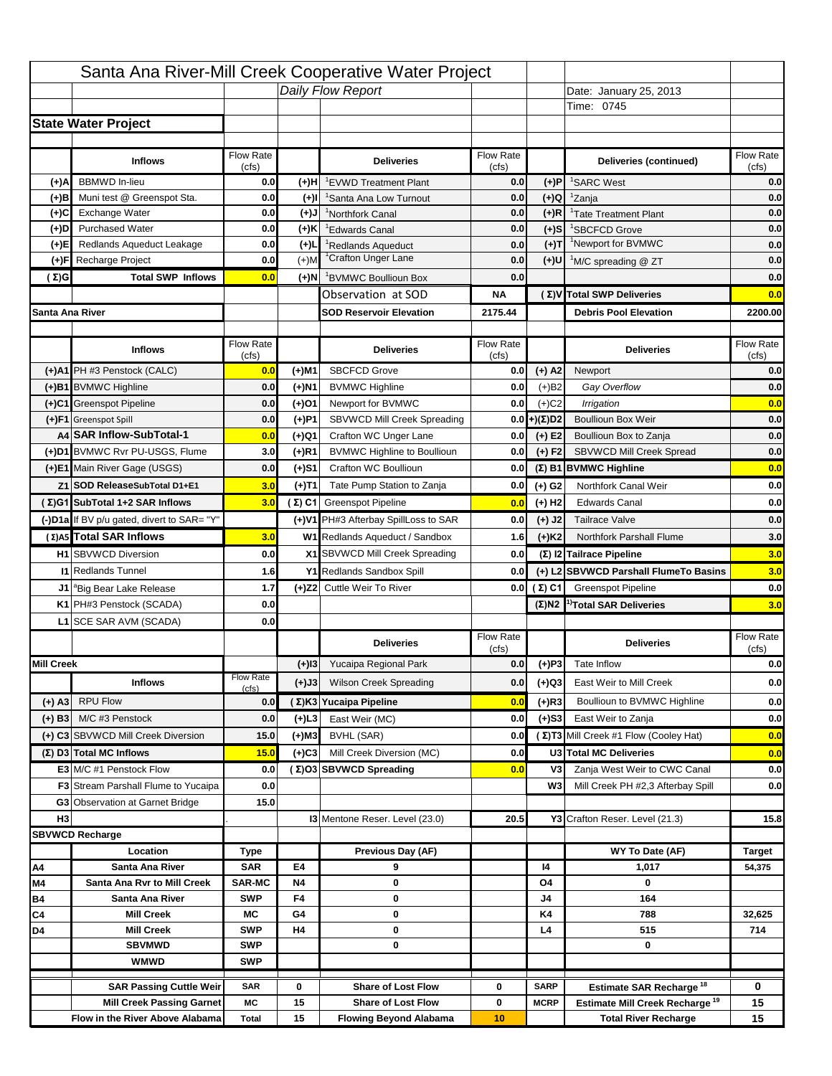|                   |                                                                    |                    |           | Santa Ana River-Mill Creek Cooperative Water Project   |                           |                            |                                                                                   |                    |
|-------------------|--------------------------------------------------------------------|--------------------|-----------|--------------------------------------------------------|---------------------------|----------------------------|-----------------------------------------------------------------------------------|--------------------|
|                   |                                                                    |                    |           | Daily Flow Report                                      |                           |                            | Date: January 25, 2013                                                            |                    |
|                   |                                                                    |                    |           |                                                        |                           |                            | Time: 0745                                                                        |                    |
|                   | <b>State Water Project</b>                                         |                    |           |                                                        |                           |                            |                                                                                   |                    |
|                   |                                                                    |                    |           |                                                        |                           |                            |                                                                                   |                    |
|                   | <b>Inflows</b>                                                     | Flow Rate<br>(cfs) |           | <b>Deliveries</b>                                      | <b>Flow Rate</b><br>(cfs) |                            | Deliveries (continued)                                                            | Flow Rate<br>(cfs) |
| (+)A              | <b>BBMWD</b> In-lieu                                               | 0.0                | (+)H      | 'EVWD Treatment Plant                                  | 0.0                       | (+)P                       | <sup>1</sup> SARC West                                                            | 0.0                |
| (+)B              | Muni test @ Greenspot Sta.                                         | 0.0                | $(+)$ l   | <sup>1</sup> Santa Ana Low Turnout                     | 0.0                       | $(+)Q$                     | <sup>1</sup> Zanja                                                                | 0.0                |
| (+)C              | Exchange Water                                                     | 0.0                | $(L(+)$   | <sup>1</sup> Northfork Canal                           | 0.0                       | $(+)R$                     | <sup>1</sup> Tate Treatment Plant                                                 | 0.0                |
| (+)D              | <b>Purchased Water</b>                                             | 0.0                | (+)K      | <sup>1</sup> Edwards Canal                             | 0.0                       | $(+)$ S                    | <sup>1</sup> SBCFCD Grove                                                         | 0.0                |
| (+)E              | Redlands Aqueduct Leakage                                          | 0.0                | $(+)1$    | <sup>1</sup> Redlands Aqueduct                         | 0.0                       | $(+)T$                     | <sup>1</sup> Newport for BVMWC                                                    | 0.0                |
| (+)F              | Recharge Project                                                   | 0.0                | $(+)$ M   | <sup>1</sup> Crafton Unger Lane                        | 0.0                       | $(+)$ U                    | <sup>1</sup> M/C spreading @ ZT                                                   | 0.0                |
| (Σ)G              | <b>Total SWP Inflows</b>                                           | 0.0                | (+)N      | <sup>1</sup> BVMWC Boullioun Box                       | 0.0                       |                            |                                                                                   | 0.0                |
|                   |                                                                    |                    |           | Observation at SOD                                     | ΝA                        |                            | (Σ) V Total SWP Deliveries                                                        | 0.0                |
| Santa Ana River   |                                                                    |                    |           | <b>SOD Reservoir Elevation</b>                         | 2175.44                   |                            | <b>Debris Pool Elevation</b>                                                      | 2200.00            |
|                   |                                                                    |                    |           |                                                        |                           |                            |                                                                                   |                    |
|                   | <b>Inflows</b>                                                     | Flow Rate          |           | <b>Deliveries</b>                                      | Flow Rate                 |                            | <b>Deliveries</b>                                                                 | Flow Rate          |
|                   | (+)A1 PH #3 Penstock (CALC)                                        | (cfs)<br>0.0       | (+)M1     | <b>SBCFCD Grove</b>                                    | (cfs)<br>0.0              | $(+)$ A2                   | Newport                                                                           | (cfs)<br>0.0       |
|                   | (+)B1 BVMWC Highline                                               | 0.0                | (+)N1     | <b>BVMWC Highline</b>                                  | 0.0                       | $(+)B2$                    | Gay Overflow                                                                      | 0.0                |
|                   | (+)C1 Greenspot Pipeline                                           | 0.0                | (+)01     | Newport for BVMWC                                      | 0.0                       | $(+)$ C <sub>2</sub>       | Irrigation                                                                        | 0.0                |
|                   | (+)F1 Greenspot Spill                                              | 0.0                | (+)P1     | SBVWCD Mill Creek Spreading                            | 0.0                       | (+)(Σ)D2                   | <b>Boullioun Box Weir</b>                                                         | 0.0                |
|                   | A4 SAR Inflow-SubTotal-1                                           | 0.0                | (+)Q1     | Crafton WC Unger Lane                                  | 0.0                       | $(+) E2$                   | Boullioun Box to Zanja                                                            | 0.0                |
|                   | (+)D1 BVMWC Rvr PU-USGS, Flume                                     | 3.0                | $(+)$ R1  | <b>BVMWC Highline to Boullioun</b>                     | 0.0                       | $(+) F2$                   | SBVWCD Mill Creek Spread                                                          | 0.0                |
|                   | (+)E1 Main River Gage (USGS)                                       | 0.0                | (+)S1     | Crafton WC Boullioun                                   | 0.0                       |                            | $(\Sigma)$ B1 BVMWC Highline                                                      | 0.0                |
|                   | Z1 SOD ReleaseSubTotal D1+E1                                       | 3.0                |           | Tate Pump Station to Zanja                             | 0.0                       |                            | Northfork Canal Weir                                                              | 0.0                |
|                   | (Σ)G1 SubTotal 1+2 SAR Inflows                                     | 3.0                | (+)T1     | (Σ) C1 Greenspot Pipeline                              |                           | (+) G2                     | <b>Edwards Canal</b>                                                              | 0.0                |
|                   |                                                                    |                    |           |                                                        | 0.0                       | $(+)$ H <sub>2</sub>       |                                                                                   |                    |
|                   | (-)D1a If BV p/u gated, divert to SAR= "Y"                         |                    |           | (+)V1 PH#3 Afterbay SpillLoss to SAR                   | 0.0                       | $(+)$ J2                   | <b>Tailrace Valve</b>                                                             | 0.0                |
|                   | (Σ) A5 Total SAR Inflows                                           | 3.0                |           | W1 Redlands Aqueduct / Sandbox                         | 1.6                       | $(+)$ K <sub>2</sub>       | <b>Northfork Parshall Flume</b>                                                   | 3.0                |
|                   | <b>H1</b> SBVWCD Diversion                                         | 0.0                |           | X1 SBVWCD Mill Creek Spreading                         | 0.0                       |                            | (Σ) I2 Tailrace Pipeline                                                          | 3.0                |
|                   | <b>11 Redlands Tunnel</b>                                          | 1.6                |           | Y1 Redlands Sandbox Spill                              | 0.0                       |                            | (+) L2 SBVWCD Parshall FlumeTo Basins                                             | 3.0                |
|                   | J1 <sup>a</sup> Big Bear Lake Release                              | 1.7                |           | (+)Z2 Cuttle Weir To River                             |                           | 0.0 $(\Sigma)$ C1          | <b>Greenspot Pipeline</b>                                                         | 0.0                |
|                   | K1 PH#3 Penstock (SCADA)                                           | 0.0                |           |                                                        |                           |                            | $(\Sigma)$ N2 <sup>1)</sup> Total SAR Deliveries                                  | 3.0                |
|                   | L1 SCE SAR AVM (SCADA)                                             | 0.0                |           |                                                        |                           |                            |                                                                                   |                    |
|                   |                                                                    |                    |           | <b>Deliveries</b>                                      | <b>Flow Rate</b><br>(cfs) |                            | <b>Deliveries</b>                                                                 | Flow Rate<br>(cfs) |
| <b>Mill Creek</b> |                                                                    |                    | $(+)$ 13  | Yucaipa Regional Park                                  | 0.0                       | $(+)P3$                    | Tate Inflow                                                                       | 0.0                |
|                   | <b>Inflows</b>                                                     | <b>Flow Rate</b>   | (+)J3     | <b>Wilson Creek Spreading</b>                          | 0.0                       | (+)Q3                      | East Weir to Mill Creek                                                           | 0.0                |
| $(+)$ A3          | <b>RPU Flow</b>                                                    | (cfs)<br>0.0       |           | (Σ)K3 Yucaipa Pipeline                                 | 0.0                       | $(+)$ R3                   | Boullioun to BVMWC Highline                                                       | 0.0                |
|                   | M/C #3 Penstock                                                    | 0.0                |           | East Weir (MC)                                         | 0.0                       |                            | East Weir to Zanja                                                                |                    |
| $(+)$ B3          |                                                                    |                    | $(+)$ L3  |                                                        |                           | $(+)$ S3                   | (Σ) T3 Mill Creek #1 Flow (Cooley Hat)                                            | 0.0                |
|                   | (+) C3 SBVWCD Mill Creek Diversion                                 | 15.0               | (+)M3     | BVHL (SAR)                                             | 0.0                       |                            |                                                                                   | 0.0                |
|                   | (Σ) D3 Total MC Inflows                                            | 15.0               | $(+)C3$   | Mill Creek Diversion (MC)                              | 0.0                       |                            | U3 Total MC Deliveries                                                            | 0.0                |
|                   | E3 M/C #1 Penstock Flow                                            | 0.0                |           | (Σ)O3 SBVWCD Spreading                                 | 0.0                       | V3                         | Zanja West Weir to CWC Canal                                                      | 0.0                |
|                   | <b>F3</b> Stream Parshall Flume to Yucaipa                         | 0.0<br>15.0        |           |                                                        |                           | W <sub>3</sub>             | Mill Creek PH #2,3 Afterbay Spill                                                 | 0.0                |
| H <sub>3</sub>    | G3 Observation at Garnet Bridge                                    |                    |           | 13 Mentone Reser. Level (23.0)                         | 20.5                      |                            | Y3 Crafton Reser. Level (21.3)                                                    | 15.8               |
|                   | <b>SBVWCD Recharge</b>                                             |                    |           |                                                        |                           |                            |                                                                                   |                    |
|                   | Location                                                           | Type               |           | Previous Day (AF)                                      |                           |                            | WY To Date (AF)                                                                   | <b>Target</b>      |
| Α4                | Santa Ana River                                                    | <b>SAR</b>         | E4        | 9                                                      |                           | 14                         | 1,017                                                                             | 54,375             |
| M4                | Santa Ana Rvr to Mill Creek                                        | <b>SAR-MC</b>      | <b>N4</b> | 0                                                      |                           | O4                         | 0                                                                                 |                    |
| Β4                | Santa Ana River                                                    | <b>SWP</b>         | F4        | 0                                                      |                           | J4                         | 164                                                                               |                    |
| C4                | <b>Mill Creek</b>                                                  | МC                 | G4        | 0                                                      |                           | K4                         | 788                                                                               | 32,625             |
| D4                | <b>Mill Creek</b>                                                  | <b>SWP</b>         | H4        | 0                                                      |                           | L4                         | 515                                                                               | 714                |
|                   | <b>SBVMWD</b>                                                      | <b>SWP</b>         |           | 0                                                      |                           |                            | 0                                                                                 |                    |
|                   |                                                                    |                    |           |                                                        |                           |                            |                                                                                   |                    |
|                   | <b>WMWD</b>                                                        | <b>SWP</b>         |           |                                                        |                           |                            |                                                                                   |                    |
|                   |                                                                    |                    |           |                                                        |                           |                            |                                                                                   |                    |
|                   | <b>SAR Passing Cuttle Weir</b><br><b>Mill Creek Passing Garnet</b> | <b>SAR</b><br>МC   | 0<br>15   | <b>Share of Lost Flow</b><br><b>Share of Lost Flow</b> | 0<br>0                    | <b>SARP</b><br><b>MCRP</b> | Estimate SAR Recharge <sup>18</sup><br>Estimate Mill Creek Recharge <sup>19</sup> | 0<br>15            |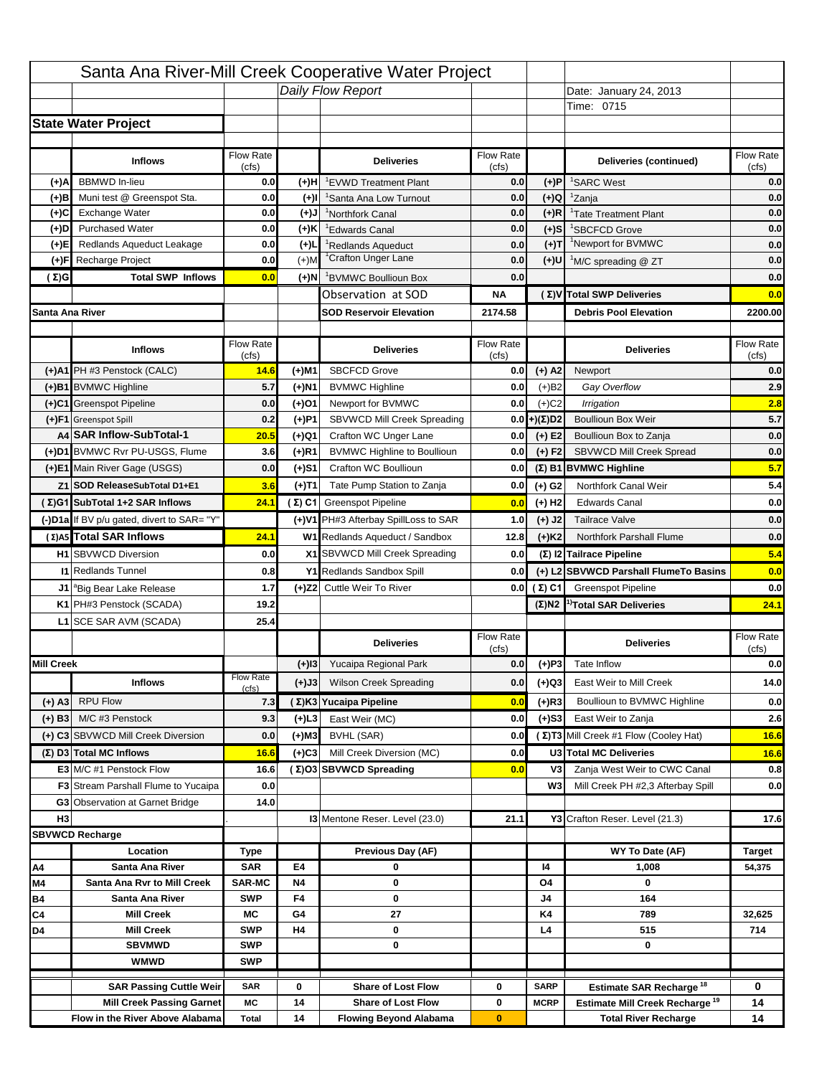|                   |                                                                    |                    |           | Santa Ana River-Mill Creek Cooperative Water Project   |                           |                            |                                                                                   |                    |
|-------------------|--------------------------------------------------------------------|--------------------|-----------|--------------------------------------------------------|---------------------------|----------------------------|-----------------------------------------------------------------------------------|--------------------|
|                   |                                                                    |                    |           | Daily Flow Report                                      |                           |                            | Date: January 24, 2013                                                            |                    |
|                   |                                                                    |                    |           |                                                        |                           |                            | Time: 0715                                                                        |                    |
|                   | <b>State Water Project</b>                                         |                    |           |                                                        |                           |                            |                                                                                   |                    |
|                   |                                                                    |                    |           |                                                        |                           |                            |                                                                                   |                    |
|                   | <b>Inflows</b>                                                     | Flow Rate<br>(cfs) |           | <b>Deliveries</b>                                      | <b>Flow Rate</b><br>(cfs) |                            | Deliveries (continued)                                                            | Flow Rate<br>(cfs) |
| (+)A              | <b>BBMWD</b> In-lieu                                               | 0.0                | (+)H      | 'EVWD Treatment Plant                                  | 0.0                       | (+)P                       | <sup>1</sup> SARC West                                                            | 0.0                |
| (+)B              | Muni test @ Greenspot Sta.                                         | 0.0                | $(+)$ l   | 'Santa Ana Low Turnout                                 | 0.0                       | $(+)Q$                     | <sup>1</sup> Zanja                                                                | 0.0                |
| (+)C              | Exchange Water                                                     | 0.0                | $(L(+)$   | <sup>1</sup> Northfork Canal                           | 0.0                       | $(+)R$                     | <sup>1</sup> Tate Treatment Plant                                                 | 0.0                |
| (+)D              | <b>Purchased Water</b>                                             | 0.0                | (+)K      | <sup>1</sup> Edwards Canal                             | 0.0                       | $(+)$ S                    | <sup>1</sup> SBCFCD Grove                                                         | 0.0                |
| (+)E              | Redlands Aqueduct Leakage                                          | 0.0                | $(+)1$    | <sup>1</sup> Redlands Aqueduct                         | 0.0                       | $(+)T$                     | <sup>1</sup> Newport for BVMWC                                                    | 0.0                |
| (+)F              | Recharge Project                                                   | 0.0                | $(+)$ M   | <sup>1</sup> Crafton Unger Lane                        | 0.0                       | $(+)$ U                    | <sup>1</sup> M/C spreading @ ZT                                                   | 0.0                |
| (Σ)G              | <b>Total SWP Inflows</b>                                           | 0.0                | (+)N      | <sup>1</sup> BVMWC Boullioun Box                       | 0.0                       |                            |                                                                                   | 0.0                |
|                   |                                                                    |                    |           | Observation at SOD                                     | ΝA                        |                            | (Σ) V Total SWP Deliveries                                                        | 0.0                |
| Santa Ana River   |                                                                    |                    |           | <b>SOD Reservoir Elevation</b>                         | 2174.58                   |                            | <b>Debris Pool Elevation</b>                                                      | 2200.00            |
|                   |                                                                    |                    |           |                                                        |                           |                            |                                                                                   |                    |
|                   | <b>Inflows</b>                                                     | Flow Rate          |           | <b>Deliveries</b>                                      | Flow Rate                 |                            | <b>Deliveries</b>                                                                 | Flow Rate<br>(cfs) |
|                   | (+)A1 PH #3 Penstock (CALC)                                        | (cfs)<br>14.6      | (+)M1     | <b>SBCFCD Grove</b>                                    | (cfs)<br>0.0              | $(+)$ A2                   | Newport                                                                           | 0.0                |
|                   | (+)B1 BVMWC Highline                                               | 5.7                | (+)N1     | <b>BVMWC Highline</b>                                  | 0.0                       | $(+)B2$                    | Gay Overflow                                                                      | 2.9                |
|                   | (+)C1 Greenspot Pipeline                                           | 0.0                | (+)01     | Newport for BVMWC                                      | 0.0                       | $(+)$ C <sub>2</sub>       | Irrigation                                                                        | 2.8                |
|                   | (+)F1 Greenspot Spill                                              | 0.2                | (+)P1     | SBVWCD Mill Creek Spreading                            | 0.0                       | (+)(Σ)D2                   | <b>Boullioun Box Weir</b>                                                         | 5.7                |
|                   | A4 SAR Inflow-SubTotal-1                                           | 20.5               | (+)Q1     | Crafton WC Unger Lane                                  | 0.0                       | $(+) E2$                   | Boullioun Box to Zanja                                                            | 0.0                |
|                   | (+)D1 BVMWC Rvr PU-USGS, Flume                                     | 3.6                | $(+)$ R1  | <b>BVMWC Highline to Boullioun</b>                     | 0.0                       | $(+) F2$                   | <b>SBVWCD Mill Creek Spread</b>                                                   | 0.0                |
|                   | (+)E1 Main River Gage (USGS)                                       | 0.0                | (+)S1     | Crafton WC Boullioun                                   | 0.0                       |                            | $(\Sigma)$ B1 BVMWC Highline                                                      | 5.7                |
|                   | Z1 SOD ReleaseSubTotal D1+E1                                       | 3.6                |           | Tate Pump Station to Zanja                             | 0.0                       |                            | Northfork Canal Weir                                                              | 5.4                |
|                   | (Σ)G1 SubTotal 1+2 SAR Inflows                                     | 24.1               | (+)T1     | (Σ) C1 Greenspot Pipeline                              |                           | (+) G2                     | <b>Edwards Canal</b>                                                              | 0.0                |
|                   |                                                                    |                    |           |                                                        | 0.0                       | $(+)$ H <sub>2</sub>       |                                                                                   |                    |
|                   | (-)D1a If BV p/u gated, divert to SAR= "Y"                         |                    |           | (+)V1 PH#3 Afterbay SpillLoss to SAR                   | 1.0                       | $(+)$ J2                   | <b>Tailrace Valve</b>                                                             | 0.0                |
|                   | (Σ) A5 Total SAR Inflows                                           | 24.1               |           | W1 Redlands Aqueduct / Sandbox                         | 12.8                      | $(+)$ K <sub>2</sub>       | <b>Northfork Parshall Flume</b>                                                   | 0.0                |
|                   | <b>H1</b> SBVWCD Diversion                                         | 0.0                |           | X1 SBVWCD Mill Creek Spreading                         | 0.0                       |                            | (Σ) I2 Tailrace Pipeline                                                          | 5.4                |
|                   | <b>11 Redlands Tunnel</b>                                          | 0.8                |           | Y1 Redlands Sandbox Spill                              | 0.0                       |                            | (+) L2 SBVWCD Parshall FlumeTo Basins                                             | 0.0                |
|                   | J1 <sup>a</sup> Big Bear Lake Release                              | 1.7                |           | (+)Z2 Cuttle Weir To River                             |                           | 0.0 $(\Sigma)$ C1          | <b>Greenspot Pipeline</b>                                                         | 0.0                |
|                   | K1 PH#3 Penstock (SCADA)                                           | 19.2               |           |                                                        |                           |                            | $(\Sigma)$ N2 <sup>1)</sup> Total SAR Deliveries                                  | 24.1               |
|                   | L1 SCE SAR AVM (SCADA)                                             | 25.4               |           |                                                        |                           |                            |                                                                                   |                    |
|                   |                                                                    |                    |           | <b>Deliveries</b>                                      | <b>Flow Rate</b><br>(cfs) |                            | <b>Deliveries</b>                                                                 | Flow Rate<br>(cfs) |
| <b>Mill Creek</b> |                                                                    |                    | $(+)$ 13  | Yucaipa Regional Park                                  | 0.0                       | $(+)P3$                    | Tate Inflow                                                                       | 0.0                |
|                   | <b>Inflows</b>                                                     | <b>Flow Rate</b>   | (+)J3     | <b>Wilson Creek Spreading</b>                          | 0.0                       | (+)Q3                      | East Weir to Mill Creek                                                           | 14.0               |
|                   | <b>RPU Flow</b>                                                    | (cfs)              |           |                                                        |                           |                            |                                                                                   |                    |
| (+) A3            |                                                                    | 7.3                |           | (Σ)K3 Yucaipa Pipeline                                 | 0.0                       | $(+)$ R3                   | Boullioun to BVMWC Highline                                                       | 0.0                |
| $(+)$ B3          | M/C #3 Penstock                                                    | 9.3                | $(+)$ L3  | East Weir (MC)                                         | 0.0                       | $(+)$ S3                   | East Weir to Zanja                                                                | 2.6                |
|                   | (+) C3 SBVWCD Mill Creek Diversion                                 | 0.0                | (+)M3     | BVHL (SAR)                                             | 0.0                       |                            | (Σ) T3 Mill Creek #1 Flow (Cooley Hat)                                            | 16.6               |
|                   | (Σ) D3 Total MC Inflows                                            | 16.6               | $(+)C3$   | Mill Creek Diversion (MC)                              | 0.0                       |                            | U3 Total MC Deliveries                                                            | 16.6               |
|                   | E3 M/C #1 Penstock Flow                                            |                    |           |                                                        |                           |                            | Zanja West Weir to CWC Canal                                                      | 0.8                |
|                   |                                                                    | 16.6               |           | (Σ)O3 SBVWCD Spreading                                 | 0.0                       | V3                         |                                                                                   |                    |
|                   | <b>F3</b> Stream Parshall Flume to Yucaipa                         | 0.0                |           |                                                        |                           | W <sub>3</sub>             | Mill Creek PH #2,3 Afterbay Spill                                                 |                    |
| H <sub>3</sub>    | G3 Observation at Garnet Bridge                                    | 14.0               |           |                                                        |                           |                            |                                                                                   |                    |
|                   |                                                                    |                    |           | <b>13 Mentone Reser. Level (23.0)</b>                  | 21.1                      |                            | Y3 Crafton Reser. Level (21.3)                                                    | 0.0<br>17.6        |
|                   | <b>SBVWCD Recharge</b>                                             |                    |           |                                                        |                           |                            |                                                                                   |                    |
|                   | Location                                                           | Type               |           | Previous Day (AF)                                      |                           |                            | WY To Date (AF)                                                                   | <b>Target</b>      |
| Α4                | Santa Ana River                                                    | <b>SAR</b>         | E4        | 0                                                      |                           | 14                         | 1,008                                                                             | 54,375             |
| M4                | Santa Ana Rvr to Mill Creek                                        | <b>SAR-MC</b>      | <b>N4</b> | 0                                                      |                           | O4                         | 0                                                                                 |                    |
| Β4                | Santa Ana River                                                    | <b>SWP</b>         | F4        | 0                                                      |                           | J4                         | 164                                                                               |                    |
| C4                | <b>Mill Creek</b>                                                  | МC<br><b>SWP</b>   | G4<br>H4  | 27<br>0                                                |                           | K4<br>L4                   | 789<br>515                                                                        | 32,625<br>714      |
| D4                | <b>Mill Creek</b><br><b>SBVMWD</b>                                 | <b>SWP</b>         |           | 0                                                      |                           |                            | 0                                                                                 |                    |
|                   | <b>WMWD</b>                                                        | <b>SWP</b>         |           |                                                        |                           |                            |                                                                                   |                    |
|                   |                                                                    |                    |           |                                                        |                           |                            |                                                                                   |                    |
|                   | <b>SAR Passing Cuttle Weir</b><br><b>Mill Creek Passing Garnet</b> | <b>SAR</b><br>МC   | 0<br>14   | <b>Share of Lost Flow</b><br><b>Share of Lost Flow</b> | 0<br>0                    | <b>SARP</b><br><b>MCRP</b> | Estimate SAR Recharge <sup>18</sup><br>Estimate Mill Creek Recharge <sup>19</sup> | 0<br>14            |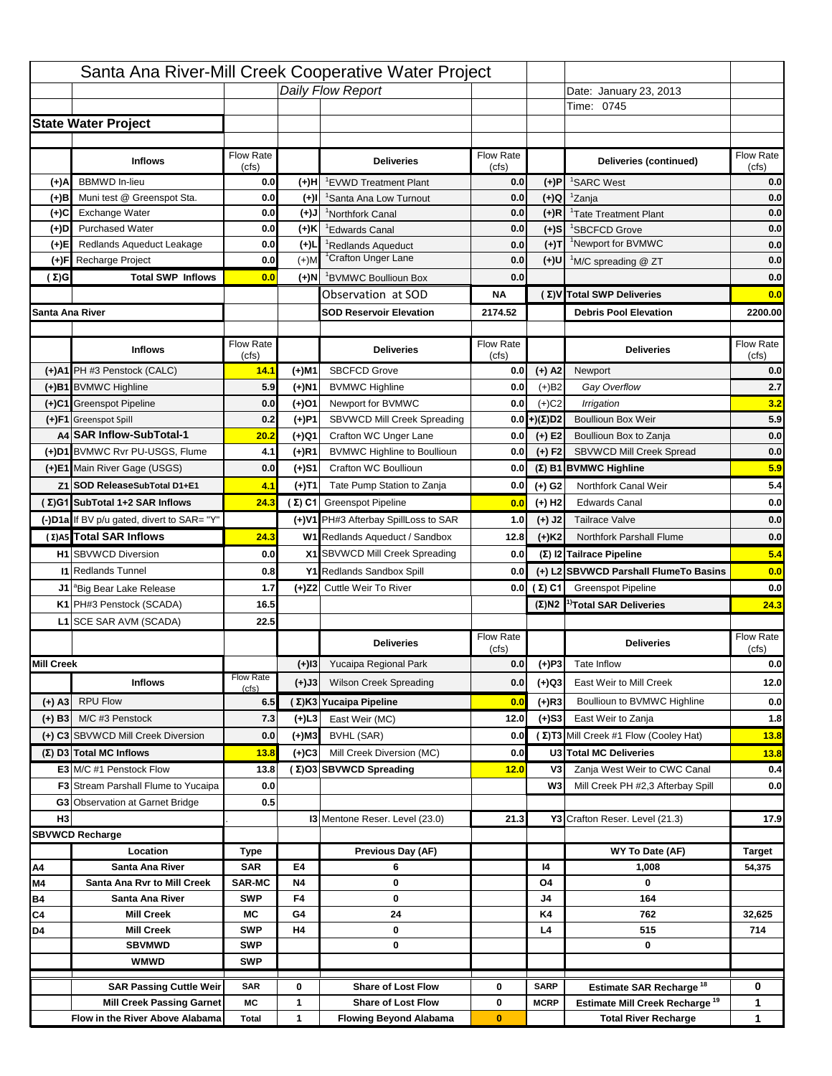|                   |                                                                     |                          |           | Santa Ana River-Mill Creek Cooperative Water Project       |                           |                      |                                                                           |                                                                           |
|-------------------|---------------------------------------------------------------------|--------------------------|-----------|------------------------------------------------------------|---------------------------|----------------------|---------------------------------------------------------------------------|---------------------------------------------------------------------------|
|                   |                                                                     |                          |           | Daily Flow Report                                          |                           |                      | Date: January 23, 2013                                                    |                                                                           |
|                   |                                                                     |                          |           |                                                            |                           |                      | Time: 0745                                                                |                                                                           |
|                   | <b>State Water Project</b>                                          |                          |           |                                                            |                           |                      |                                                                           |                                                                           |
|                   |                                                                     |                          |           |                                                            |                           |                      |                                                                           |                                                                           |
|                   | <b>Inflows</b>                                                      | Flow Rate<br>(cfs)       |           | <b>Deliveries</b>                                          | <b>Flow Rate</b><br>(cfs) |                      | Deliveries (continued)                                                    | Flow Rate<br>(cts)                                                        |
| (+)A              | <b>BBMWD</b> In-lieu                                                | 0.0                      | (+)H      | 'EVWD Treatment Plant                                      | 0.0                       | (+)P                 | <sup>1</sup> SARC West                                                    | 0.0                                                                       |
| (+)B              | Muni test @ Greenspot Sta.                                          | 0.0                      | $(+)$ l   | 'Santa Ana Low Turnout                                     | 0.0                       | $(+)Q$               | <sup>1</sup> Zanja                                                        | 0.0                                                                       |
| (+)C              | Exchange Water                                                      | 0.0                      | $(L(+)$   | <sup>1</sup> Northfork Canal                               | 0.0                       | $(+)R$               | <sup>1</sup> Tate Treatment Plant                                         | 0.0                                                                       |
| (+)D              | <b>Purchased Water</b>                                              | 0.0                      | (+)K      | <sup>1</sup> Edwards Canal                                 | 0.0                       | $(+)$ S              | <sup>1</sup> SBCFCD Grove                                                 | 0.0                                                                       |
| (+)E              | Redlands Aqueduct Leakage                                           | 0.0                      | $(+)1$    | <sup>1</sup> Redlands Aqueduct                             | 0.0                       | $(+)T$               | <sup>1</sup> Newport for BVMWC                                            | 0.0                                                                       |
| (+)F              | Recharge Project                                                    | 0.0                      | $(+)$ M   | <sup>1</sup> Crafton Unger Lane                            | 0.0                       | $(+)$ U              | <sup>1</sup> M/C spreading @ ZT                                           | 0.0                                                                       |
| (Σ)G              | <b>Total SWP Inflows</b>                                            | 0.0                      | (+)N      | <sup>1</sup> BVMWC Boullioun Box                           | 0.0                       |                      |                                                                           | 0.0                                                                       |
|                   |                                                                     |                          |           | Observation at SOD                                         | ΝA                        |                      | (Σ) V Total SWP Deliveries                                                | 0.0                                                                       |
| Santa Ana River   |                                                                     |                          |           | <b>SOD Reservoir Elevation</b>                             | 2174.52                   |                      | <b>Debris Pool Elevation</b>                                              | 2200.00                                                                   |
|                   |                                                                     |                          |           |                                                            |                           |                      |                                                                           |                                                                           |
|                   | <b>Inflows</b>                                                      | Flow Rate                |           | <b>Deliveries</b>                                          | Flow Rate                 |                      | <b>Deliveries</b>                                                         | Flow Rate<br>(cfs)                                                        |
|                   | (+)A1 PH #3 Penstock (CALC)                                         | (cfs)<br>14.1            | (+)M1     | <b>SBCFCD Grove</b>                                        | (cfs)<br>0.0              | $(+)$ A2             | Newport                                                                   | 0.0                                                                       |
|                   | (+)B1 BVMWC Highline                                                | 5.9                      | (+)N1     | <b>BVMWC Highline</b>                                      | 0.0                       | $(+)B2$              | Gay Overflow                                                              | 2.7                                                                       |
|                   | (+)C1 Greenspot Pipeline                                            | 0.0                      | (+)01     | Newport for BVMWC                                          | 0.0                       | $(+)$ C <sub>2</sub> | Irrigation                                                                | 3.2                                                                       |
|                   | (+)F1 Greenspot Spill                                               | 0.2                      | (+)P1     | SBVWCD Mill Creek Spreading                                | 0.0                       | (+)(Σ)D2             | <b>Boullioun Box Weir</b>                                                 | 5.9                                                                       |
|                   | A4 SAR Inflow-SubTotal-1                                            | 20.2                     | (+)Q1     | Crafton WC Unger Lane                                      | 0.0                       | $(+) E2$             | Boullioun Box to Zanja                                                    | 0.0                                                                       |
|                   | (+)D1 BVMWC Rvr PU-USGS, Flume                                      | 4.1                      | $(+)$ R1  | <b>BVMWC Highline to Boullioun</b>                         | 0.0                       | $(+) F2$             | <b>SBVWCD Mill Creek Spread</b>                                           | 0.0                                                                       |
|                   | (+)E1 Main River Gage (USGS)                                        | 0.0                      | (+)S1     | Crafton WC Boullioun                                       | 0.0                       |                      | $(\Sigma)$ B1 BVMWC Highline                                              | 5.9                                                                       |
|                   | Z1 SOD ReleaseSubTotal D1+E1                                        | 4.1                      |           | Tate Pump Station to Zanja                                 | 0.0                       |                      | Northfork Canal Weir                                                      | 5.4                                                                       |
|                   | (Σ)G1 SubTotal 1+2 SAR Inflows                                      | 24.3                     | (+)T1     |                                                            |                           | (+) G2               | <b>Edwards Canal</b>                                                      | 0.0                                                                       |
|                   |                                                                     |                          |           | (Σ) C1 Greenspot Pipeline                                  | 0.0                       | $(+)$ H <sub>2</sub> |                                                                           |                                                                           |
|                   | (-)D1a If BV p/u gated, divert to SAR= "Y"                          |                          |           | (+)V1 PH#3 Afterbay SpillLoss to SAR                       | 1.0                       | $(+)$ J2             | <b>Tailrace Valve</b>                                                     | 0.0                                                                       |
|                   | (Σ) A5 Total SAR Inflows                                            | 24.3                     |           | W1 Redlands Aqueduct / Sandbox                             | 12.8                      | $(+)$ K <sub>2</sub> | <b>Northfork Parshall Flume</b>                                           | 0.0                                                                       |
|                   | <b>H1</b> SBVWCD Diversion                                          | 0.0                      |           | X1 SBVWCD Mill Creek Spreading                             | 0.0                       |                      | (Σ) I2 Tailrace Pipeline                                                  | 5.4                                                                       |
|                   | <b>11 Redlands Tunnel</b>                                           | 0.8                      |           | Y1 Redlands Sandbox Spill                                  | 0.0                       |                      | (+) L2 SBVWCD Parshall FlumeTo Basins                                     | 0.0                                                                       |
|                   | J1 <sup>a</sup> Big Bear Lake Release                               | 1.7                      |           | (+)Z2 Cuttle Weir To River                                 |                           | 0.0 $(\Sigma)$ C1    | <b>Greenspot Pipeline</b>                                                 | 0.0                                                                       |
|                   | K1 PH#3 Penstock (SCADA)                                            | 16.5                     |           |                                                            |                           |                      | $(\Sigma)$ N2 <sup>1)</sup> Total SAR Deliveries                          | 24.3                                                                      |
|                   |                                                                     |                          |           |                                                            |                           |                      |                                                                           |                                                                           |
|                   | L1 SCE SAR AVM (SCADA)                                              | 22.5                     |           |                                                            |                           |                      |                                                                           |                                                                           |
|                   |                                                                     |                          |           | <b>Deliveries</b>                                          | <b>Flow Rate</b>          |                      | <b>Deliveries</b>                                                         | Flow Rate                                                                 |
| <b>Mill Creek</b> |                                                                     |                          |           |                                                            | (cfs)                     |                      | Tate Inflow                                                               | (cfs)                                                                     |
|                   |                                                                     | <b>Flow Rate</b>         | $(+)$ 13  | Yucaipa Regional Park                                      | 0.0                       | $(+)P3$              |                                                                           |                                                                           |
|                   | <b>Inflows</b>                                                      | (cfs)                    | (+)J3     | <b>Wilson Creek Spreading</b>                              | 0.0                       | (+)Q3                | East Weir to Mill Creek                                                   |                                                                           |
| $(+)$ A3          | <b>RPU Flow</b>                                                     | 6.5                      |           | (Σ)K3 Yucaipa Pipeline                                     | 0.0                       | (+)R3                | Boullioun to BVMWC Highline                                               |                                                                           |
| $(+)$ B3          | M/C #3 Penstock                                                     | 7.3                      | $(+)$ L3  | East Weir (MC)                                             | 12.0                      | $(+)$ S3             | East Weir to Zanja                                                        |                                                                           |
|                   | (+) C3 SBVWCD Mill Creek Diversion                                  | 0.0                      | (+)M3     | BVHL (SAR)                                                 | 0.0                       |                      | (Σ) T3 Mill Creek #1 Flow (Cooley Hat)                                    |                                                                           |
|                   | (Σ) D3 Total MC Inflows                                             | 13.8                     | $(+)C3$   | Mill Creek Diversion (MC)                                  | 0.0                       |                      | U3 Total MC Deliveries                                                    |                                                                           |
|                   | E3 M/C #1 Penstock Flow                                             | 13.8                     |           | (Σ)O3 SBVWCD Spreading                                     | 12.0                      | V3                   | Zanja West Weir to CWC Canal                                              |                                                                           |
|                   | <b>F3</b> Stream Parshall Flume to Yucaipa                          | 0.0                      |           |                                                            |                           | W <sub>3</sub>       | Mill Creek PH #2,3 Afterbay Spill                                         |                                                                           |
|                   | G3 Observation at Garnet Bridge                                     | 0.5                      |           |                                                            |                           |                      |                                                                           |                                                                           |
| H <sub>3</sub>    |                                                                     |                          |           | 13 Mentone Reser. Level (23.0)                             | 21.3                      |                      | Y3 Crafton Reser. Level (21.3)                                            |                                                                           |
|                   | <b>SBVWCD Recharge</b>                                              |                          |           |                                                            |                           |                      |                                                                           |                                                                           |
|                   | Location                                                            | Type                     |           | Previous Day (AF)                                          |                           |                      | WY To Date (AF)                                                           | <b>Target</b>                                                             |
| Α4                | Santa Ana River                                                     | <b>SAR</b>               | E4        | 6                                                          |                           | 14                   | 1,008                                                                     | 54,375                                                                    |
| M4                | Santa Ana Rvr to Mill Creek                                         | <b>SAR-MC</b>            | <b>N4</b> | 0                                                          |                           | O4                   | 0                                                                         |                                                                           |
| Β4                | Santa Ana River                                                     | <b>SWP</b>               | F4        | 0                                                          |                           | J4                   | 164                                                                       |                                                                           |
| C4                | <b>Mill Creek</b>                                                   | МC                       | G4        | 24                                                         |                           | K4                   | 762                                                                       | 32,625                                                                    |
| D4                | <b>Mill Creek</b>                                                   | <b>SWP</b>               | H4        | 0                                                          |                           | L4                   | 515                                                                       | 714                                                                       |
|                   | <b>SBVMWD</b><br><b>WMWD</b>                                        | <b>SWP</b><br><b>SWP</b> |           | 0                                                          |                           |                      | 0                                                                         |                                                                           |
|                   |                                                                     |                          |           |                                                            |                           |                      |                                                                           |                                                                           |
|                   | <b>SAR Passing Cuttle Weir</b>                                      | <b>SAR</b>               | 0         | <b>Share of Lost Flow</b>                                  | 0                         | <b>SARP</b>          | <b>Estimate SAR Recharge<sup>18</sup></b>                                 | 0                                                                         |
|                   | <b>Mill Creek Passing Garnet</b><br>Flow in the River Above Alabama | МC<br><b>Total</b>       | 1<br>1    | <b>Share of Lost Flow</b><br><b>Flowing Beyond Alabama</b> | 0<br>$\bf{0}$             | <b>MCRP</b>          | Estimate Mill Creek Recharge <sup>19</sup><br><b>Total River Recharge</b> | 0.0<br>12.0<br>0.0<br>1.8<br>13.8<br>13.8<br>0.4<br>0.0<br>17.9<br>1<br>1 |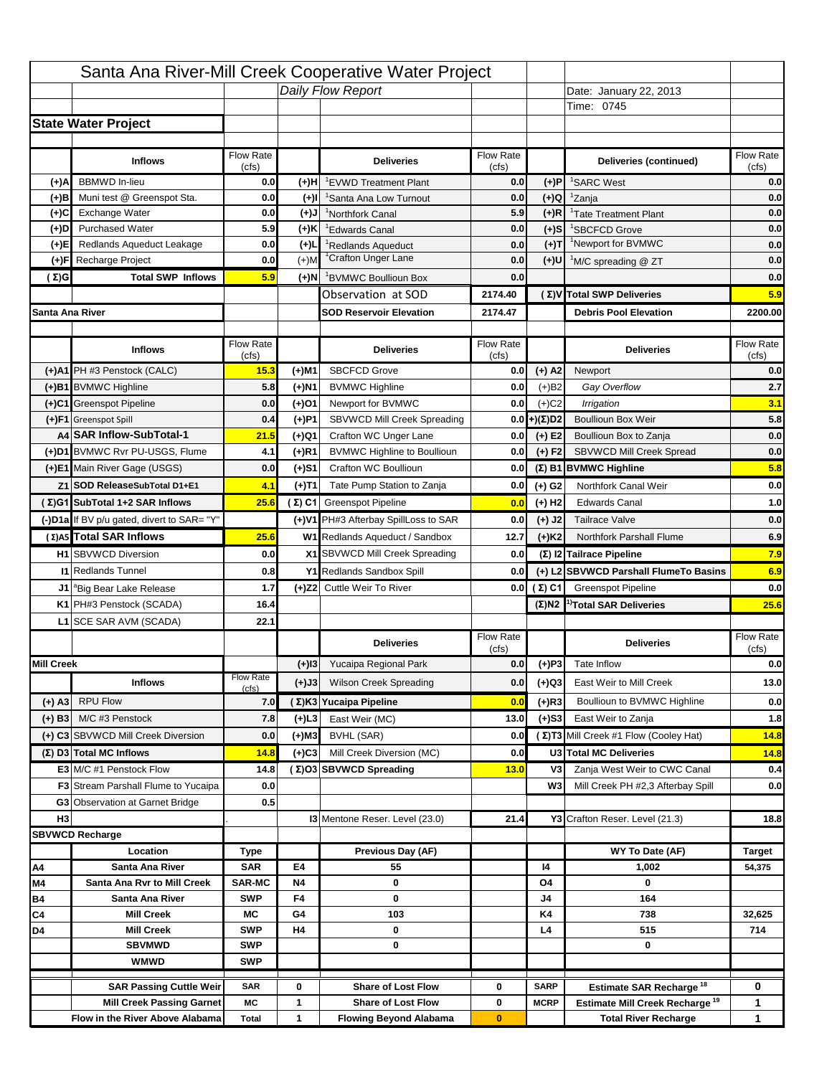|                   |                                                                    |                    |                | Santa Ana River-Mill Creek Cooperative Water Project   |                           |                                 |                                                                                         |                    |
|-------------------|--------------------------------------------------------------------|--------------------|----------------|--------------------------------------------------------|---------------------------|---------------------------------|-----------------------------------------------------------------------------------------|--------------------|
|                   |                                                                    |                    |                | Daily Flow Report                                      |                           |                                 | Date: January 22, 2013                                                                  |                    |
|                   |                                                                    |                    |                |                                                        |                           |                                 | Time: 0745                                                                              |                    |
|                   | <b>State Water Project</b>                                         |                    |                |                                                        |                           |                                 |                                                                                         |                    |
|                   |                                                                    |                    |                |                                                        |                           |                                 |                                                                                         |                    |
|                   | <b>Inflows</b>                                                     | Flow Rate<br>(cfs) |                | <b>Deliveries</b>                                      | <b>Flow Rate</b><br>(cfs) |                                 | Deliveries (continued)                                                                  | Flow Rate<br>(cfs) |
| (+)A              | <b>BBMWD</b> In-lieu                                               | 0.0                | (+)H           | 'EVWD Treatment Plant                                  | 0.0                       | (+)P                            | <sup>1</sup> SARC West                                                                  | 0.0                |
| (+)B              | Muni test @ Greenspot Sta.                                         | 0.0                | $(+)$ l        | 'Santa Ana Low Turnout                                 | 0.0                       | $(+)Q$                          | <sup>1</sup> Zanja                                                                      | 0.0                |
| (+)C              | Exchange Water                                                     | 0.0                | $(L(+)$        | <sup>1</sup> Northfork Canal                           | 5.9                       | $(+)R$                          | <sup>1</sup> Tate Treatment Plant                                                       | 0.0                |
| (+)D              | <b>Purchased Water</b>                                             | 5.9                | (+)K           | <sup>1</sup> Edwards Canal                             | 0.0                       | $(+)$ S                         | <sup>1</sup> SBCFCD Grove                                                               | 0.0                |
| (+)E              | Redlands Aqueduct Leakage                                          | 0.0                | $(+)1$         | <sup>1</sup> Redlands Aqueduct                         | 0.0                       | $(+)T$                          | <sup>1</sup> Newport for BVMWC                                                          | 0.0                |
| (+)F              | Recharge Project                                                   | 0.0                | $(+)$ M        | <sup>1</sup> Crafton Unger Lane                        | 0.0                       | (+)U                            | <sup>1</sup> M/C spreading @ ZT                                                         | 0.0                |
| (Σ)G              | <b>Total SWP Inflows</b>                                           | 5.9                | (+)N           | <sup>1</sup> BVMWC Boullioun Box                       | 0.0                       |                                 |                                                                                         | 0.0                |
|                   |                                                                    |                    |                | Observation at SOD                                     | 2174.40                   |                                 | (Σ) V Total SWP Deliveries                                                              | 5.9                |
| Santa Ana River   |                                                                    |                    |                | <b>SOD Reservoir Elevation</b>                         | 2174.47                   |                                 | <b>Debris Pool Elevation</b>                                                            | 2200.00            |
|                   |                                                                    |                    |                |                                                        |                           |                                 |                                                                                         |                    |
|                   | <b>Inflows</b>                                                     | Flow Rate          |                | <b>Deliveries</b>                                      | Flow Rate                 |                                 | <b>Deliveries</b>                                                                       | Flow Rate          |
|                   | (+)A1 PH #3 Penstock (CALC)                                        | (cfs)<br>15.3      | (+)M1          | <b>SBCFCD Grove</b>                                    | (cfs)<br>0.0              | $(+)$ A2                        | Newport                                                                                 | (cfs)<br>0.0       |
|                   | (+)B1 BVMWC Highline                                               | 5.8                |                |                                                        | 0.0                       |                                 | Gay Overflow                                                                            | 2.7                |
|                   | (+)C1 Greenspot Pipeline                                           | 0.0                | (+)N1<br>(+)01 | <b>BVMWC Highline</b><br>Newport for BVMWC             | 0.0                       | $(+)B2$<br>$(+)$ C <sub>2</sub> | Irrigation                                                                              | 3.1                |
|                   | (+)F1 Greenspot Spill                                              | 0.4                | (+)P1          | SBVWCD Mill Creek Spreading                            | 0.0                       | (+)(Σ)D2                        | <b>Boullioun Box Weir</b>                                                               | 5.8                |
|                   | A4 SAR Inflow-SubTotal-1                                           | 21.5               | (+)Q1          | Crafton WC Unger Lane                                  | 0.0                       | $(+) E2$                        | Boullioun Box to Zanja                                                                  | 0.0                |
|                   | (+)D1 BVMWC Rvr PU-USGS, Flume                                     | 4.1                | $(+)$ R1       | <b>BVMWC Highline to Boullioun</b>                     | 0.0                       | $(+) F2$                        | <b>SBVWCD Mill Creek Spread</b>                                                         | 0.0                |
|                   | (+)E1 Main River Gage (USGS)                                       | 0.0                | (+)S1          | Crafton WC Boullioun                                   | 0.0                       |                                 | $(\Sigma)$ B1 BVMWC Highline                                                            | 5.8                |
|                   | Z1 SOD ReleaseSubTotal D1+E1                                       | 4.1                |                | Tate Pump Station to Zanja                             | 0.0                       |                                 | Northfork Canal Weir                                                                    | 0.0                |
|                   | (Σ)G1 SubTotal 1+2 SAR Inflows                                     | 25.6               | (+)T1          | (Σ) C1 Greenspot Pipeline                              |                           | (+) G2                          | <b>Edwards Canal</b>                                                                    | 1.0                |
|                   |                                                                    |                    |                |                                                        | 0.0                       | $(+)$ H <sub>2</sub>            |                                                                                         |                    |
|                   | (-)D1a If BV p/u gated, divert to SAR= "Y"                         |                    |                | (+)V1 PH#3 Afterbay SpillLoss to SAR                   | 0.0                       | $(+)$ J2                        | <b>Tailrace Valve</b>                                                                   | 0.0                |
|                   | (Σ) A5 Total SAR Inflows                                           | 25.6               |                | W1 Redlands Aqueduct / Sandbox                         | 12.7                      | $(+)$ K <sub>2</sub>            | <b>Northfork Parshall Flume</b>                                                         | 6.9                |
|                   | <b>H1</b> SBVWCD Diversion                                         | 0.0                |                | X1 SBVWCD Mill Creek Spreading                         | 0.0                       |                                 | (Σ) I2 Tailrace Pipeline                                                                | 7.9                |
|                   | <b>11 Redlands Tunnel</b>                                          | 0.8                |                | Y1 Redlands Sandbox Spill                              | 0.0                       |                                 | (+) L2 SBVWCD Parshall FlumeTo Basins                                                   | 6.9                |
|                   | J1 <sup>a</sup> Big Bear Lake Release                              | 1.7                |                | (+)Z2 Cuttle Weir To River                             |                           | 0.0 $(\Sigma)$ C1               | <b>Greenspot Pipeline</b>                                                               | 0.0                |
|                   | K1 PH#3 Penstock (SCADA)                                           | 16.4               |                |                                                        |                           |                                 | $(\Sigma)$ N2 <sup>1)</sup> Total SAR Deliveries                                        | 25.6               |
|                   | L1 SCE SAR AVM (SCADA)                                             | 22.1               |                |                                                        |                           |                                 |                                                                                         |                    |
|                   |                                                                    |                    |                | <b>Deliveries</b>                                      | <b>Flow Rate</b><br>(cfs) |                                 | <b>Deliveries</b>                                                                       | Flow Rate<br>(cfs) |
| <b>Mill Creek</b> |                                                                    |                    | $(+)$ 13       | Yucaipa Regional Park                                  | 0.0                       | $(+)P3$                         | Tate Inflow                                                                             | 0.0                |
|                   | <b>Inflows</b>                                                     | <b>Flow Rate</b>   | (+)J3          | <b>Wilson Creek Spreading</b>                          | 0.0                       | (+)Q3                           | East Weir to Mill Creek                                                                 | 13.0               |
| $(+)$ A3          | <b>RPU Flow</b>                                                    | (cfs)<br>7.0       |                | (Σ)K3 Yucaipa Pipeline                                 | 0.0                       | $(+)$ R3                        | Boullioun to BVMWC Highline                                                             | 0.0                |
|                   | M/C #3 Penstock                                                    | 7.8                |                | East Weir (MC)                                         | 13.0                      |                                 | East Weir to Zanja                                                                      |                    |
| $(+)$ B3          |                                                                    |                    | $(+)$ L3       |                                                        |                           | $(+)$ S3                        | (Σ) T3 Mill Creek #1 Flow (Cooley Hat)                                                  | 1.8                |
|                   | (+) C3 SBVWCD Mill Creek Diversion                                 | 0.0                | (+)M3          | BVHL (SAR)                                             | 0.0                       |                                 |                                                                                         | 14.8               |
|                   | (Σ) D3 Total MC Inflows                                            | 14.8               | $(+)C3$        | Mill Creek Diversion (MC)                              | 0.0                       |                                 | U3 Total MC Deliveries                                                                  | 14.8               |
|                   | E3 M/C #1 Penstock Flow                                            | 14.8               |                | (Σ)O3 SBVWCD Spreading                                 | 13.0                      | V3                              | Zanja West Weir to CWC Canal                                                            | 0.4                |
|                   | <b>F3</b> Stream Parshall Flume to Yucaipa                         | 0.0                |                |                                                        |                           | W <sub>3</sub>                  | Mill Creek PH #2,3 Afterbay Spill                                                       | 0.0                |
| H <sub>3</sub>    | G3 Observation at Garnet Bridge                                    | 0.5                |                |                                                        |                           |                                 |                                                                                         |                    |
|                   |                                                                    |                    |                |                                                        |                           |                                 |                                                                                         |                    |
|                   |                                                                    |                    |                | <b>13 Mentone Reser. Level (23.0)</b>                  | 21.4                      |                                 | Y3 Crafton Reser. Level (21.3)                                                          | 18.8               |
|                   | <b>SBVWCD Recharge</b>                                             |                    |                |                                                        |                           |                                 |                                                                                         |                    |
|                   | Location                                                           | Type               |                | Previous Day (AF)                                      |                           |                                 | WY To Date (AF)                                                                         | Target             |
| Α4                | Santa Ana River                                                    | <b>SAR</b>         | E4             | 55                                                     |                           | 14                              | 1,002                                                                                   | 54,375             |
| M4                | Santa Ana Rvr to Mill Creek                                        | <b>SAR-MC</b>      | <b>N4</b>      | 0                                                      |                           | O4                              | 0                                                                                       |                    |
| Β4                | Santa Ana River<br><b>Mill Creek</b>                               | <b>SWP</b><br>МC   | F4<br>G4       | 0<br>103                                               |                           | J4<br>K4                        | 164<br>738                                                                              | 32,625             |
| C4<br>D4          | <b>Mill Creek</b>                                                  | <b>SWP</b>         | H4             | 0                                                      |                           | L4                              | 515                                                                                     | 714                |
|                   | <b>SBVMWD</b>                                                      | <b>SWP</b>         |                | 0                                                      |                           |                                 | 0                                                                                       |                    |
|                   | <b>WMWD</b>                                                        | <b>SWP</b>         |                |                                                        |                           |                                 |                                                                                         |                    |
|                   |                                                                    |                    |                |                                                        |                           |                                 |                                                                                         |                    |
|                   | <b>SAR Passing Cuttle Weir</b><br><b>Mill Creek Passing Garnet</b> | <b>SAR</b><br>МC   | 0<br>1         | <b>Share of Lost Flow</b><br><b>Share of Lost Flow</b> | 0<br>0                    | <b>SARP</b><br><b>MCRP</b>      | <b>Estimate SAR Recharge<sup>18</sup></b><br>Estimate Mill Creek Recharge <sup>19</sup> | 0<br>1             |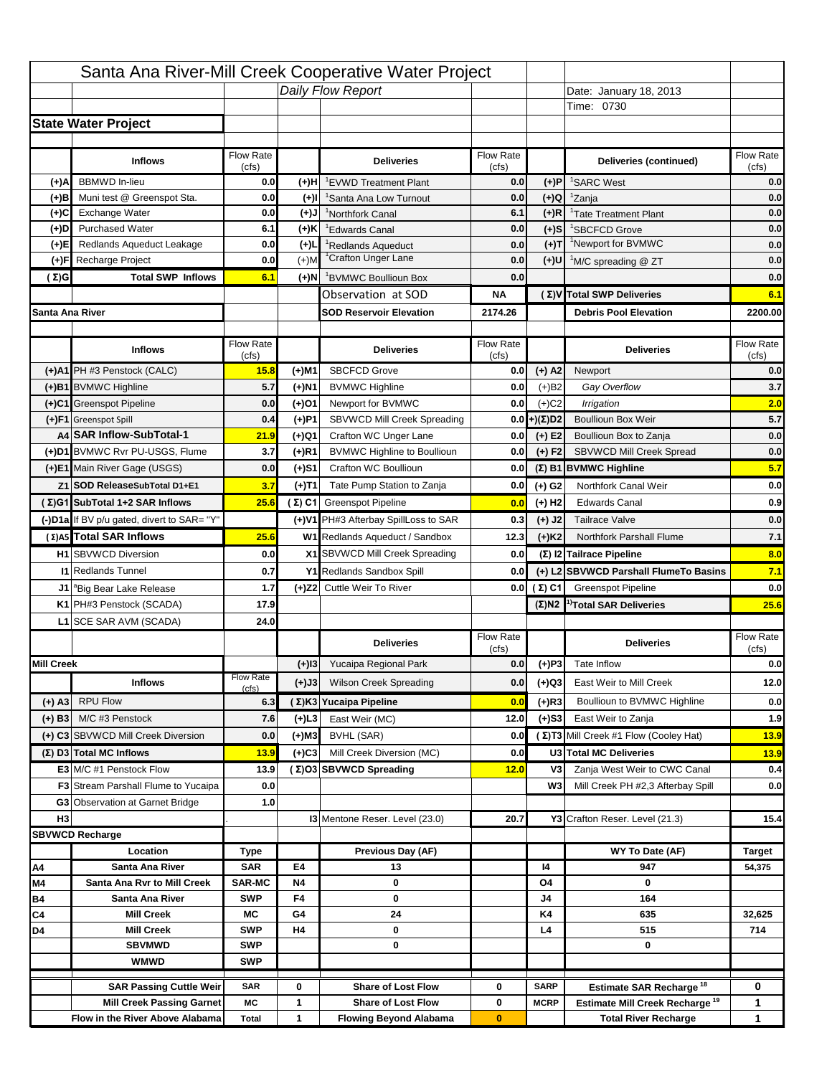|                   |                                                                     |                    |           | Santa Ana River-Mill Creek Cooperative Water Project       |                           |                      |                                                                           |                                          |
|-------------------|---------------------------------------------------------------------|--------------------|-----------|------------------------------------------------------------|---------------------------|----------------------|---------------------------------------------------------------------------|------------------------------------------|
|                   |                                                                     |                    |           | Daily Flow Report                                          |                           |                      | Date: January 18, 2013                                                    |                                          |
|                   |                                                                     |                    |           |                                                            |                           |                      | Time: 0730                                                                |                                          |
|                   | <b>State Water Project</b>                                          |                    |           |                                                            |                           |                      |                                                                           |                                          |
|                   |                                                                     |                    |           |                                                            |                           |                      |                                                                           |                                          |
|                   | <b>Inflows</b>                                                      | Flow Rate<br>(cfs) |           | <b>Deliveries</b>                                          | <b>Flow Rate</b><br>(cfs) |                      | Deliveries (continued)                                                    | Flow Rate<br>(cfs)                       |
| (+)A              | <b>BBMWD</b> In-lieu                                                | 0.0                | (+)H      | 'EVWD Treatment Plant                                      | 0.0                       | (+)P                 | <sup>1</sup> SARC West                                                    | 0.0                                      |
| (+)B              | Muni test @ Greenspot Sta.                                          | 0.0                | $(+)$ l   | 'Santa Ana Low Turnout                                     | 0.0                       | $(+)Q$               | <sup>1</sup> Zanja                                                        | 0.0                                      |
| (+)C              | Exchange Water                                                      | 0.0                | $(L(+)$   | <sup>1</sup> Northfork Canal                               | 6.1                       | $(+)R$               | <sup>1</sup> Tate Treatment Plant                                         | 0.0                                      |
| (+)D              | <b>Purchased Water</b>                                              | 6.1                | (+)K      | <sup>1</sup> Edwards Canal                                 | 0.0                       | $(+)$ S              | <sup>1</sup> SBCFCD Grove                                                 | 0.0                                      |
| (+)E              | Redlands Aqueduct Leakage                                           | 0.0                | $(+)1$    | <sup>1</sup> Redlands Aqueduct                             | 0.0                       | $(+)T$               | <sup>1</sup> Newport for BVMWC                                            | 0.0                                      |
| (+)F              | Recharge Project                                                    | 0.0                | $(+)$ M   | <sup>1</sup> Crafton Unger Lane                            | 0.0                       | $(+)$ U              | <sup>1</sup> M/C spreading @ ZT                                           | 0.0                                      |
| (Σ)G              | <b>Total SWP Inflows</b>                                            | 6.1                | (+)N      | <sup>1</sup> BVMWC Boullioun Box                           | 0.0                       |                      |                                                                           | 0.0                                      |
|                   |                                                                     |                    |           | Observation at SOD                                         | ΝA                        |                      | (Σ) V Total SWP Deliveries                                                | 6.1                                      |
| Santa Ana River   |                                                                     |                    |           | <b>SOD Reservoir Elevation</b>                             | 2174.26                   |                      | <b>Debris Pool Elevation</b>                                              | 2200.00                                  |
|                   |                                                                     |                    |           |                                                            |                           |                      |                                                                           |                                          |
|                   | <b>Inflows</b>                                                      | Flow Rate<br>(cfs) |           | <b>Deliveries</b>                                          | Flow Rate<br>(cfs)        |                      | <b>Deliveries</b>                                                         | Flow Rate<br>(cfs)                       |
|                   | (+)A1 PH #3 Penstock (CALC)                                         | 15.8               | (+)M1     | <b>SBCFCD Grove</b>                                        | 0.0                       | $(+)$ A2             | Newport                                                                   | 0.0                                      |
|                   | (+)B1 BVMWC Highline                                                | 5.7                | (+)N1     | <b>BVMWC Highline</b>                                      | 0.0                       | $(+)B2$              | Gay Overflow                                                              | 3.7                                      |
|                   | (+)C1 Greenspot Pipeline                                            | 0.0                | (+)01     | Newport for BVMWC                                          | 0.0                       | $(+)$ C <sub>2</sub> | Irrigation                                                                | 2.0                                      |
|                   | (+)F1 Greenspot Spill                                               | 0.4                | (+)P1     | SBVWCD Mill Creek Spreading                                | 0.0                       | (+)(Σ)D2             | <b>Boullioun Box Weir</b>                                                 | 5.7                                      |
|                   | A4 SAR Inflow-SubTotal-1                                            | 21.9               | (+)Q1     | Crafton WC Unger Lane                                      | 0.0                       | $(+) E2$             | Boullioun Box to Zanja                                                    | 0.0                                      |
|                   | (+)D1 BVMWC Rvr PU-USGS, Flume                                      | 3.7                | $(+)$ R1  | <b>BVMWC Highline to Boullioun</b>                         | 0.0                       | $(+) F2$             | <b>SBVWCD Mill Creek Spread</b>                                           | 0.0                                      |
|                   | (+)E1 Main River Gage (USGS)                                        | 0.0                | (+)S1     | Crafton WC Boullioun                                       | 0.0                       |                      | $(\Sigma)$ B1 BVMWC Highline                                              | 5.7                                      |
|                   | Z1 SOD ReleaseSubTotal D1+E1                                        | 3.7                | (+)T1     | Tate Pump Station to Zanja                                 | 0.0                       | (+) G2               | Northfork Canal Weir                                                      | 0.0                                      |
|                   | (Σ)G1 SubTotal 1+2 SAR Inflows                                      | 25.6               |           | (Σ) C1 Greenspot Pipeline                                  | 0.0                       | $(+)$ H <sub>2</sub> | <b>Edwards Canal</b>                                                      | 0.9                                      |
|                   |                                                                     |                    |           |                                                            |                           |                      |                                                                           |                                          |
|                   | (-)D1a If BV p/u gated, divert to SAR= "Y"                          |                    |           | (+)V1 PH#3 Afterbay SpillLoss to SAR                       | 0.3                       | $(+)$ J2             | <b>Tailrace Valve</b>                                                     | 0.0                                      |
|                   | (Σ) A5 Total SAR Inflows                                            | 25.6               |           | W1 Redlands Aqueduct / Sandbox                             | 12.3                      | $(+)$ K <sub>2</sub> | <b>Northfork Parshall Flume</b>                                           | 7.1                                      |
|                   | <b>H1</b> SBVWCD Diversion                                          |                    |           |                                                            |                           |                      |                                                                           |                                          |
|                   |                                                                     | 0.0                |           | X1 SBVWCD Mill Creek Spreading                             | 0.0                       |                      | (Σ) I2 Tailrace Pipeline                                                  | 8.0                                      |
|                   | <b>11 Redlands Tunnel</b>                                           | 0.7                |           | Y1 Redlands Sandbox Spill                                  | 0.0                       |                      | (+) L2 SBVWCD Parshall FlumeTo Basins                                     |                                          |
|                   | J1 <sup>a</sup> Big Bear Lake Release                               | 1.7                |           | (+)Z2 Cuttle Weir To River                                 |                           | 0.0 $(\Sigma)$ C1    | <b>Greenspot Pipeline</b>                                                 |                                          |
|                   | K1 PH#3 Penstock (SCADA)                                            | 17.9               |           |                                                            |                           |                      | $(\Sigma)$ N2 <sup>1)</sup> Total SAR Deliveries                          |                                          |
|                   | L1 SCE SAR AVM (SCADA)                                              | 24.0               |           |                                                            |                           |                      |                                                                           |                                          |
|                   |                                                                     |                    |           | <b>Deliveries</b>                                          | <b>Flow Rate</b>          |                      | <b>Deliveries</b>                                                         | Flow Rate                                |
|                   |                                                                     |                    |           |                                                            | (cfs)                     |                      |                                                                           | (cfs)                                    |
| <b>Mill Creek</b> |                                                                     | <b>Flow Rate</b>   | $(+)$ 13  | Yucaipa Regional Park                                      | 0.0                       | $(+)P3$              | Tate Inflow                                                               |                                          |
|                   | <b>Inflows</b>                                                      | (cfs)              | (+)J3     | <b>Wilson Creek Spreading</b>                              | 0.0                       | (+)Q3                | East Weir to Mill Creek                                                   |                                          |
| $(+)$ A3          | <b>RPU Flow</b>                                                     | 6.3                |           | (Σ)K3 Yucaipa Pipeline                                     | 0.0                       | (+)R3                | Boullioun to BVMWC Highline                                               | 7.1<br>0.0<br>25.6<br>0.0<br>12.0<br>0.0 |
| $(+)$ B3          | M/C #3 Penstock                                                     | 7.6                | $(+)$ L3  | East Weir (MC)                                             | 12.0                      | $(+)$ S3             | East Weir to Zanja                                                        | 1.9                                      |
|                   | (+) C3 SBVWCD Mill Creek Diversion                                  | 0.0                | (+)M3     | BVHL (SAR)                                                 | 0.0                       |                      | (Σ) T3 Mill Creek #1 Flow (Cooley Hat)                                    | 13.9                                     |
|                   | (Σ) D3 Total MC Inflows                                             | 13.9               | $(+)C3$   | Mill Creek Diversion (MC)                                  | 0.0                       |                      | U3 Total MC Deliveries                                                    | 13.9                                     |
|                   | E3 M/C #1 Penstock Flow                                             | 13.9               |           | (Σ)O3 SBVWCD Spreading                                     | 12.0                      | V3                   | Zanja West Weir to CWC Canal                                              | 0.4                                      |
|                   | <b>F3</b> Stream Parshall Flume to Yucaipa                          | 0.0                |           |                                                            |                           | W <sub>3</sub>       | Mill Creek PH #2,3 Afterbay Spill                                         |                                          |
|                   | G3 Observation at Garnet Bridge                                     | 1.0                |           |                                                            |                           |                      |                                                                           | 0.0                                      |
| H <sub>3</sub>    |                                                                     |                    |           | <b>13 Mentone Reser. Level (23.0)</b>                      | 20.7                      |                      | Y3 Crafton Reser. Level (21.3)                                            | 15.4                                     |
|                   | <b>SBVWCD Recharge</b>                                              |                    |           |                                                            |                           |                      |                                                                           |                                          |
|                   | Location                                                            | Type               |           | Previous Day (AF)                                          |                           |                      | WY To Date (AF)                                                           | <b>Target</b>                            |
| Α4                | Santa Ana River                                                     | <b>SAR</b>         | E4        | 13                                                         |                           | 14                   | 947                                                                       | 54,375                                   |
| M4                | Santa Ana Rvr to Mill Creek                                         | <b>SAR-MC</b>      | <b>N4</b> | 0                                                          |                           | O4                   | 0                                                                         |                                          |
| Β4                | Santa Ana River                                                     | <b>SWP</b>         | F4        | 0                                                          |                           | J4                   | 164                                                                       |                                          |
| C4                | <b>Mill Creek</b>                                                   | МC                 | G4        | 24                                                         |                           | K4                   | 635                                                                       | 32,625                                   |
| D4                | <b>Mill Creek</b>                                                   | <b>SWP</b>         | H4        | 0                                                          |                           | L4                   | 515                                                                       | 714                                      |
|                   | <b>SBVMWD</b>                                                       | <b>SWP</b>         |           | 0                                                          |                           |                      | 0                                                                         |                                          |
|                   | <b>WMWD</b>                                                         | <b>SWP</b>         |           |                                                            |                           |                      |                                                                           |                                          |
|                   | <b>SAR Passing Cuttle Weir</b>                                      | <b>SAR</b>         | 0         | <b>Share of Lost Flow</b>                                  | 0                         | <b>SARP</b>          | <b>Estimate SAR Recharge<sup>18</sup></b>                                 | 0                                        |
|                   | <b>Mill Creek Passing Garnet</b><br>Flow in the River Above Alabama | МC<br><b>Total</b> | 1<br>1    | <b>Share of Lost Flow</b><br><b>Flowing Beyond Alabama</b> | 0<br>$\bf{0}$             | <b>MCRP</b>          | Estimate Mill Creek Recharge <sup>19</sup><br><b>Total River Recharge</b> | 1<br>1                                   |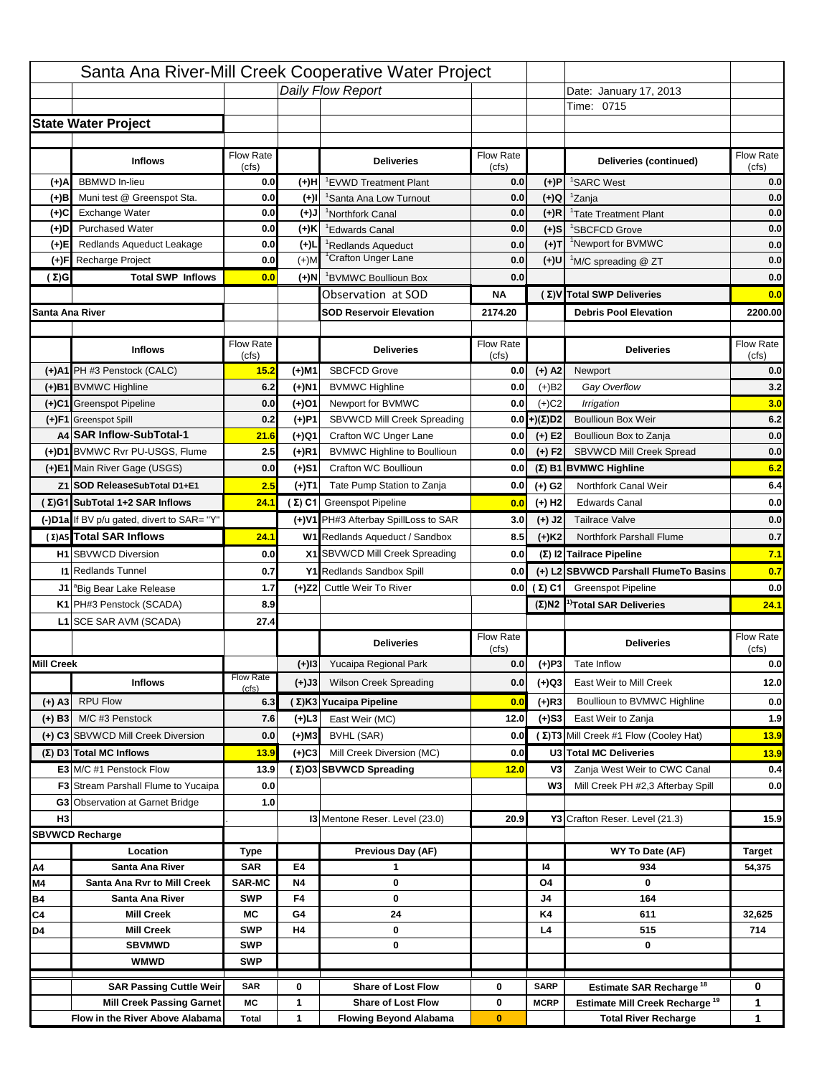|                   |                                                                     |                          |                   | Santa Ana River-Mill Creek Cooperative Water Project       |                           |                      |                                                                           |                                                  |
|-------------------|---------------------------------------------------------------------|--------------------------|-------------------|------------------------------------------------------------|---------------------------|----------------------|---------------------------------------------------------------------------|--------------------------------------------------|
|                   |                                                                     |                          |                   | Daily Flow Report                                          |                           |                      | Date: January 17, 2013                                                    |                                                  |
|                   |                                                                     |                          |                   |                                                            |                           |                      | Time: 0715                                                                |                                                  |
|                   | <b>State Water Project</b>                                          |                          |                   |                                                            |                           |                      |                                                                           |                                                  |
|                   |                                                                     |                          |                   |                                                            |                           |                      |                                                                           |                                                  |
|                   | <b>Inflows</b>                                                      | Flow Rate<br>(cfs)       |                   | <b>Deliveries</b>                                          | <b>Flow Rate</b><br>(cfs) |                      | Deliveries (continued)                                                    | Flow Rate<br>(cfs)                               |
| (+)A              | <b>BBMWD</b> In-lieu                                                | 0.0                      | (+)H              | 'EVWD Treatment Plant                                      | 0.0                       | (+)P                 | <sup>1</sup> SARC West                                                    | 0.0                                              |
| (+)B              | Muni test @ Greenspot Sta.                                          | 0.0                      | $(+)$ l           | 'Santa Ana Low Turnout                                     | 0.0                       | $(+)Q$               | <sup>1</sup> Zanja                                                        | 0.0                                              |
| (+)C              | Exchange Water                                                      | 0.0                      | $(L(+)$           | <sup>1</sup> Northfork Canal                               | 0.0                       | $(+)R$               | <sup>1</sup> Tate Treatment Plant                                         | 0.0                                              |
| (+)D              | <b>Purchased Water</b>                                              | 0.0                      | (+)K              | <sup>1</sup> Edwards Canal                                 | 0.0                       | $(+)$ S              | <sup>1</sup> SBCFCD Grove                                                 | 0.0                                              |
| (+)E              | Redlands Aqueduct Leakage                                           | 0.0                      | $(+)1$            | <sup>1</sup> Redlands Aqueduct                             | 0.0                       | $(+)T$               | <sup>1</sup> Newport for BVMWC                                            | 0.0                                              |
| (+)F              | Recharge Project                                                    | 0.0                      | $(+)$ M           | <sup>1</sup> Crafton Unger Lane                            | 0.0                       | $(+)$ U              | <sup>1</sup> M/C spreading @ ZT                                           | 0.0                                              |
| (Σ)G              | <b>Total SWP Inflows</b>                                            | 0.0                      | (+)N              | <sup>1</sup> BVMWC Boullioun Box                           | 0.0                       |                      |                                                                           | 0.0                                              |
|                   |                                                                     |                          |                   | Observation at SOD                                         | ΝA                        |                      | (Σ) V Total SWP Deliveries                                                | 0.0                                              |
| Santa Ana River   |                                                                     |                          |                   | <b>SOD Reservoir Elevation</b>                             | 2174.20                   |                      | <b>Debris Pool Elevation</b>                                              | 2200.00                                          |
|                   |                                                                     |                          |                   |                                                            |                           |                      |                                                                           |                                                  |
|                   | <b>Inflows</b>                                                      | Flow Rate                |                   | <b>Deliveries</b>                                          | Flow Rate                 |                      | <b>Deliveries</b>                                                         | Flow Rate                                        |
|                   |                                                                     | (cfs)                    |                   |                                                            | (cfs)                     |                      |                                                                           | (cfs)                                            |
|                   | (+)A1 PH #3 Penstock (CALC)                                         | 15.2                     | (+)M1             | <b>SBCFCD Grove</b>                                        | 0.0                       | $(+)$ A2             | Newport                                                                   | 0.0                                              |
|                   | (+)B1 BVMWC Highline                                                | 6.2                      | (+)N1             | <b>BVMWC Highline</b>                                      | 0.0                       | $(+)B2$              | Gay Overflow                                                              | 3.2                                              |
|                   | (+)C1 Greenspot Pipeline                                            | 0.0                      | (+)01             | Newport for BVMWC                                          | 0.0                       | $(+)$ C <sub>2</sub> | Irrigation                                                                | 3.0<br>6.2                                       |
|                   | (+)F1 Greenspot Spill<br>A4 SAR Inflow-SubTotal-1                   | 0.2                      | (+)P1             | SBVWCD Mill Creek Spreading<br>Crafton WC Unger Lane       | 0.0                       | (+)(Σ)D2             | <b>Boullioun Box Weir</b>                                                 |                                                  |
|                   | (+)D1 BVMWC Rvr PU-USGS, Flume                                      | 21.6<br>2.5              | (+)Q1<br>$(+)$ R1 | <b>BVMWC Highline to Boullioun</b>                         | 0.0<br>0.0                | $(+) E2$<br>$(+) F2$ | Boullioun Box to Zanja<br><b>SBVWCD Mill Creek Spread</b>                 | 0.0<br>0.0                                       |
|                   | (+)E1 Main River Gage (USGS)                                        | 0.0                      |                   | Crafton WC Boullioun                                       | 0.0                       |                      |                                                                           | 6.2                                              |
|                   |                                                                     |                          | (+)S1             |                                                            |                           |                      | $(\Sigma)$ B1 BVMWC Highline                                              |                                                  |
|                   | Z1 SOD ReleaseSubTotal D1+E1                                        | 2.5                      | (+)T1             | Tate Pump Station to Zanja                                 | 0.0                       | (+) G2               | Northfork Canal Weir                                                      | 6.4                                              |
|                   | (Σ)G1 SubTotal 1+2 SAR Inflows                                      | 24.1                     |                   | (Σ) C1 Greenspot Pipeline                                  | 0.0                       | $(+)$ H <sub>2</sub> | <b>Edwards Canal</b>                                                      | 0.0                                              |
|                   | (-)D1a If BV p/u gated, divert to SAR= "Y"                          |                          |                   | (+)V1 PH#3 Afterbay SpillLoss to SAR                       | 3.0                       | $(+)$ J2             | <b>Tailrace Valve</b>                                                     | 0.0                                              |
|                   | (Σ) A5 Total SAR Inflows                                            | 24.1                     |                   | W1 Redlands Aqueduct / Sandbox                             | 8.5                       | $(+)$ K <sub>2</sub> | <b>Northfork Parshall Flume</b>                                           | 0.7                                              |
|                   | <b>H1</b> SBVWCD Diversion                                          | 0.0                      |                   | X1 SBVWCD Mill Creek Spreading                             | 0.0                       |                      | (Σ) I2 Tailrace Pipeline                                                  | 7.1                                              |
|                   | <b>11 Redlands Tunnel</b>                                           | 0.7                      |                   | Y1 Redlands Sandbox Spill                                  | 0.0                       |                      | (+) L2 SBVWCD Parshall FlumeTo Basins                                     | 0.7                                              |
|                   |                                                                     |                          |                   |                                                            |                           |                      |                                                                           |                                                  |
|                   | J1 <sup>a</sup> Big Bear Lake Release                               | 1.7                      |                   | (+)Z2 Cuttle Weir To River                                 |                           | 0.0 $(\Sigma)$ C1    | <b>Greenspot Pipeline</b>                                                 |                                                  |
|                   | K1 PH#3 Penstock (SCADA)                                            | 8.9                      |                   |                                                            |                           |                      | $(\Sigma)$ N2 <sup>1)</sup> Total SAR Deliveries                          |                                                  |
|                   | L1 SCE SAR AVM (SCADA)                                              | 27.4                     |                   |                                                            |                           |                      |                                                                           |                                                  |
|                   |                                                                     |                          |                   | <b>Deliveries</b>                                          | <b>Flow Rate</b>          |                      | <b>Deliveries</b>                                                         | Flow Rate                                        |
|                   |                                                                     |                          |                   |                                                            | (cfs)                     |                      |                                                                           | (cfs)                                            |
| <b>Mill Creek</b> |                                                                     | <b>Flow Rate</b>         | $(+)$ 13          | Yucaipa Regional Park                                      | 0.0                       | $(+)P3$              | Tate Inflow                                                               |                                                  |
|                   | <b>Inflows</b>                                                      | (cfs)                    | (+)J3             | <b>Wilson Creek Spreading</b>                              | 0.0                       | (+)Q3                | East Weir to Mill Creek                                                   |                                                  |
| $(+)$ A3          | <b>RPU Flow</b>                                                     | 6.3                      |                   | (Σ)K3 Yucaipa Pipeline                                     | 0.0                       | (+)R3                | Boullioun to BVMWC Highline                                               |                                                  |
| $(+)$ B3          | M/C #3 Penstock                                                     | 7.6                      | $(+)$ L3          | East Weir (MC)                                             | 12.0                      | $(+)$ S3             | East Weir to Zanja                                                        |                                                  |
|                   | (+) C3 SBVWCD Mill Creek Diversion                                  | 0.0                      | (+)M3             | BVHL (SAR)                                                 | 0.0                       |                      | (Σ) T3 Mill Creek #1 Flow (Cooley Hat)                                    | 0.0<br>24.1<br>0.0<br>12.0<br>0.0<br>1.9<br>13.9 |
|                   | (Σ) D3 Total MC Inflows                                             | 13.9                     | $(+)C3$           | Mill Creek Diversion (MC)                                  | 0.0                       |                      | U3 Total MC Deliveries                                                    |                                                  |
|                   | E3 M/C #1 Penstock Flow                                             | 13.9                     |                   | (Σ)O3 SBVWCD Spreading                                     | 12.0                      | V3                   | Zanja West Weir to CWC Canal                                              |                                                  |
|                   | <b>F3</b> Stream Parshall Flume to Yucaipa                          | 0.0                      |                   |                                                            |                           | W <sub>3</sub>       | Mill Creek PH #2,3 Afterbay Spill                                         |                                                  |
|                   | G3 Observation at Garnet Bridge                                     | 1.0                      |                   |                                                            |                           |                      |                                                                           |                                                  |
| H <sub>3</sub>    |                                                                     |                          |                   | <b>13 Mentone Reser. Level (23.0)</b>                      | 20.9                      |                      | Y3 Crafton Reser. Level (21.3)                                            |                                                  |
|                   | <b>SBVWCD Recharge</b>                                              |                          |                   |                                                            |                           |                      |                                                                           |                                                  |
|                   | Location                                                            | Type                     |                   | Previous Day (AF)                                          |                           |                      | WY To Date (AF)                                                           | <b>Target</b>                                    |
| Α4                | Santa Ana River                                                     | <b>SAR</b>               | E4                | 1                                                          |                           | 14                   | 934                                                                       | 54,375                                           |
| M4                | Santa Ana Rvr to Mill Creek                                         | <b>SAR-MC</b>            | <b>N4</b>         | 0                                                          |                           | O4                   | 0                                                                         |                                                  |
| Β4                | Santa Ana River                                                     | <b>SWP</b>               | F4                | 0                                                          |                           | J4                   | 164                                                                       |                                                  |
| C4                | <b>Mill Creek</b>                                                   | МC                       | G4                | 24                                                         |                           | K4                   | 611                                                                       | 32,625                                           |
| D4                | <b>Mill Creek</b>                                                   | <b>SWP</b>               | H4                | 0                                                          |                           | L4                   | 515                                                                       | 714                                              |
|                   | <b>SBVMWD</b><br><b>WMWD</b>                                        | <b>SWP</b><br><b>SWP</b> |                   | 0                                                          |                           |                      | 0                                                                         |                                                  |
|                   |                                                                     |                          |                   |                                                            |                           |                      |                                                                           |                                                  |
|                   | <b>SAR Passing Cuttle Weir</b>                                      | <b>SAR</b>               | 0                 | <b>Share of Lost Flow</b>                                  | 0                         | <b>SARP</b>          | <b>Estimate SAR Recharge<sup>18</sup></b>                                 | 0                                                |
|                   | <b>Mill Creek Passing Garnet</b><br>Flow in the River Above Alabama | МC<br><b>Total</b>       | 1<br>1            | <b>Share of Lost Flow</b><br><b>Flowing Beyond Alabama</b> | 0<br>$\bf{0}$             | <b>MCRP</b>          | Estimate Mill Creek Recharge <sup>19</sup><br><b>Total River Recharge</b> | 13.9<br>0.4<br>0.0<br>15.9<br>1<br>1             |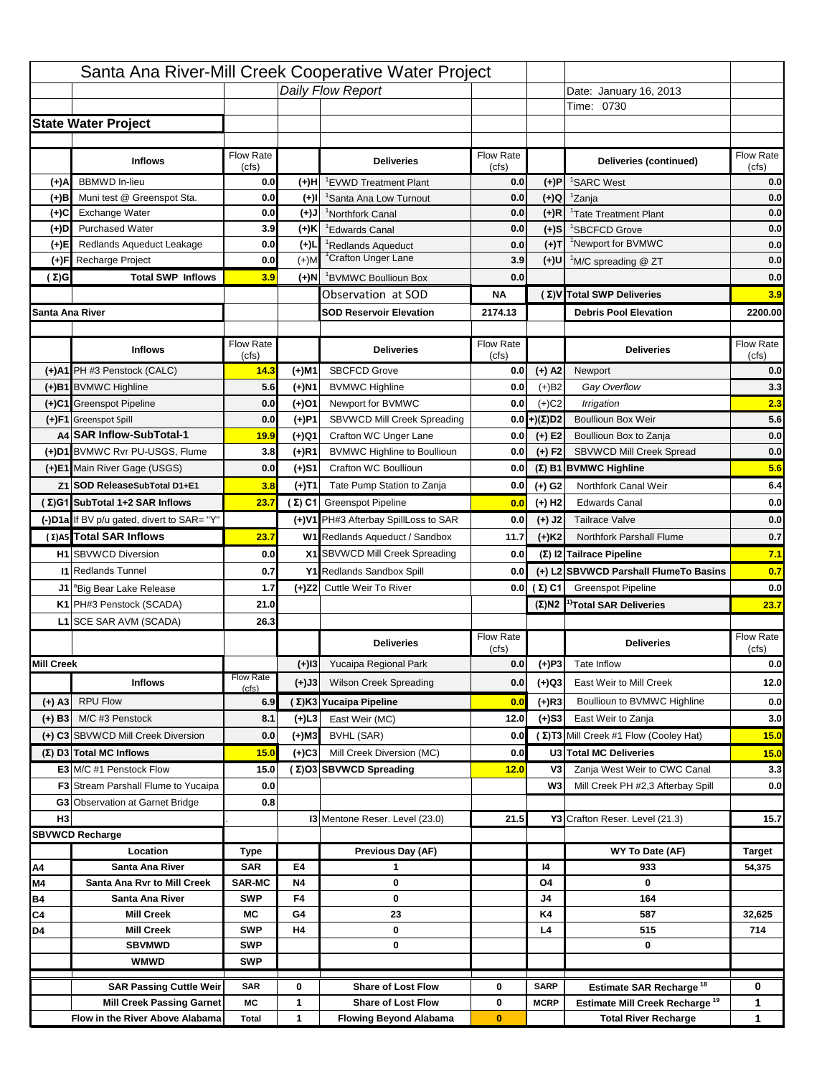|                   |                                                                     |                    |           | Santa Ana River-Mill Creek Cooperative Water Project       |                           |                      |                                                                           |                                                                                                        |
|-------------------|---------------------------------------------------------------------|--------------------|-----------|------------------------------------------------------------|---------------------------|----------------------|---------------------------------------------------------------------------|--------------------------------------------------------------------------------------------------------|
|                   |                                                                     |                    |           | Daily Flow Report                                          |                           |                      | Date: January 16, 2013                                                    |                                                                                                        |
|                   |                                                                     |                    |           |                                                            |                           |                      | Time: 0730                                                                |                                                                                                        |
|                   | <b>State Water Project</b>                                          |                    |           |                                                            |                           |                      |                                                                           |                                                                                                        |
|                   |                                                                     |                    |           |                                                            |                           |                      |                                                                           |                                                                                                        |
|                   | <b>Inflows</b>                                                      | Flow Rate<br>(cfs) |           | <b>Deliveries</b>                                          | <b>Flow Rate</b><br>(cfs) |                      | Deliveries (continued)                                                    | Flow Rate<br>(cfs)                                                                                     |
| (+)A              | <b>BBMWD</b> In-lieu                                                | 0.0                | (+)H      | 'EVWD Treatment Plant                                      | 0.0                       | (+)P                 | <sup>1</sup> SARC West                                                    | 0.0                                                                                                    |
| (+)B              | Muni test @ Greenspot Sta.                                          | 0.0                | $(+)$ l   | 'Santa Ana Low Turnout                                     | 0.0                       | $(+)Q$               | <sup>1</sup> Zanja                                                        | 0.0                                                                                                    |
| (+)C              | Exchange Water                                                      | 0.0                | $(L(+)$   | <sup>1</sup> Northfork Canal                               | 0.0                       | $(+)R$               | <sup>1</sup> Tate Treatment Plant                                         | 0.0                                                                                                    |
| (+)D              | <b>Purchased Water</b>                                              | 3.9                | (+)K      | <sup>1</sup> Edwards Canal                                 | 0.0                       | $(+)$ S              | <sup>1</sup> SBCFCD Grove                                                 | 0.0                                                                                                    |
| (+)E              | Redlands Aqueduct Leakage                                           | 0.0                | $(+)1$    | <sup>1</sup> Redlands Aqueduct                             | 0.0                       | $(+)T$               | <sup>1</sup> Newport for BVMWC                                            | 0.0                                                                                                    |
| (+)F              | Recharge Project                                                    | 0.0                | $(+)$ M   | <sup>1</sup> Crafton Unger Lane                            | 3.9                       | (+)U                 | <sup>1</sup> M/C spreading @ ZT                                           | 0.0                                                                                                    |
| (Σ)G              | <b>Total SWP Inflows</b>                                            | 3.9                | (+)N      | <sup>1</sup> BVMWC Boullioun Box                           | 0.0                       |                      |                                                                           | 0.0                                                                                                    |
|                   |                                                                     |                    |           | Observation at SOD                                         | ΝA                        |                      | (Σ) V Total SWP Deliveries                                                | 3.9                                                                                                    |
| Santa Ana River   |                                                                     |                    |           | <b>SOD Reservoir Elevation</b>                             | 2174.13                   |                      | <b>Debris Pool Elevation</b>                                              | 2200.00                                                                                                |
|                   |                                                                     |                    |           |                                                            |                           |                      |                                                                           |                                                                                                        |
|                   | <b>Inflows</b>                                                      | Flow Rate          |           | <b>Deliveries</b>                                          | Flow Rate                 |                      | <b>Deliveries</b>                                                         | Flow Rate<br>(cfs)                                                                                     |
|                   | (+)A1 PH #3 Penstock (CALC)                                         | (cfs)<br>14.3      | (+)M1     | <b>SBCFCD Grove</b>                                        | (cfs)<br>0.0              | $(+)$ A2             | Newport                                                                   | 0.0                                                                                                    |
|                   | (+)B1 BVMWC Highline                                                | 5.6                | (+)N1     | <b>BVMWC Highline</b>                                      | 0.0                       | $(+)B2$              | Gay Overflow                                                              | 3.3                                                                                                    |
|                   | (+)C1 Greenspot Pipeline                                            | 0.0                | (+)01     | Newport for BVMWC                                          | 0.0                       | $(+)$ C <sub>2</sub> | Irrigation                                                                | 2.3                                                                                                    |
|                   | (+)F1 Greenspot Spill                                               | 0.0                | (+)P1     | SBVWCD Mill Creek Spreading                                | 0.0                       | (+)(Σ)D2             | <b>Boullioun Box Weir</b>                                                 | 5.6                                                                                                    |
|                   | A4 SAR Inflow-SubTotal-1                                            | 19.9               | (+)Q1     | Crafton WC Unger Lane                                      | 0.0                       | $(+) E2$             | Boullioun Box to Zanja                                                    | 0.0                                                                                                    |
|                   | (+)D1 BVMWC Rvr PU-USGS, Flume                                      | 3.8                | $(+)$ R1  | <b>BVMWC Highline to Boullioun</b>                         | 0.0                       | $(+) F2$             | <b>SBVWCD Mill Creek Spread</b>                                           | 0.0                                                                                                    |
|                   | (+)E1 Main River Gage (USGS)                                        | 0.0                | (+)S1     | Crafton WC Boullioun                                       | 0.0                       |                      | $(\Sigma)$ B1 BVMWC Highline                                              | 5.6                                                                                                    |
|                   | Z1 SOD ReleaseSubTotal D1+E1                                        | 3.8                |           | Tate Pump Station to Zanja                                 | 0.0                       |                      | Northfork Canal Weir                                                      | 6.4                                                                                                    |
|                   | (Σ)G1 SubTotal 1+2 SAR Inflows                                      | 23.7               | (+)T1     | (Σ) C1 Greenspot Pipeline                                  |                           | (+) G2               | <b>Edwards Canal</b>                                                      | 0.0                                                                                                    |
|                   |                                                                     |                    |           |                                                            | 0.0                       | $(+)$ H <sub>2</sub> |                                                                           |                                                                                                        |
|                   | (-)D1a If BV p/u gated, divert to SAR= "Y"                          |                    |           | (+)V1 PH#3 Afterbay SpillLoss to SAR                       | 0.0                       | $(+)$ J2             | <b>Tailrace Valve</b>                                                     | 0.0                                                                                                    |
|                   | (Σ) A5 Total SAR Inflows                                            | 23.7               |           | W1 Redlands Aqueduct / Sandbox                             | 11.7                      | $(+)$ K <sub>2</sub> | <b>Northfork Parshall Flume</b>                                           | 0.7                                                                                                    |
|                   |                                                                     |                    |           |                                                            |                           |                      |                                                                           |                                                                                                        |
|                   | <b>H1</b> SBVWCD Diversion                                          | 0.0                |           | X1 SBVWCD Mill Creek Spreading                             | 0.0                       |                      | (Σ) I2 Tailrace Pipeline                                                  |                                                                                                        |
|                   | <b>11 Redlands Tunnel</b>                                           | 0.7                |           | Y1 Redlands Sandbox Spill                                  | 0.0                       |                      | (+) L2 SBVWCD Parshall FlumeTo Basins                                     |                                                                                                        |
|                   | J1 <sup>a</sup> Big Bear Lake Release                               | 1.7                |           | (+)Z2 Cuttle Weir To River                                 |                           | 0.0 $(\Sigma)$ C1    | <b>Greenspot Pipeline</b>                                                 |                                                                                                        |
|                   | K1 PH#3 Penstock (SCADA)                                            | 21.0               |           |                                                            |                           |                      | $(\Sigma)$ N2 <sup>1)</sup> Total SAR Deliveries                          |                                                                                                        |
|                   | L1 SCE SAR AVM (SCADA)                                              | 26.3               |           |                                                            |                           |                      |                                                                           |                                                                                                        |
|                   |                                                                     |                    |           | <b>Deliveries</b>                                          | <b>Flow Rate</b>          |                      | <b>Deliveries</b>                                                         | Flow Rate                                                                                              |
|                   |                                                                     |                    |           |                                                            | (cfs)                     |                      |                                                                           | (cfs)                                                                                                  |
| <b>Mill Creek</b> |                                                                     | <b>Flow Rate</b>   | $(+)$ 13  | Yucaipa Regional Park                                      | 0.0                       | $(+)P3$              | Tate Inflow                                                               |                                                                                                        |
|                   | <b>Inflows</b>                                                      | (cfs)              | (+)J3     | <b>Wilson Creek Spreading</b>                              | 0.0                       | (+)Q3                | East Weir to Mill Creek                                                   |                                                                                                        |
| $(+)$ A3          | <b>RPU Flow</b>                                                     | 6.9                |           | (Σ)K3 Yucaipa Pipeline                                     | 0.0                       | (+)R3                | Boullioun to BVMWC Highline                                               |                                                                                                        |
| $(+)$ B3          | M/C #3 Penstock                                                     | 8.1                | (+)L3     | East Weir (MC)                                             | 12.0                      | $(+)$ S3             | East Weir to Zanja                                                        |                                                                                                        |
|                   | (+) C3 SBVWCD Mill Creek Diversion                                  | 0.0                | (+)M3     | BVHL (SAR)                                                 | 0.0                       |                      | (Σ) T3 Mill Creek #1 Flow (Cooley Hat)                                    |                                                                                                        |
|                   | (Σ) D3 Total MC Inflows                                             | 15.0               | $(+)C3$   | Mill Creek Diversion (MC)                                  | 0.0                       |                      | U3 Total MC Deliveries                                                    |                                                                                                        |
|                   | E3 M/C #1 Penstock Flow                                             | 15.0               |           | (Σ)O3 SBVWCD Spreading                                     | 12.0                      | V3                   | Zanja West Weir to CWC Canal                                              |                                                                                                        |
|                   | <b>F3</b> Stream Parshall Flume to Yucaipa                          | 0.0                |           |                                                            |                           | W <sub>3</sub>       | Mill Creek PH #2,3 Afterbay Spill                                         |                                                                                                        |
|                   | G3 Observation at Garnet Bridge                                     | 0.8                |           |                                                            |                           |                      |                                                                           |                                                                                                        |
| H <sub>3</sub>    |                                                                     |                    |           | <b>13 Mentone Reser. Level (23.0)</b>                      | 21.5                      |                      | Y3 Crafton Reser. Level (21.3)                                            |                                                                                                        |
|                   | <b>SBVWCD Recharge</b>                                              |                    |           |                                                            |                           |                      |                                                                           |                                                                                                        |
|                   | Location                                                            | Type               |           | Previous Day (AF)                                          |                           |                      | WY To Date (AF)                                                           | <b>Target</b>                                                                                          |
| Α4                | Santa Ana River                                                     | <b>SAR</b>         | E4        | 1                                                          |                           | 14                   | 933                                                                       | 54,375                                                                                                 |
| M4                | Santa Ana Rvr to Mill Creek                                         | <b>SAR-MC</b>      | <b>N4</b> | 0                                                          |                           | O4                   | 0                                                                         |                                                                                                        |
| Β4                | Santa Ana River                                                     | <b>SWP</b>         | F4        | 0                                                          |                           | J4                   | 164                                                                       |                                                                                                        |
| C4                | <b>Mill Creek</b>                                                   | МC                 | G4        | 23                                                         |                           | K4                   | 587                                                                       | 32,625                                                                                                 |
| D4                | <b>Mill Creek</b>                                                   | <b>SWP</b>         | H4        | 0                                                          |                           | L4                   | 515                                                                       | 714                                                                                                    |
|                   | <b>SBVMWD</b>                                                       | <b>SWP</b>         |           | 0                                                          |                           |                      | 0                                                                         |                                                                                                        |
|                   | <b>WMWD</b>                                                         | <b>SWP</b>         |           |                                                            |                           |                      |                                                                           |                                                                                                        |
|                   | <b>SAR Passing Cuttle Weir</b>                                      | <b>SAR</b>         | 0         | <b>Share of Lost Flow</b>                                  | 0                         | <b>SARP</b>          | <b>Estimate SAR Recharge<sup>18</sup></b>                                 | 0                                                                                                      |
|                   | <b>Mill Creek Passing Garnet</b><br>Flow in the River Above Alabama | МC<br><b>Total</b> | 1<br>1    | <b>Share of Lost Flow</b><br><b>Flowing Beyond Alabama</b> | 0<br>$\bf{0}$             | <b>MCRP</b>          | Estimate Mill Creek Recharge <sup>19</sup><br><b>Total River Recharge</b> | 7.1<br>0.7<br>0.0<br>23.7<br>0.0<br>12.0<br>0.0<br>3.0<br>15.0<br>15.0<br>3.3<br>0.0<br>15.7<br>1<br>1 |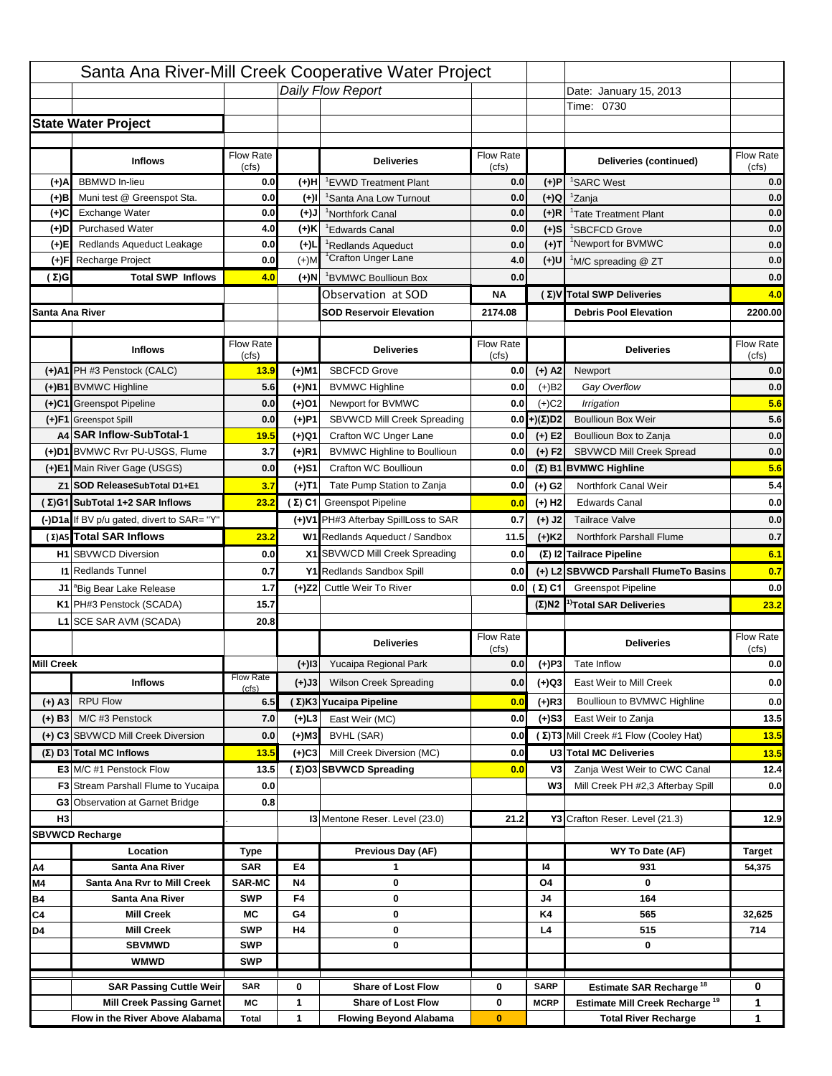|                   |                                                                     |                    |           | Santa Ana River-Mill Creek Cooperative Water Project       |                           |                      |                                                                           |                                                                                         |
|-------------------|---------------------------------------------------------------------|--------------------|-----------|------------------------------------------------------------|---------------------------|----------------------|---------------------------------------------------------------------------|-----------------------------------------------------------------------------------------|
|                   |                                                                     |                    |           | Daily Flow Report                                          |                           |                      | Date: January 15, 2013                                                    |                                                                                         |
|                   |                                                                     |                    |           |                                                            |                           |                      | Time: 0730                                                                |                                                                                         |
|                   | <b>State Water Project</b>                                          |                    |           |                                                            |                           |                      |                                                                           |                                                                                         |
|                   |                                                                     |                    |           |                                                            |                           |                      |                                                                           |                                                                                         |
|                   | <b>Inflows</b>                                                      | Flow Rate<br>(cfs) |           | <b>Deliveries</b>                                          | <b>Flow Rate</b><br>(cfs) |                      | Deliveries (continued)                                                    | Flow Rate<br>(cfs)                                                                      |
| (+)A              | <b>BBMWD</b> In-lieu                                                | 0.0                | (+)H      | 'EVWD Treatment Plant                                      | 0.0                       | (+)P                 | <sup>1</sup> SARC West                                                    | 0.0                                                                                     |
| (+)B              | Muni test @ Greenspot Sta.                                          | 0.0                | $(+)$ l   | 'Santa Ana Low Turnout                                     | 0.0                       | $(+)Q$               | <sup>1</sup> Zanja                                                        | 0.0                                                                                     |
| (+)C              | Exchange Water                                                      | 0.0                | $(L(+)$   | <sup>1</sup> Northfork Canal                               | 0.0                       | $(+)R$               | <sup>1</sup> Tate Treatment Plant                                         | 0.0                                                                                     |
| (+)D              | <b>Purchased Water</b>                                              | 4.0                | (+)K      | <sup>1</sup> Edwards Canal                                 | 0.0                       | $(+)$ S              | <sup>1</sup> SBCFCD Grove                                                 | 0.0                                                                                     |
| (+)E              | Redlands Aqueduct Leakage                                           | 0.0                | $(+)1$    | <sup>1</sup> Redlands Aqueduct                             | 0.0                       | $(+)$ T              | <sup>1</sup> Newport for BVMWC                                            | 0.0                                                                                     |
| (+)F              | Recharge Project                                                    | 0.0                | $(+)$ M   | <sup>1</sup> Crafton Unger Lane                            | 4.0                       | $(+)$ U              | <sup>1</sup> M/C spreading @ ZT                                           | 0.0                                                                                     |
| (Σ)G              | <b>Total SWP Inflows</b>                                            | 4.0                | (+)N      | <sup>1</sup> BVMWC Boullioun Box                           | 0.0                       |                      |                                                                           | 0.0                                                                                     |
|                   |                                                                     |                    |           | Observation at SOD                                         | ΝA                        |                      | (Σ) V Total SWP Deliveries                                                | 4.0                                                                                     |
| Santa Ana River   |                                                                     |                    |           | <b>SOD Reservoir Elevation</b>                             | 2174.08                   |                      | <b>Debris Pool Elevation</b>                                              | 2200.00                                                                                 |
|                   |                                                                     |                    |           |                                                            |                           |                      |                                                                           |                                                                                         |
|                   | <b>Inflows</b>                                                      | Flow Rate          |           | <b>Deliveries</b>                                          | Flow Rate                 |                      | <b>Deliveries</b>                                                         | Flow Rate<br>(cfs)                                                                      |
|                   | (+)A1 PH #3 Penstock (CALC)                                         | (cfs)<br>13.9      | (+)M1     | <b>SBCFCD Grove</b>                                        | (cfs)<br>0.0              | $(+)$ A2             | Newport                                                                   | 0.0                                                                                     |
|                   | (+)B1 BVMWC Highline                                                | 5.6                | (+)N1     | <b>BVMWC Highline</b>                                      | 0.0                       | $(+)B2$              | Gay Overflow                                                              | 0.0                                                                                     |
|                   | (+)C1 Greenspot Pipeline                                            | 0.0                | (+)01     | Newport for BVMWC                                          | 0.0                       | $(+)$ C <sub>2</sub> | Irrigation                                                                | 5.6                                                                                     |
|                   | (+)F1 Greenspot Spill                                               | 0.0                | (+)P1     | SBVWCD Mill Creek Spreading                                | 0.0                       | (+)(Σ)D2             | <b>Boullioun Box Weir</b>                                                 | 5.6                                                                                     |
|                   | A4 SAR Inflow-SubTotal-1                                            | 19.5               | (+)Q1     | Crafton WC Unger Lane                                      | 0.0                       | $(+) E2$             | Boullioun Box to Zanja                                                    | 0.0                                                                                     |
|                   | (+)D1 BVMWC Rvr PU-USGS, Flume                                      | 3.7                | $(+)$ R1  | <b>BVMWC Highline to Boullioun</b>                         | 0.0                       | $(+) F2$             | <b>SBVWCD Mill Creek Spread</b>                                           | 0.0                                                                                     |
|                   | (+)E1 Main River Gage (USGS)                                        | 0.0                | (+)S1     | Crafton WC Boullioun                                       | 0.0                       |                      | $(\Sigma)$ B1 BVMWC Highline                                              | 5.6                                                                                     |
|                   | Z1 SOD ReleaseSubTotal D1+E1                                        | 3.7                |           | Tate Pump Station to Zanja                                 | 0.0                       |                      | Northfork Canal Weir                                                      | 5.4                                                                                     |
|                   |                                                                     |                    | (+)T1     |                                                            |                           | (+) G2               |                                                                           |                                                                                         |
|                   | (Σ)G1 SubTotal 1+2 SAR Inflows                                      | 23.2               |           | (Σ) C1 Greenspot Pipeline                                  | 0.0                       | $(+)$ H <sub>2</sub> | <b>Edwards Canal</b>                                                      | 0.0                                                                                     |
|                   | (-)D1a If BV p/u gated, divert to SAR= "Y"                          |                    |           | (+)V1 PH#3 Afterbay SpillLoss to SAR                       | 0.7                       | $(+)$ J2             | <b>Tailrace Valve</b>                                                     | 0.0                                                                                     |
|                   | (Σ) A5 Total SAR Inflows                                            | 23.2               |           | W1 Redlands Aqueduct / Sandbox                             | 11.5                      | $(+)$ K <sub>2</sub> | <b>Northfork Parshall Flume</b>                                           | 0.7                                                                                     |
|                   |                                                                     |                    |           |                                                            |                           |                      |                                                                           |                                                                                         |
|                   | <b>H1</b> SBVWCD Diversion                                          | 0.0                |           | X1 SBVWCD Mill Creek Spreading                             | 0.0                       |                      | (Σ) I2 Tailrace Pipeline                                                  |                                                                                         |
|                   | <b>11 Redlands Tunnel</b>                                           | 0.7                |           | Y1 Redlands Sandbox Spill                                  | 0.0                       |                      | (+) L2 SBVWCD Parshall FlumeTo Basins                                     |                                                                                         |
|                   | J1 <sup>a</sup> Big Bear Lake Release                               | 1.7                |           | (+)Z2 Cuttle Weir To River                                 |                           | 0.0 $(\Sigma)$ C1    | <b>Greenspot Pipeline</b>                                                 |                                                                                         |
|                   | K1 PH#3 Penstock (SCADA)                                            | 15.7               |           |                                                            |                           |                      | $(\Sigma)$ N2 <sup>1)</sup> Total SAR Deliveries                          |                                                                                         |
|                   | L1 SCE SAR AVM (SCADA)                                              | 20.8               |           |                                                            |                           |                      |                                                                           |                                                                                         |
|                   |                                                                     |                    |           | <b>Deliveries</b>                                          | <b>Flow Rate</b>          |                      | <b>Deliveries</b>                                                         | Flow Rate                                                                               |
| <b>Mill Creek</b> |                                                                     |                    |           |                                                            | (cfs)                     |                      | Tate Inflow                                                               | (cfs)                                                                                   |
|                   |                                                                     | <b>Flow Rate</b>   | $(+)$ 13  | Yucaipa Regional Park                                      | 0.0                       | $(+)P3$              |                                                                           |                                                                                         |
|                   | <b>Inflows</b>                                                      | (cfs)              | (+)J3     | <b>Wilson Creek Spreading</b>                              | 0.0                       | (+)Q3                | East Weir to Mill Creek                                                   |                                                                                         |
| (+) A3            | <b>RPU Flow</b>                                                     | 6.5                |           | (Σ)K3 Yucaipa Pipeline                                     | 0.0                       | $(+)$ R3             | Boullioun to BVMWC Highline                                               |                                                                                         |
| $(+)$ B3          | M/C #3 Penstock                                                     | 7.0                | (+)L3     | East Weir (MC)                                             | 0.0                       | $(+)$ S3             | East Weir to Zanja                                                        |                                                                                         |
|                   | (+) C3 SBVWCD Mill Creek Diversion                                  | 0.0                | (+)M3     | BVHL (SAR)                                                 | 0.0                       |                      | (Σ) T3 Mill Creek #1 Flow (Cooley Hat)                                    | 13.5                                                                                    |
|                   | (Σ) D3 Total MC Inflows                                             | 13.5               | $(+)C3$   | Mill Creek Diversion (MC)                                  | 0.0                       |                      | U3 Total MC Deliveries                                                    | 13.5                                                                                    |
|                   | E3 M/C #1 Penstock Flow                                             | 13.5               |           | (Σ)O3 SBVWCD Spreading                                     | 0.0                       | V3                   | Zanja West Weir to CWC Canal                                              |                                                                                         |
|                   | <b>F3</b> Stream Parshall Flume to Yucaipa                          | 0.0                |           |                                                            |                           | W <sub>3</sub>       | Mill Creek PH #2,3 Afterbay Spill                                         |                                                                                         |
|                   | G3 Observation at Garnet Bridge                                     | 0.8                |           |                                                            |                           |                      |                                                                           |                                                                                         |
| H <sub>3</sub>    |                                                                     |                    |           | 13 Mentone Reser. Level (23.0)                             | 21.2                      |                      | Y3 Crafton Reser. Level (21.3)                                            |                                                                                         |
|                   | <b>SBVWCD Recharge</b>                                              |                    |           |                                                            |                           |                      |                                                                           |                                                                                         |
|                   | Location                                                            | Type               |           | Previous Day (AF)                                          |                           |                      | WY To Date (AF)                                                           | <b>Target</b>                                                                           |
| Α4                | Santa Ana River                                                     | <b>SAR</b>         | E4        | 1                                                          |                           | 14                   | 931                                                                       | 54,375                                                                                  |
| M4                | Santa Ana Rvr to Mill Creek                                         | <b>SAR-MC</b>      | <b>N4</b> | 0                                                          |                           | O4                   | 0                                                                         |                                                                                         |
| Β4                | Santa Ana River                                                     | <b>SWP</b>         | F4        | 0                                                          |                           | J4                   | 164                                                                       |                                                                                         |
| C4                | <b>Mill Creek</b>                                                   | МC                 | G4        | 0                                                          |                           | K4                   | 565                                                                       | 32,625                                                                                  |
| D4                | <b>Mill Creek</b>                                                   | <b>SWP</b>         | H4        | 0                                                          |                           | L4                   | 515                                                                       | 714                                                                                     |
|                   | <b>SBVMWD</b>                                                       | <b>SWP</b>         |           | 0                                                          |                           |                      | 0                                                                         |                                                                                         |
|                   | <b>WMWD</b>                                                         | <b>SWP</b>         |           |                                                            |                           |                      |                                                                           |                                                                                         |
|                   | <b>SAR Passing Cuttle Weir</b>                                      | <b>SAR</b>         | 0         | <b>Share of Lost Flow</b>                                  | 0                         | <b>SARP</b>          | <b>Estimate SAR Recharge<sup>18</sup></b>                                 | 0                                                                                       |
|                   | <b>Mill Creek Passing Garnet</b><br>Flow in the River Above Alabama | МC<br><b>Total</b> | 1<br>1    | <b>Share of Lost Flow</b><br><b>Flowing Beyond Alabama</b> | 0<br>$\bf{0}$             | <b>MCRP</b>          | Estimate Mill Creek Recharge <sup>19</sup><br><b>Total River Recharge</b> | 6.1<br>0.7<br>0.0<br>23.2<br>0.0<br>0.0<br>0.0<br>13.5<br>12.4<br>0.0<br>12.9<br>1<br>1 |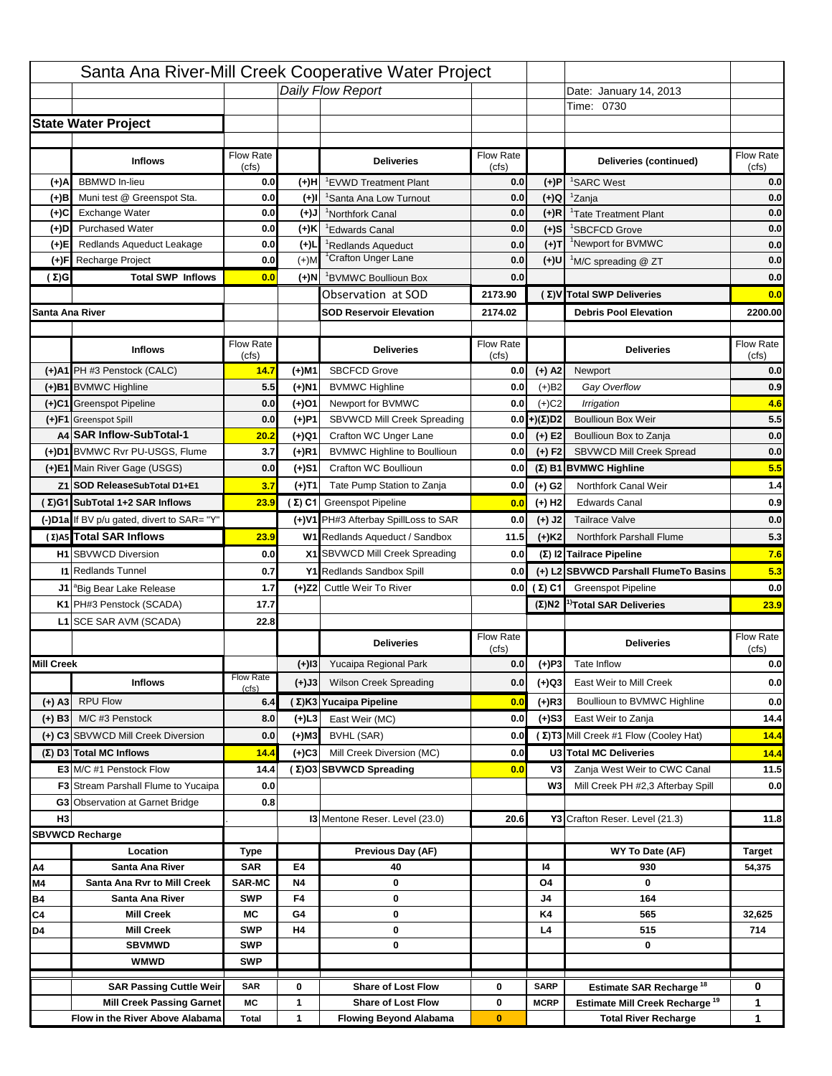|                   |                                                                    |                    |           | Santa Ana River-Mill Creek Cooperative Water Project   |                           |                            |                                                                                         |                    |
|-------------------|--------------------------------------------------------------------|--------------------|-----------|--------------------------------------------------------|---------------------------|----------------------------|-----------------------------------------------------------------------------------------|--------------------|
|                   |                                                                    |                    |           | Daily Flow Report                                      |                           |                            | Date: January 14, 2013                                                                  |                    |
|                   |                                                                    |                    |           |                                                        |                           |                            | Time: 0730                                                                              |                    |
|                   | <b>State Water Project</b>                                         |                    |           |                                                        |                           |                            |                                                                                         |                    |
|                   |                                                                    |                    |           |                                                        |                           |                            |                                                                                         |                    |
|                   | <b>Inflows</b>                                                     | Flow Rate<br>(cfs) |           | <b>Deliveries</b>                                      | <b>Flow Rate</b><br>(cfs) |                            | Deliveries (continued)                                                                  | Flow Rate<br>(cfs) |
| (+)A              | <b>BBMWD</b> In-lieu                                               | 0.0                | (+)H      | 'EVWD Treatment Plant                                  | 0.0                       | (+)P                       | <sup>1</sup> SARC West                                                                  | 0.0                |
| (+)B              | Muni test @ Greenspot Sta.                                         | 0.0                | $(+)$ l   | 'Santa Ana Low Turnout                                 | 0.0                       | $(+)Q$                     | <sup>1</sup> Zanja                                                                      | 0.0                |
| (+)C              | Exchange Water                                                     | 0.0                | $(L(+)$   | <sup>1</sup> Northfork Canal                           | 0.0                       | $(+)R$                     | <sup>1</sup> Tate Treatment Plant                                                       | 0.0                |
| (+)D              | <b>Purchased Water</b>                                             | 0.0                | (+)K      | <sup>1</sup> Edwards Canal                             | 0.0                       | $(+)$ S                    | <sup>1</sup> SBCFCD Grove                                                               | 0.0                |
| (+)E              | Redlands Aqueduct Leakage                                          | 0.0                | $(+)1$    | <sup>1</sup> Redlands Aqueduct                         | 0.0                       | $(+)T$                     | <sup>1</sup> Newport for BVMWC                                                          | 0.0                |
| (+)F              | Recharge Project                                                   | 0.0                | $(+)$ M   | <sup>1</sup> Crafton Unger Lane                        | 0.0                       | $(+)$ U                    | <sup>1</sup> M/C spreading @ ZT                                                         | 0.0                |
| (Σ)G              | <b>Total SWP Inflows</b>                                           | 0.0                | (+)N      | <sup>1</sup> BVMWC Boullioun Box                       | 0.0                       |                            |                                                                                         | 0.0                |
|                   |                                                                    |                    |           | Observation at SOD                                     | 2173.90                   |                            | (Σ) V Total SWP Deliveries                                                              | 0.0                |
| Santa Ana River   |                                                                    |                    |           | <b>SOD Reservoir Elevation</b>                         | 2174.02                   |                            | <b>Debris Pool Elevation</b>                                                            | 2200.00            |
|                   |                                                                    |                    |           |                                                        |                           |                            |                                                                                         |                    |
|                   | <b>Inflows</b>                                                     | Flow Rate          |           | <b>Deliveries</b>                                      | Flow Rate                 |                            | <b>Deliveries</b>                                                                       | Flow Rate          |
|                   | (+)A1 PH #3 Penstock (CALC)                                        | (cfs)<br>14.7      | (+)M1     | <b>SBCFCD Grove</b>                                    | (cfs)<br>0.0              | $(+)$ A2                   | Newport                                                                                 | (cfs)<br>0.0       |
|                   | (+)B1 BVMWC Highline                                               | 5.5                | (+)N1     | <b>BVMWC Highline</b>                                  | 0.0                       | $(+)B2$                    | Gay Overflow                                                                            | 0.9                |
|                   | (+)C1 Greenspot Pipeline                                           | 0.0                | (+)01     | Newport for BVMWC                                      | 0.0                       | $(+)$ C <sub>2</sub>       | Irrigation                                                                              | 4.6                |
|                   | (+)F1 Greenspot Spill                                              | 0.0                | (+)P1     | SBVWCD Mill Creek Spreading                            | 0.0                       | (+)(Σ)D2                   | <b>Boullioun Box Weir</b>                                                               | 5.5                |
|                   | A4 SAR Inflow-SubTotal-1                                           | 20.2               | (+)Q1     | Crafton WC Unger Lane                                  | 0.0                       | $(+) E2$                   | Boullioun Box to Zanja                                                                  | 0.0                |
|                   | (+)D1 BVMWC Rvr PU-USGS, Flume                                     | 3.7                | $(+)$ R1  | <b>BVMWC Highline to Boullioun</b>                     | 0.0                       | $(+) F2$                   | <b>SBVWCD Mill Creek Spread</b>                                                         | 0.0                |
|                   | (+)E1 Main River Gage (USGS)                                       | 0.0                | (+)S1     | Crafton WC Boullioun                                   | 0.0                       |                            | $(\Sigma)$ B1 BVMWC Highline                                                            | 5.5                |
|                   | Z1 SOD ReleaseSubTotal D1+E1                                       | 3.7                |           | Tate Pump Station to Zanja                             | 0.0                       |                            | Northfork Canal Weir                                                                    | 1.4                |
|                   | (Σ)G1 SubTotal 1+2 SAR Inflows                                     | 23.9               | (+)T1     | (Σ) C1 Greenspot Pipeline                              |                           | (+) G2                     | <b>Edwards Canal</b>                                                                    | 0.9                |
|                   |                                                                    |                    |           |                                                        | 0.0                       | $(+)$ H <sub>2</sub>       |                                                                                         |                    |
|                   | (-)D1a If BV p/u gated, divert to SAR= "Y"                         |                    |           | (+)V1 PH#3 Afterbay SpillLoss to SAR                   | 0.0                       | $(+)$ J2                   | <b>Tailrace Valve</b>                                                                   | 0.0                |
|                   | (Σ) A5 Total SAR Inflows                                           | 23.9               |           | W1 Redlands Aqueduct / Sandbox                         | 11.5                      | $(+)$ K <sub>2</sub>       | <b>Northfork Parshall Flume</b>                                                         | 5.3                |
|                   | <b>H1</b> SBVWCD Diversion                                         | 0.0                |           | X1 SBVWCD Mill Creek Spreading                         | 0.0                       |                            | (Σ) I2 Tailrace Pipeline                                                                | 7.6                |
|                   | <b>11 Redlands Tunnel</b>                                          | 0.7                |           | Y1 Redlands Sandbox Spill                              | 0.0                       |                            | (+) L2 SBVWCD Parshall FlumeTo Basins                                                   | 5.3                |
|                   | J1 <sup>a</sup> Big Bear Lake Release                              | 1.7                |           | (+)Z2 Cuttle Weir To River                             |                           | 0.0 $(\Sigma)$ C1          | <b>Greenspot Pipeline</b>                                                               | 0.0                |
|                   | K1 PH#3 Penstock (SCADA)                                           | 17.7               |           |                                                        |                           |                            | $(\Sigma)$ N2 <sup>1)</sup> Total SAR Deliveries                                        | 23.9               |
|                   | L1 SCE SAR AVM (SCADA)                                             | 22.8               |           |                                                        |                           |                            |                                                                                         |                    |
|                   |                                                                    |                    |           | <b>Deliveries</b>                                      | <b>Flow Rate</b><br>(cfs) |                            | <b>Deliveries</b>                                                                       | Flow Rate<br>(cfs) |
| <b>Mill Creek</b> |                                                                    |                    | $(+)$ 13  |                                                        |                           |                            | Tate Inflow                                                                             |                    |
|                   | <b>Inflows</b>                                                     |                    |           | Yucaipa Regional Park                                  | 0.0                       |                            |                                                                                         |                    |
|                   |                                                                    | <b>Flow Rate</b>   |           |                                                        |                           | $(+)P3$                    |                                                                                         |                    |
|                   |                                                                    | (cfs)              | (+)J3     | <b>Wilson Creek Spreading</b>                          | 0.0                       | (+)Q3                      | East Weir to Mill Creek                                                                 |                    |
| (+) A3            | <b>RPU Flow</b>                                                    | 6.4                |           | (Σ)K3 Yucaipa Pipeline                                 | 0.0                       | $(+)$ R3                   | Boullioun to BVMWC Highline                                                             | 0.0<br>0.0<br>0.0  |
| $(+)$ B3          | M/C #3 Penstock                                                    | 8.0                | $(+)$ L3  | East Weir (MC)                                         | 0.0                       | $(+)$ S3                   | East Weir to Zanja                                                                      | 14.4               |
|                   | (+) C3 SBVWCD Mill Creek Diversion                                 | 0.0                | (+)M3     | BVHL (SAR)                                             | 0.0                       |                            | (Σ) T3 Mill Creek #1 Flow (Cooley Hat)                                                  | 14.4               |
|                   | (Σ) D3 Total MC Inflows                                            | 14.4               | $(+)C3$   | Mill Creek Diversion (MC)                              | 0.0                       |                            | U3 Total MC Deliveries                                                                  | 14.4               |
|                   | E3 M/C #1 Penstock Flow                                            | 14.4               |           | (Σ)O3 SBVWCD Spreading                                 | 0.0                       | V3                         | Zanja West Weir to CWC Canal                                                            |                    |
|                   | <b>F3</b> Stream Parshall Flume to Yucaipa                         | 0.0                |           |                                                        |                           | W <sub>3</sub>             | Mill Creek PH #2,3 Afterbay Spill                                                       | 11.5<br>0.0        |
|                   | G3 Observation at Garnet Bridge                                    | 0.8                |           |                                                        |                           |                            |                                                                                         |                    |
| H <sub>3</sub>    |                                                                    |                    |           | 13 Mentone Reser. Level (23.0)                         | 20.6                      |                            | Y3 Crafton Reser. Level (21.3)                                                          | 11.8               |
|                   | <b>SBVWCD Recharge</b>                                             |                    |           |                                                        |                           |                            |                                                                                         |                    |
|                   | Location                                                           | Type               |           | Previous Day (AF)                                      |                           |                            | WY To Date (AF)                                                                         | <b>Target</b>      |
| Α4                | Santa Ana River                                                    | <b>SAR</b>         | E4        | 40                                                     |                           | 14                         | 930                                                                                     | 54,375             |
| M4                | Santa Ana Rvr to Mill Creek                                        | <b>SAR-MC</b>      | <b>N4</b> | 0                                                      |                           | O4                         | 0                                                                                       |                    |
| Β4                | Santa Ana River<br><b>Mill Creek</b>                               | <b>SWP</b><br>МC   | F4<br>G4  | 0<br>0                                                 |                           | J4<br>K4                   | 164<br>565                                                                              | 32,625             |
| C4<br>D4          | <b>Mill Creek</b>                                                  | <b>SWP</b>         | H4        | 0                                                      |                           | L4                         | 515                                                                                     | 714                |
|                   | <b>SBVMWD</b>                                                      | <b>SWP</b>         |           | 0                                                      |                           |                            | 0                                                                                       |                    |
|                   | <b>WMWD</b>                                                        | <b>SWP</b>         |           |                                                        |                           |                            |                                                                                         |                    |
|                   |                                                                    |                    |           |                                                        |                           |                            |                                                                                         |                    |
|                   | <b>SAR Passing Cuttle Weir</b><br><b>Mill Creek Passing Garnet</b> | <b>SAR</b><br>МC   | 0<br>1    | <b>Share of Lost Flow</b><br><b>Share of Lost Flow</b> | 0<br>0                    | <b>SARP</b><br><b>MCRP</b> | <b>Estimate SAR Recharge<sup>18</sup></b><br>Estimate Mill Creek Recharge <sup>19</sup> | 0<br>1             |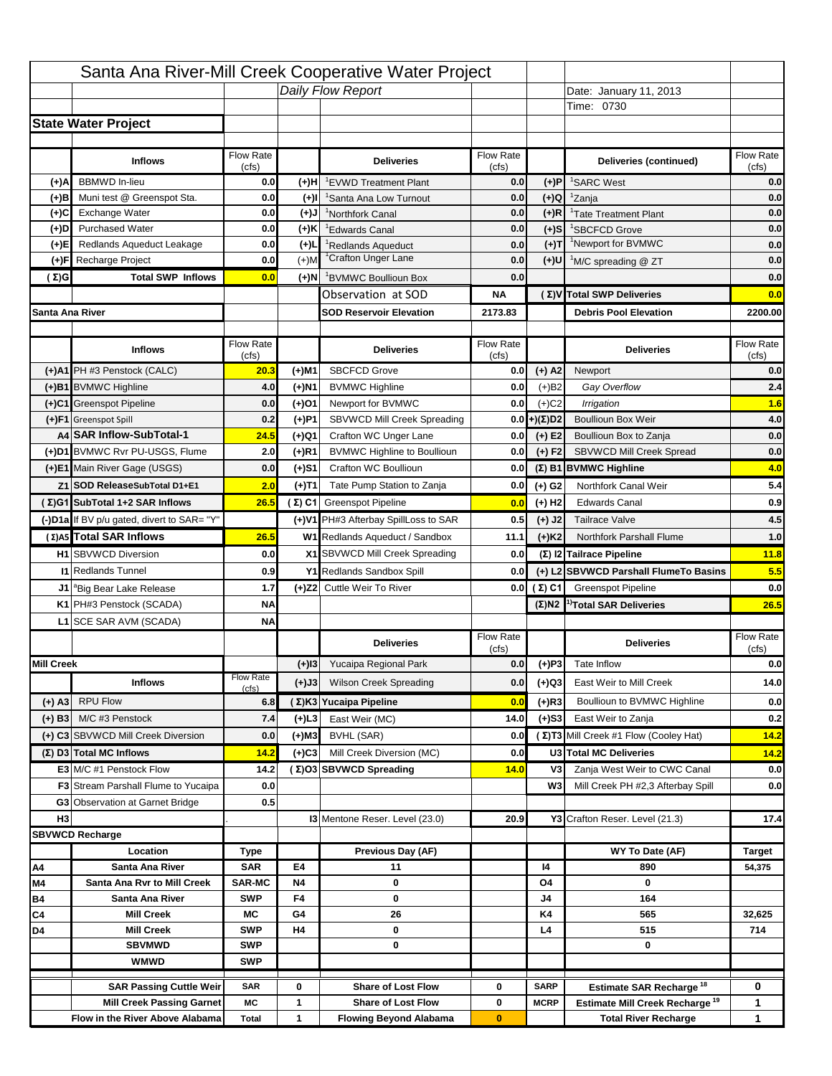|                   |                                                                    |                    |                | Santa Ana River-Mill Creek Cooperative Water Project   |                           |                                 |                                                                                         |                         |
|-------------------|--------------------------------------------------------------------|--------------------|----------------|--------------------------------------------------------|---------------------------|---------------------------------|-----------------------------------------------------------------------------------------|-------------------------|
|                   |                                                                    |                    |                | Daily Flow Report                                      |                           |                                 | Date: January 11, 2013                                                                  |                         |
|                   |                                                                    |                    |                |                                                        |                           |                                 | Time: 0730                                                                              |                         |
|                   | <b>State Water Project</b>                                         |                    |                |                                                        |                           |                                 |                                                                                         |                         |
|                   |                                                                    |                    |                |                                                        |                           |                                 |                                                                                         |                         |
|                   | <b>Inflows</b>                                                     | Flow Rate<br>(cfs) |                | <b>Deliveries</b>                                      | <b>Flow Rate</b><br>(cfs) |                                 | Deliveries (continued)                                                                  | Flow Rate<br>(cfs)      |
| (+)A              | <b>BBMWD</b> In-lieu                                               | 0.0                | (+)H           | 'EVWD Treatment Plant                                  | 0.0                       | (+)P                            | <sup>1</sup> SARC West                                                                  | 0.0                     |
| (+)B              | Muni test @ Greenspot Sta.                                         | 0.0                | $(+)$ l        | 'Santa Ana Low Turnout                                 | 0.0                       | $(+)Q$                          | <sup>1</sup> Zanja                                                                      | 0.0                     |
| (+)C              | Exchange Water                                                     | 0.0                | $(L(+)$        | <sup>1</sup> Northfork Canal                           | 0.0                       | $(+)R$                          | <sup>1</sup> Tate Treatment Plant                                                       | 0.0                     |
| (+)D              | <b>Purchased Water</b>                                             | 0.0                | (+)K           | <sup>1</sup> Edwards Canal                             | 0.0                       | $(+)$ S                         | <sup>1</sup> SBCFCD Grove                                                               | 0.0                     |
| (+)E              | Redlands Aqueduct Leakage                                          | 0.0                | $(+)1$         | <sup>1</sup> Redlands Aqueduct                         | 0.0                       | $(+)T$                          | <sup>1</sup> Newport for BVMWC                                                          | 0.0                     |
| (+)F              | Recharge Project                                                   | 0.0                | $(+)$ M        | <sup>1</sup> Crafton Unger Lane                        | 0.0                       | $(+)$ U                         | <sup>1</sup> M/C spreading @ ZT                                                         | 0.0                     |
| (Σ)G              | <b>Total SWP Inflows</b>                                           | 0.0                | (+)N           | <sup>1</sup> BVMWC Boullioun Box                       | 0.0                       |                                 |                                                                                         | 0.0                     |
|                   |                                                                    |                    |                | Observation at SOD                                     | ΝA                        |                                 | (Σ) V Total SWP Deliveries                                                              | 0.0                     |
| Santa Ana River   |                                                                    |                    |                | <b>SOD Reservoir Elevation</b>                         | 2173.83                   |                                 | <b>Debris Pool Elevation</b>                                                            | 2200.00                 |
|                   |                                                                    |                    |                |                                                        |                           |                                 |                                                                                         |                         |
|                   | <b>Inflows</b>                                                     | Flow Rate          |                | <b>Deliveries</b>                                      | Flow Rate                 |                                 | <b>Deliveries</b>                                                                       | Flow Rate               |
|                   | (+)A1 PH #3 Penstock (CALC)                                        | (cfs)<br>20.3      | (+)M1          | <b>SBCFCD Grove</b>                                    | (cfs)<br>0.0              | $(+)$ A2                        | Newport                                                                                 | (cfs)<br>0.0            |
|                   | (+)B1 BVMWC Highline                                               | 4.0                |                |                                                        | 0.0                       |                                 | Gay Overflow                                                                            | 2.4                     |
|                   | (+)C1 Greenspot Pipeline                                           | 0.0                | (+)N1<br>(+)01 | <b>BVMWC Highline</b><br>Newport for BVMWC             | 0.0                       | $(+)B2$<br>$(+)$ C <sub>2</sub> | Irrigation                                                                              | 1.6                     |
|                   | (+)F1 Greenspot Spill                                              | 0.2                | (+)P1          | SBVWCD Mill Creek Spreading                            | 0.0                       | (+)(Σ)D2                        | <b>Boullioun Box Weir</b>                                                               | 4.0                     |
|                   | A4 SAR Inflow-SubTotal-1                                           | 24.5               | (+)Q1          | Crafton WC Unger Lane                                  | 0.0                       | $(+) E2$                        | Boullioun Box to Zanja                                                                  | 0.0                     |
|                   | (+)D1 BVMWC Rvr PU-USGS, Flume                                     | 2.0                | $(+)$ R1       | <b>BVMWC Highline to Boullioun</b>                     | 0.0                       | $(+) F2$                        | <b>SBVWCD Mill Creek Spread</b>                                                         | 0.0                     |
|                   | (+)E1 Main River Gage (USGS)                                       | 0.0                | (+)S1          | Crafton WC Boullioun                                   | 0.0                       |                                 | $(\Sigma)$ B1 BVMWC Highline                                                            | 4.0                     |
|                   | Z1 SOD ReleaseSubTotal D1+E1                                       | 2.0                |                | Tate Pump Station to Zanja                             | 0.0                       |                                 | Northfork Canal Weir                                                                    | 5.4                     |
|                   | (Σ)G1 SubTotal 1+2 SAR Inflows                                     | 26.5               | (+)T1          | (Σ) C1 Greenspot Pipeline                              | 0.0                       | (+) G2                          | <b>Edwards Canal</b>                                                                    | 0.9                     |
|                   |                                                                    |                    |                |                                                        |                           | $(+)$ H <sub>2</sub>            |                                                                                         |                         |
|                   | (-)D1a If BV p/u gated, divert to SAR= "Y"                         |                    |                | (+)V1 PH#3 Afterbay SpillLoss to SAR                   | 0.5                       | $(+)$ J2                        | <b>Tailrace Valve</b>                                                                   | 4.5                     |
|                   | (Σ) A5 Total SAR Inflows                                           | 26.5               |                | W1 Redlands Aqueduct / Sandbox                         | 11.1                      | $(+)$ K <sub>2</sub>            | <b>Northfork Parshall Flume</b>                                                         | 1.0                     |
|                   | <b>H1</b> SBVWCD Diversion                                         | 0.0                |                | X1 SBVWCD Mill Creek Spreading                         | 0.0                       |                                 | (Σ) I2 Tailrace Pipeline                                                                | 11.8                    |
|                   | <b>11 Redlands Tunnel</b>                                          | 0.9                |                | Y1 Redlands Sandbox Spill                              | 0.0                       |                                 | (+) L2 SBVWCD Parshall FlumeTo Basins                                                   | 5.5                     |
|                   | J1 <sup>a</sup> Big Bear Lake Release                              | 1.7                |                | (+)Z2 Cuttle Weir To River                             |                           | 0.0 $(\Sigma)$ C1               | <b>Greenspot Pipeline</b>                                                               | 0.0                     |
|                   | K1 PH#3 Penstock (SCADA)                                           | <b>NA</b>          |                |                                                        |                           |                                 | $(\Sigma)$ N2 <sup>1)</sup> Total SAR Deliveries                                        | 26.5                    |
|                   | L1 SCE SAR AVM (SCADA)                                             | <b>NA</b>          |                |                                                        |                           |                                 |                                                                                         |                         |
|                   |                                                                    |                    |                | <b>Deliveries</b>                                      | <b>Flow Rate</b><br>(cfs) |                                 | <b>Deliveries</b>                                                                       | Flow Rate<br>(cfs)      |
| <b>Mill Creek</b> |                                                                    |                    | $(+)$ 13       | Yucaipa Regional Park                                  | 0.0                       | $(+)P3$                         | Tate Inflow                                                                             | 0.0                     |
|                   | <b>Inflows</b>                                                     | <b>Flow Rate</b>   | (+)J3          | <b>Wilson Creek Spreading</b>                          | 0.0                       | (+)Q3                           | East Weir to Mill Creek                                                                 | 14.0                    |
| (+) A3            | <b>RPU Flow</b>                                                    | (cfs)<br>6.8       |                | (Σ)K3 Yucaipa Pipeline                                 | 0.0                       | (+)R3                           | Boullioun to BVMWC Highline                                                             | 0.0                     |
|                   | M/C #3 Penstock                                                    |                    |                | East Weir (MC)                                         |                           |                                 |                                                                                         |                         |
| $(+)$ B3          |                                                                    | 7.4                | (+)L3          |                                                        | 14.0                      | $(+)$ S3                        | East Weir to Zanja<br>(Σ) T3 Mill Creek #1 Flow (Cooley Hat)                            | 0.2                     |
|                   | (+) C3 SBVWCD Mill Creek Diversion                                 | 0.0                | (+)M3          | BVHL (SAR)                                             | 0.0                       |                                 |                                                                                         | 14.2                    |
|                   | $(\Sigma)$ D3 Total MC Inflows<br>E3 M/C #1 Penstock Flow          | 14.2               | $(+)C3$        | Mill Creek Diversion (MC)                              | 0.0                       |                                 | U3 Total MC Deliveries                                                                  | 14.2                    |
|                   |                                                                    | 14.2               |                | (Σ)O3 SBVWCD Spreading                                 | 14.0                      | V3<br>W <sub>3</sub>            | Zanja West Weir to CWC Canal                                                            | 0.0                     |
|                   | <b>F3</b> Stream Parshall Flume to Yucaipa                         | 0.0<br>0.5         |                |                                                        |                           |                                 | Mill Creek PH #2,3 Afterbay Spill                                                       | 0.0                     |
| H <sub>3</sub>    | G3 Observation at Garnet Bridge                                    |                    |                | <b>13 Mentone Reser. Level (23.0)</b>                  | 20.9                      |                                 |                                                                                         |                         |
|                   | <b>SBVWCD Recharge</b>                                             |                    |                |                                                        |                           |                                 | Y3 Crafton Reser. Level (21.3)                                                          | 17.4                    |
|                   | Location                                                           |                    |                | Previous Day (AF)                                      |                           |                                 | WY To Date (AF)                                                                         |                         |
| Α4                |                                                                    | Type<br><b>SAR</b> | E4             | 11                                                     |                           | 14                              | 890                                                                                     | <b>Target</b><br>54,375 |
| M4                |                                                                    |                    |                |                                                        |                           |                                 |                                                                                         |                         |
|                   | Santa Ana River                                                    |                    |                |                                                        |                           |                                 |                                                                                         |                         |
|                   | Santa Ana Rvr to Mill Creek                                        | <b>SAR-MC</b>      | <b>N4</b>      | 0                                                      |                           | O4                              | 0                                                                                       |                         |
| Β4                | Santa Ana River<br><b>Mill Creek</b>                               | <b>SWP</b><br>МC   | F4<br>G4       | 0<br>26                                                |                           | J4<br>K4                        | 164<br>565                                                                              | 32,625                  |
| C4<br>D4          | <b>Mill Creek</b>                                                  | <b>SWP</b>         | H4             | 0                                                      |                           | L4                              | 515                                                                                     | 714                     |
|                   | <b>SBVMWD</b>                                                      | <b>SWP</b>         |                | 0                                                      |                           |                                 | 0                                                                                       |                         |
|                   | <b>WMWD</b>                                                        | <b>SWP</b>         |                |                                                        |                           |                                 |                                                                                         |                         |
|                   |                                                                    |                    |                |                                                        |                           |                                 |                                                                                         |                         |
|                   | <b>SAR Passing Cuttle Weir</b><br><b>Mill Creek Passing Garnet</b> | <b>SAR</b><br>МC   | 0<br>1         | <b>Share of Lost Flow</b><br><b>Share of Lost Flow</b> | 0<br>0                    | <b>SARP</b><br><b>MCRP</b>      | <b>Estimate SAR Recharge<sup>18</sup></b><br>Estimate Mill Creek Recharge <sup>19</sup> | 0<br>1                  |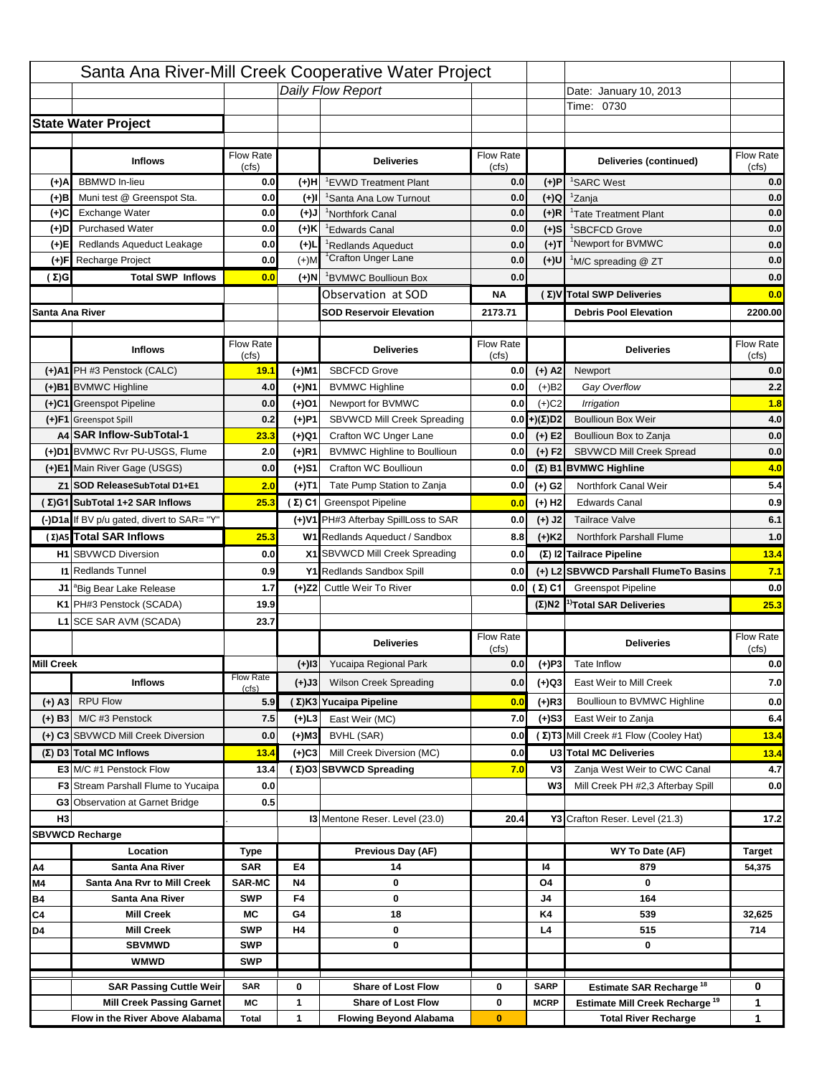|                   |                                                                    |                    |           | Santa Ana River-Mill Creek Cooperative Water Project   |                           |                            |                                                                                   |                                         |
|-------------------|--------------------------------------------------------------------|--------------------|-----------|--------------------------------------------------------|---------------------------|----------------------------|-----------------------------------------------------------------------------------|-----------------------------------------|
|                   |                                                                    |                    |           | Daily Flow Report                                      |                           |                            | Date: January 10, 2013                                                            |                                         |
|                   |                                                                    |                    |           |                                                        |                           |                            | Time: 0730                                                                        |                                         |
|                   | <b>State Water Project</b>                                         |                    |           |                                                        |                           |                            |                                                                                   |                                         |
|                   |                                                                    |                    |           |                                                        |                           |                            |                                                                                   |                                         |
|                   | <b>Inflows</b>                                                     | Flow Rate<br>(cfs) |           | <b>Deliveries</b>                                      | <b>Flow Rate</b><br>(cfs) |                            | Deliveries (continued)                                                            | Flow Rate<br>(cfs)                      |
| (+)A              | <b>BBMWD</b> In-lieu                                               | 0.0                | (+)H      | 'EVWD Treatment Plant                                  | 0.0                       | (+)P                       | <sup>1</sup> SARC West                                                            | 0.0                                     |
| (+)B              | Muni test @ Greenspot Sta.                                         | 0.0                | $(+)$ l   | 'Santa Ana Low Turnout                                 | 0.0                       | $(+)Q$                     | <sup>1</sup> Zanja                                                                | 0.0                                     |
| (+)C              | Exchange Water                                                     | 0.0                | $(+)$ J   | <sup>1</sup> Northfork Canal                           | 0.0                       | $(+)R$                     | <sup>1</sup> Tate Treatment Plant                                                 | 0.0                                     |
| (+)D              | <b>Purchased Water</b>                                             | 0.0                | (+)K      | <sup>1</sup> Edwards Canal                             | 0.0                       | $(+)$ S                    | <sup>1</sup> SBCFCD Grove                                                         | 0.0                                     |
| (+)E              | Redlands Aqueduct Leakage                                          | 0.0                | $(+)1$    | <sup>1</sup> Redlands Aqueduct                         | 0.0                       | $(+)T$                     | <sup>1</sup> Newport for BVMWC                                                    | 0.0                                     |
| (+)F              | Recharge Project                                                   | 0.0                | $(+)$ M   | <sup>1</sup> Crafton Unger Lane                        | 0.0                       | $(+)$ U                    | <sup>1</sup> M/C spreading @ ZT                                                   | 0.0                                     |
| (Σ)G              | <b>Total SWP Inflows</b>                                           | 0.0                | (+)N      | <sup>1</sup> BVMWC Boullioun Box                       | 0.0                       |                            |                                                                                   | 0.0                                     |
|                   |                                                                    |                    |           | Observation at SOD                                     | ΝA                        |                            | (Σ) V Total SWP Deliveries                                                        | 0.0                                     |
| Santa Ana River   |                                                                    |                    |           | <b>SOD Reservoir Elevation</b>                         | 2173.71                   |                            | <b>Debris Pool Elevation</b>                                                      | 2200.00                                 |
|                   |                                                                    |                    |           |                                                        |                           |                            |                                                                                   |                                         |
|                   | <b>Inflows</b>                                                     | Flow Rate          |           | <b>Deliveries</b>                                      | Flow Rate                 |                            | <b>Deliveries</b>                                                                 | Flow Rate                               |
|                   | (+)A1 PH #3 Penstock (CALC)                                        | (cfs)<br>19.1      | (+)M1     | <b>SBCFCD Grove</b>                                    | (cfs)<br>0.0              | $(+)$ A2                   | Newport                                                                           | (cfs)<br>0.0                            |
|                   | (+)B1 BVMWC Highline                                               | 4.0                | (+)N1     | <b>BVMWC Highline</b>                                  | 0.0                       | $(+)B2$                    | Gay Overflow                                                                      | 2.2                                     |
|                   | (+)C1 Greenspot Pipeline                                           | 0.0                | (+)01     | Newport for BVMWC                                      | 0.0                       | $(+)$ C <sub>2</sub>       | Irrigation                                                                        | 1.8                                     |
|                   | (+)F1 Greenspot Spill                                              | 0.2                | (+)P1     | SBVWCD Mill Creek Spreading                            | 0.0                       | (+)(Σ)D2                   | <b>Boullioun Box Weir</b>                                                         | 4.0                                     |
|                   | A4 SAR Inflow-SubTotal-1                                           | 23.3               | (+)Q1     | Crafton WC Unger Lane                                  | 0.0                       | $(+) E2$                   | Boullioun Box to Zanja                                                            | 0.0                                     |
|                   | (+)D1 BVMWC Rvr PU-USGS, Flume                                     | 2.0                | $(+)$ R1  | <b>BVMWC Highline to Boullioun</b>                     | 0.0                       | $(+) F2$                   | SBVWCD Mill Creek Spread                                                          | 0.0                                     |
|                   | (+)E1 Main River Gage (USGS)                                       | 0.0                | (+)S1     | Crafton WC Boullioun                                   | 0.0                       |                            | $(\Sigma)$ B1 BVMWC Highline                                                      | 4.0                                     |
|                   | Z1 SOD ReleaseSubTotal D1+E1                                       | 2.0                | (+)T1     | Tate Pump Station to Zanja                             | 0.0                       | (+) G2                     | Northfork Canal Weir                                                              | 5.4                                     |
|                   | (Σ)G1 SubTotal 1+2 SAR Inflows                                     | 25.3               |           | (Σ) C1 Greenspot Pipeline                              | 0.0                       | $(+)$ H <sub>2</sub>       | <b>Edwards Canal</b>                                                              | 0.9                                     |
|                   |                                                                    |                    |           | (+)V1 PH#3 Afterbay SpillLoss to SAR                   |                           |                            |                                                                                   | 6.1                                     |
|                   | (-)D1a If BV p/u gated, divert to SAR= "Y"                         |                    |           |                                                        | 0.0                       | $(+)$ J2                   | <b>Tailrace Valve</b>                                                             |                                         |
|                   | (Σ) A5 Total SAR Inflows                                           | 25.3               |           | W1 Redlands Aqueduct / Sandbox                         | 8.8                       | $(+)$ K <sub>2</sub>       | <b>Northfork Parshall Flume</b>                                                   | 1.0                                     |
|                   | <b>H1</b> SBVWCD Diversion                                         | 0.0                |           | X1 SBVWCD Mill Creek Spreading                         | 0.0                       |                            | (Σ) I2 Tailrace Pipeline                                                          | 13.4                                    |
|                   | <b>11 Redlands Tunnel</b>                                          |                    |           |                                                        |                           |                            |                                                                                   |                                         |
|                   |                                                                    | 0.9                |           | Y1 Redlands Sandbox Spill                              | 0.0                       |                            | (+) L2 SBVWCD Parshall FlumeTo Basins                                             |                                         |
|                   | J1 <sup>a</sup> Big Bear Lake Release                              | 1.7                |           | (+)Z2 Cuttle Weir To River                             |                           | 0.0 $(\Sigma)$ C1          | <b>Greenspot Pipeline</b>                                                         |                                         |
|                   | K1 PH#3 Penstock (SCADA)                                           | 19.9               |           |                                                        |                           |                            | $(\Sigma)$ N2 <sup>1)</sup> Total SAR Deliveries                                  |                                         |
|                   | L1 SCE SAR AVM (SCADA)                                             | 23.7               |           |                                                        |                           |                            |                                                                                   |                                         |
|                   |                                                                    |                    |           | <b>Deliveries</b>                                      | <b>Flow Rate</b>          |                            | <b>Deliveries</b>                                                                 | Flow Rate                               |
| <b>Mill Creek</b> |                                                                    |                    | $(+)$ 13  | Yucaipa Regional Park                                  | (cfs)<br>0.0              |                            | Tate Inflow                                                                       | (cfs)                                   |
|                   |                                                                    | <b>Flow Rate</b>   |           |                                                        |                           | $(+)P3$                    |                                                                                   |                                         |
|                   | <b>Inflows</b>                                                     | (cfs)              | (+)J3     | <b>Wilson Creek Spreading</b>                          | 0.0                       | (+)Q3                      | East Weir to Mill Creek                                                           |                                         |
| (+) A3            | <b>RPU Flow</b>                                                    | 5.9                |           | (Σ)K3 Yucaipa Pipeline                                 | 0.0                       | $(+)$ R3                   | Boullioun to BVMWC Highline                                                       | 7.1<br>0.0<br>25.3<br>0.0<br>7.0<br>0.0 |
| $(+)$ B3          | M/C #3 Penstock                                                    | 7.5                | (+)L3     | East Weir (MC)                                         | 7.0                       | $(+)$ S3                   | East Weir to Zanja                                                                | 6.4                                     |
|                   | (+) C3 SBVWCD Mill Creek Diversion                                 | 0.0                | (+)M3     | BVHL (SAR)                                             | 0.0                       |                            | (Σ) T3 Mill Creek #1 Flow (Cooley Hat)                                            | 13.4                                    |
|                   | (Σ) D3 Total MC Inflows                                            | 13.4               | $(+)C3$   | Mill Creek Diversion (MC)                              | 0.0                       |                            | U3 Total MC Deliveries                                                            | 13.4                                    |
|                   | E3 M/C #1 Penstock Flow                                            | 13.4               |           | (Σ)O3 SBVWCD Spreading                                 | 7.0                       | V3                         | Zanja West Weir to CWC Canal                                                      | 4.7                                     |
|                   | <b>F3</b> Stream Parshall Flume to Yucaipa                         | 0.0                |           |                                                        |                           | W <sub>3</sub>             | Mill Creek PH #2,3 Afterbay Spill                                                 |                                         |
|                   | G3 Observation at Garnet Bridge                                    | 0.5                |           |                                                        |                           |                            |                                                                                   | 0.0                                     |
| H <sub>3</sub>    |                                                                    |                    |           | <b>13 Mentone Reser. Level (23.0)</b>                  | 20.4                      |                            | Y3 Crafton Reser. Level (21.3)                                                    | 17.2                                    |
|                   | <b>SBVWCD Recharge</b>                                             |                    |           |                                                        |                           |                            |                                                                                   |                                         |
|                   | Location                                                           | Type               |           | Previous Day (AF)                                      |                           |                            | WY To Date (AF)                                                                   | <b>Target</b>                           |
| Α4                | Santa Ana River                                                    | <b>SAR</b>         | E4        | 14                                                     |                           | 14                         | 879                                                                               | 54,375                                  |
| M4                | Santa Ana Rvr to Mill Creek                                        | <b>SAR-MC</b>      | <b>N4</b> | 0                                                      |                           | O4                         | 0                                                                                 |                                         |
| Β4<br>C4          | Santa Ana River<br><b>Mill Creek</b>                               | <b>SWP</b><br>МC   | F4<br>G4  | 0<br>18                                                |                           | J4<br>K4                   | 164<br>539                                                                        | 32,625                                  |
| D4                | <b>Mill Creek</b>                                                  | <b>SWP</b>         | H4        | 0                                                      |                           | L4                         | 515                                                                               | 714                                     |
|                   | <b>SBVMWD</b>                                                      | <b>SWP</b>         |           | 0                                                      |                           |                            | 0                                                                                 |                                         |
|                   | <b>WMWD</b>                                                        | <b>SWP</b>         |           |                                                        |                           |                            |                                                                                   |                                         |
|                   |                                                                    |                    |           |                                                        |                           |                            |                                                                                   |                                         |
|                   | <b>SAR Passing Cuttle Weir</b><br><b>Mill Creek Passing Garnet</b> | <b>SAR</b><br>МC   | 0<br>1    | <b>Share of Lost Flow</b><br><b>Share of Lost Flow</b> | 0<br>0                    | <b>SARP</b><br><b>MCRP</b> | Estimate SAR Recharge <sup>18</sup><br>Estimate Mill Creek Recharge <sup>19</sup> | 0<br>1                                  |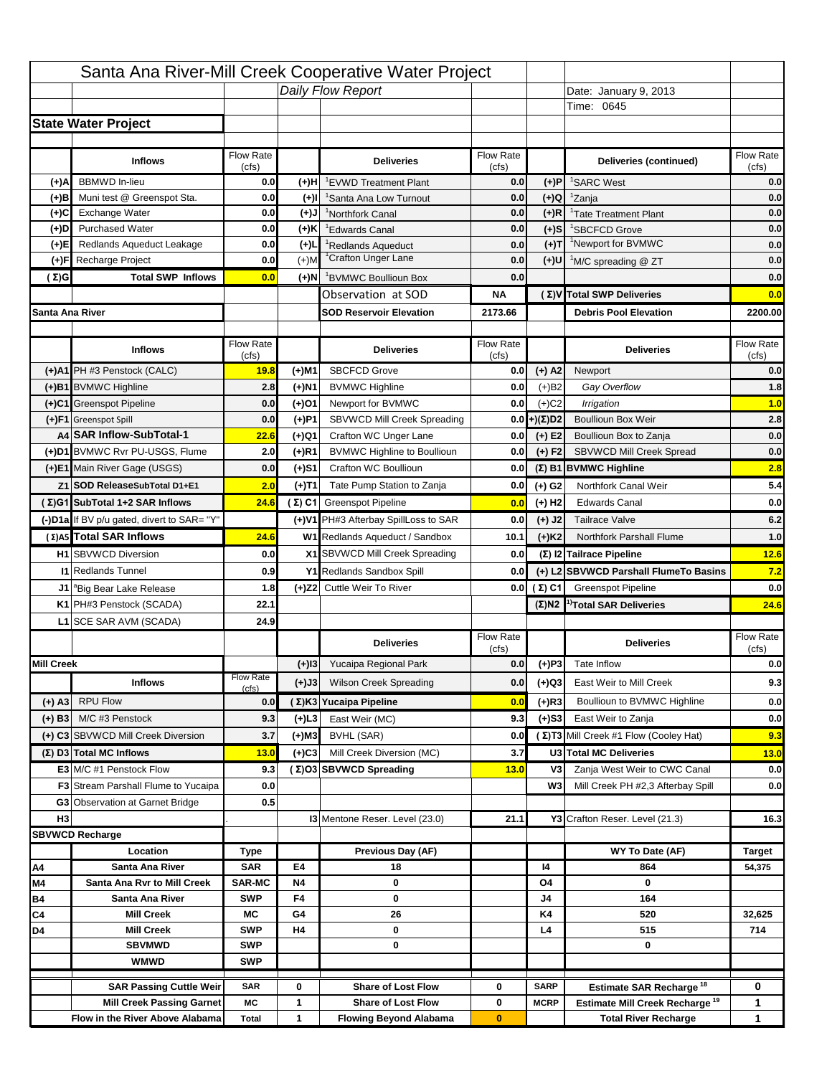|                   |                                            |                           |           | Santa Ana River-Mill Creek Cooperative Water Project |                  |                      |                                                  |                                                        |
|-------------------|--------------------------------------------|---------------------------|-----------|------------------------------------------------------|------------------|----------------------|--------------------------------------------------|--------------------------------------------------------|
|                   |                                            |                           |           | Daily Flow Report                                    |                  |                      | Date: January 9, 2013                            |                                                        |
|                   |                                            |                           |           |                                                      |                  |                      | Time: 0645                                       |                                                        |
|                   | <b>State Water Project</b>                 |                           |           |                                                      |                  |                      |                                                  |                                                        |
|                   |                                            |                           |           |                                                      |                  |                      |                                                  |                                                        |
|                   | <b>Inflows</b>                             | Flow Rate                 |           | <b>Deliveries</b>                                    | <b>Flow Rate</b> |                      | Deliveries (continued)                           | Flow Rate                                              |
| (+)A              | <b>BBMWD</b> In-lieu                       | (cfs)<br>0.0              | (+)H      | 'EVWD Treatment Plant                                | (cfs)<br>0.0     | (+)P                 | <sup>1</sup> SARC West                           | (cfs)<br>0.0                                           |
| (+)B              | Muni test @ Greenspot Sta.                 | 0.0                       | $(+)$ l   | <sup>1</sup> Santa Ana Low Turnout                   | 0.0              | $(+)Q$               | <sup>1</sup> Zanja                               | 0.0                                                    |
| (+)C              | Exchange Water                             | 0.0                       | $(+)$ J   | <sup>1</sup> Northfork Canal                         | 0.0              | $(+)R$               | <sup>1</sup> Tate Treatment Plant                | 0.0                                                    |
| (+)D              | <b>Purchased Water</b>                     | 0.0                       | (+)K      | <sup>1</sup> Edwards Canal                           | 0.0              | $(+)$ S              | <sup>1</sup> SBCFCD Grove                        | 0.0                                                    |
| (+)E              | Redlands Aqueduct Leakage                  | 0.0                       | $(+)1$    | <sup>1</sup> Redlands Aqueduct                       | 0.0              | $(+)T$               | <sup>1</sup> Newport for BVMWC                   | 0.0                                                    |
| (+)F              | Recharge Project                           | 0.0                       | $(+)$ M   | <sup>1</sup> Crafton Unger Lane                      | 0.0              | $(+)$ U              | <sup>1</sup> M/C spreading @ ZT                  | 0.0                                                    |
| (Σ)G              | <b>Total SWP Inflows</b>                   | 0.0                       | (+)N      | <sup>1</sup> BVMWC Boullioun Box                     | 0.0              |                      |                                                  | 0.0                                                    |
|                   |                                            |                           |           | Observation at SOD                                   | ΝA               |                      | (Σ) V Total SWP Deliveries                       | 0.0                                                    |
| Santa Ana River   |                                            |                           |           | <b>SOD Reservoir Elevation</b>                       | 2173.66          |                      | <b>Debris Pool Elevation</b>                     | 2200.00                                                |
|                   |                                            |                           |           |                                                      |                  |                      |                                                  |                                                        |
|                   | <b>Inflows</b>                             | Flow Rate                 |           | <b>Deliveries</b>                                    | Flow Rate        |                      | <b>Deliveries</b>                                | Flow Rate                                              |
|                   |                                            | (cfs)                     |           |                                                      | (cfs)            |                      |                                                  | (cfs)                                                  |
|                   | (+)A1 PH #3 Penstock (CALC)                | 19.8                      | (+)M1     | <b>SBCFCD Grove</b>                                  | 0.0              | $(+)$ A2             | Newport                                          | 0.0                                                    |
|                   | (+)B1 BVMWC Highline                       | 2.8                       | (+)N1     | <b>BVMWC Highline</b>                                | 0.0              | $(+)B2$              | Gay Overflow                                     | 1.8                                                    |
|                   | (+)C1 Greenspot Pipeline                   | 0.0                       | (+)01     | Newport for BVMWC                                    | 0.0              | $(+)$ C <sub>2</sub> | Irrigation                                       | 1.0                                                    |
|                   | (+)F1 Greenspot Spill                      | 0.0                       | (+)P1     | SBVWCD Mill Creek Spreading                          | 0.0              | (+)(Σ)D2             | <b>Boullioun Box Weir</b>                        | 2.8                                                    |
|                   | A4 SAR Inflow-SubTotal-1                   | 22.6                      | (+)Q1     | Crafton WC Unger Lane                                | 0.0              | $(+) E2$             | Boullioun Box to Zanja                           | 0.0                                                    |
|                   | (+)D1 BVMWC Rvr PU-USGS, Flume             | 2.0                       | $(+)$ R1  | <b>BVMWC Highline to Boullioun</b>                   | 0.0              | $(+) F2$             | SBVWCD Mill Creek Spread                         | 0.0                                                    |
|                   | (+)E1 Main River Gage (USGS)               | 0.0                       | (+)S1     | Crafton WC Boullioun                                 | 0.0              |                      | $(\Sigma)$ B1 BVMWC Highline                     | 2.8                                                    |
|                   | Z1 SOD ReleaseSubTotal D1+E1               | 2.0                       | (+)T1     | Tate Pump Station to Zanja                           | 0.0              | (+) G2               | Northfork Canal Weir                             | 5.4                                                    |
|                   | (Σ)G1 SubTotal 1+2 SAR Inflows             | 24.6                      |           | (Σ) C1 Greenspot Pipeline                            | 0.0              | $(+)$ H <sub>2</sub> | <b>Edwards Canal</b>                             | 0.0                                                    |
|                   | (-)D1a If BV p/u gated, divert to SAR= "Y" |                           |           | (+)V1 PH#3 Afterbay SpillLoss to SAR                 | 0.0              | $(+)$ J2             | <b>Tailrace Valve</b>                            | 6.2                                                    |
|                   | (Σ) A5 Total SAR Inflows                   | 24.6                      |           | W1 Redlands Aqueduct / Sandbox                       | 10.1             | $(+)$ K <sub>2</sub> | <b>Northfork Parshall Flume</b>                  | 1.0                                                    |
|                   |                                            |                           |           |                                                      |                  |                      |                                                  |                                                        |
|                   | <b>H1</b> SBVWCD Diversion                 | 0.0                       |           | X1 SBVWCD Mill Creek Spreading                       | 0.0              |                      | (Σ) I2 Tailrace Pipeline                         |                                                        |
|                   | <b>11 Redlands Tunnel</b>                  | 0.9                       |           | Y1 Redlands Sandbox Spill                            | 0.0              |                      | (+) L2 SBVWCD Parshall FlumeTo Basins            |                                                        |
|                   | J1 <sup>a</sup> Big Bear Lake Release      | 1.8                       |           | (+)Z2 Cuttle Weir To River                           |                  | 0.0 $(\Sigma)$ C1    | <b>Greenspot Pipeline</b>                        |                                                        |
|                   | K1 PH#3 Penstock (SCADA)                   | 22.1                      |           |                                                      |                  |                      | $(\Sigma)$ N2 <sup>1)</sup> Total SAR Deliveries |                                                        |
|                   | L1 SCE SAR AVM (SCADA)                     | 24.9                      |           |                                                      |                  |                      |                                                  |                                                        |
|                   |                                            |                           |           | <b>Deliveries</b>                                    | <b>Flow Rate</b> |                      | <b>Deliveries</b>                                | Flow Rate                                              |
|                   |                                            |                           |           |                                                      | (cfs)            |                      |                                                  | (cfs)                                                  |
| <b>Mill Creek</b> |                                            |                           | $(+)$ 13  | Yucaipa Regional Park                                | 0.0              | $(+)P3$              | Tate Inflow                                      |                                                        |
|                   | <b>Inflows</b>                             | <b>Flow Rate</b><br>(cfs) | (+)J3     | <b>Wilson Creek Spreading</b>                        | 0.0              | (+)Q3                | East Weir to Mill Creek                          |                                                        |
| (+) A3            | <b>RPU Flow</b>                            | 0.0                       |           | (Σ)K3 Yucaipa Pipeline                               | 0.0              | $(+)$ R3             | Boullioun to BVMWC Highline                      |                                                        |
| $(+)$ B3          | M/C #3 Penstock                            | 9.3                       | (+)L3     | East Weir (MC)                                       | 9.3              | $(+)$ S3             | East Weir to Zanja                               | 12.6<br>7.2<br>0.0<br>24.6<br>0.0<br>9.3<br>0.0<br>0.0 |
|                   | (+) C3 SBVWCD Mill Creek Diversion         | 3.7                       | (+)M3     | BVHL (SAR)                                           | 0.0              |                      | (Σ) T3 Mill Creek #1 Flow (Cooley Hat)           | 9.3                                                    |
|                   | (Σ) D3 Total MC Inflows                    | 13.0                      | $(+)C3$   | Mill Creek Diversion (MC)                            | 3.7              |                      | U3 Total MC Deliveries                           | 13.0                                                   |
|                   | E3 M/C #1 Penstock Flow                    | 9.3                       |           | (Σ)O3 SBVWCD Spreading                               | 13.0             | V3                   | Zanja West Weir to CWC Canal                     | 0.0                                                    |
|                   | <b>F3</b> Stream Parshall Flume to Yucaipa | 0.0                       |           |                                                      |                  | W <sub>3</sub>       | Mill Creek PH #2,3 Afterbay Spill                | 0.0                                                    |
|                   | G3 Observation at Garnet Bridge            | 0.5                       |           |                                                      |                  |                      |                                                  |                                                        |
| H <sub>3</sub>    |                                            |                           |           | <b>13 Mentone Reser. Level (23.0)</b>                | 21.1             |                      | Y3 Crafton Reser. Level (21.3)                   | 16.3                                                   |
|                   | <b>SBVWCD Recharge</b>                     |                           |           |                                                      |                  |                      |                                                  |                                                        |
|                   | Location                                   | Type                      |           | Previous Day (AF)                                    |                  |                      | WY To Date (AF)                                  | Target                                                 |
| Α4                | Santa Ana River                            | <b>SAR</b>                | E4        | 18                                                   |                  | 14                   | 864                                              | 54,375                                                 |
| M4                | Santa Ana Rvr to Mill Creek                | <b>SAR-MC</b>             | <b>N4</b> | 0                                                    |                  | O4                   | 0                                                |                                                        |
| Β4                | Santa Ana River                            | <b>SWP</b>                | F4        | 0                                                    |                  | J4                   | 164                                              |                                                        |
| C4                | <b>Mill Creek</b>                          | МC                        | G4        | 26                                                   |                  | K4                   | 520                                              | 32,625                                                 |
| D4                | <b>Mill Creek</b>                          | <b>SWP</b>                | H4        | 0                                                    |                  | L4                   | 515                                              | 714                                                    |
|                   | <b>SBVMWD</b>                              | <b>SWP</b>                |           | 0                                                    |                  |                      | 0                                                |                                                        |
|                   | <b>WMWD</b>                                | <b>SWP</b>                |           |                                                      |                  |                      |                                                  |                                                        |
|                   | <b>SAR Passing Cuttle Weir</b>             | <b>SAR</b>                | 0         | <b>Share of Lost Flow</b>                            | 0                | <b>SARP</b>          | Estimate SAR Recharge <sup>18</sup>              | 0                                                      |
|                   | <b>Mill Creek Passing Garnet</b>           | МC                        | 1         | <b>Share of Lost Flow</b>                            | 0                | <b>MCRP</b>          | Estimate Mill Creek Recharge <sup>19</sup>       | 1                                                      |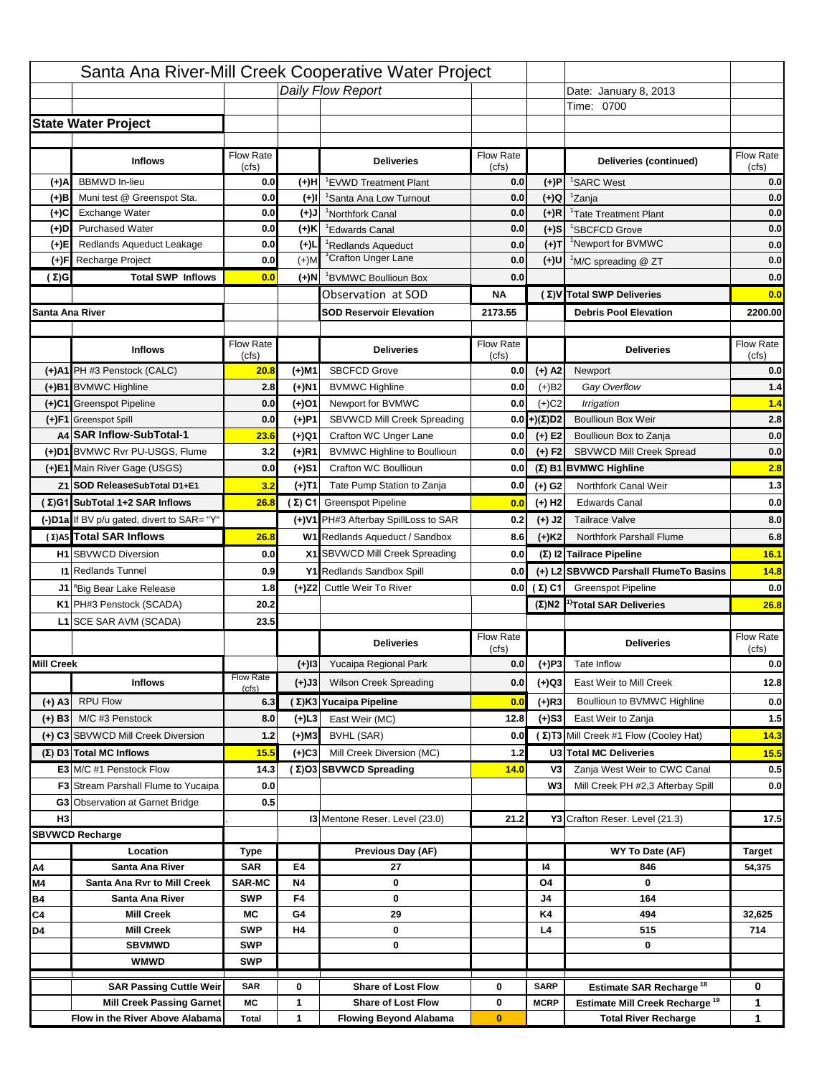|                   |                                                                     |                          |           | Santa Ana River-Mill Creek Cooperative Water Project       |                           |                      |                                                                           |                                                                                                    |
|-------------------|---------------------------------------------------------------------|--------------------------|-----------|------------------------------------------------------------|---------------------------|----------------------|---------------------------------------------------------------------------|----------------------------------------------------------------------------------------------------|
|                   |                                                                     |                          |           | Daily Flow Report                                          |                           |                      | Date: January 8, 2013                                                     |                                                                                                    |
|                   |                                                                     |                          |           |                                                            |                           |                      | Time: 0700                                                                |                                                                                                    |
|                   | <b>State Water Project</b>                                          |                          |           |                                                            |                           |                      |                                                                           |                                                                                                    |
|                   |                                                                     |                          |           |                                                            |                           |                      |                                                                           |                                                                                                    |
|                   | <b>Inflows</b>                                                      | Flow Rate<br>(cfs)       |           | <b>Deliveries</b>                                          | <b>Flow Rate</b><br>(cfs) |                      | Deliveries (continued)                                                    | Flow Rate<br>(cfs)                                                                                 |
| (+)A              | <b>BBMWD</b> In-lieu                                                | 0.0                      | (+)H      | 'EVWD Treatment Plant                                      | 0.0                       | (+)P                 | <sup>1</sup> SARC West                                                    | 0.0                                                                                                |
| (+)B              | Muni test @ Greenspot Sta.                                          | 0.0                      | $(+)$ l   | <sup>1</sup> Santa Ana Low Turnout                         | 0.0                       | $(+)Q$               | <sup>1</sup> Zanja                                                        | 0.0                                                                                                |
| (+)C              | Exchange Water                                                      | 0.0                      | $(+)$ J   | <sup>1</sup> Northfork Canal                               | 0.0                       | $(+)R$               | <sup>1</sup> Tate Treatment Plant                                         | 0.0                                                                                                |
| (+)D              | <b>Purchased Water</b>                                              | 0.0                      | (+)K      | <sup>1</sup> Edwards Canal                                 | 0.0                       | $(+)$ S              | <sup>1</sup> SBCFCD Grove                                                 | 0.0                                                                                                |
| (+)E              | Redlands Aqueduct Leakage                                           | 0.0                      | $(+)1$    | <sup>1</sup> Redlands Aqueduct                             | 0.0                       | $(+)T$               | <sup>1</sup> Newport for BVMWC                                            | 0.0                                                                                                |
| (+)F              | Recharge Project                                                    | 0.0                      | $(+)$ M   | <sup>1</sup> Crafton Unger Lane                            | 0.0                       | $(+)$ U              | <sup>1</sup> M/C spreading @ ZT                                           | 0.0                                                                                                |
| (Σ)G              | <b>Total SWP Inflows</b>                                            | 0.0                      | (+)N      | <sup>1</sup> BVMWC Boullioun Box                           | 0.0                       |                      |                                                                           | 0.0                                                                                                |
|                   |                                                                     |                          |           | Observation at SOD                                         | ΝA                        |                      | (Σ) V Total SWP Deliveries                                                | 0.0                                                                                                |
| Santa Ana River   |                                                                     |                          |           | <b>SOD Reservoir Elevation</b>                             | 2173.55                   |                      | <b>Debris Pool Elevation</b>                                              | 2200.00                                                                                            |
|                   |                                                                     |                          |           |                                                            |                           |                      |                                                                           |                                                                                                    |
|                   | <b>Inflows</b>                                                      | Flow Rate                |           | <b>Deliveries</b>                                          | Flow Rate                 |                      | <b>Deliveries</b>                                                         | Flow Rate<br>(cfs)                                                                                 |
|                   | (+)A1 PH #3 Penstock (CALC)                                         | (cfs)<br>20.8            | (+)M1     | <b>SBCFCD Grove</b>                                        | (cfs)<br>0.0              | $(+)$ A2             | Newport                                                                   | 0.0                                                                                                |
|                   | (+)B1 BVMWC Highline                                                | 2.8                      | (+)N1     | <b>BVMWC Highline</b>                                      | 0.0                       | $(+)B2$              | Gay Overflow                                                              | 1.4                                                                                                |
|                   | (+)C1 Greenspot Pipeline                                            | 0.0                      | (+)01     | Newport for BVMWC                                          | 0.0                       | $(+)$ C <sub>2</sub> | Irrigation                                                                | 1.4                                                                                                |
|                   | (+)F1 Greenspot Spill                                               | 0.0                      | (+)P1     | SBVWCD Mill Creek Spreading                                | 0.0                       | (+)(Σ)D2             | <b>Boullioun Box Weir</b>                                                 | 2.8                                                                                                |
|                   | A4 SAR Inflow-SubTotal-1                                            | 23.6                     | (+)Q1     | Crafton WC Unger Lane                                      | 0.0                       | $(+) E2$             | Boullioun Box to Zanja                                                    | 0.0                                                                                                |
|                   | (+)D1 BVMWC Rvr PU-USGS, Flume                                      | 3.2                      | $(+)$ R1  | <b>BVMWC Highline to Boullioun</b>                         | 0.0                       | $(+) F2$             | SBVWCD Mill Creek Spread                                                  | 0.0                                                                                                |
|                   | (+)E1 Main River Gage (USGS)                                        | 0.0                      | (+)S1     | Crafton WC Boullioun                                       | 0.0                       |                      | $(\Sigma)$ B1 BVMWC Highline                                              | 2.8                                                                                                |
|                   | Z1 SOD ReleaseSubTotal D1+E1                                        | 3.2                      |           | Tate Pump Station to Zanja                                 | 0.0                       |                      | Northfork Canal Weir                                                      | 1.3                                                                                                |
|                   | (Σ)G1 SubTotal 1+2 SAR Inflows                                      | 26.8                     | (+)T1     |                                                            |                           | (+) G2               | <b>Edwards Canal</b>                                                      | 0.0                                                                                                |
|                   |                                                                     |                          |           | (Σ) C1 Greenspot Pipeline                                  | 0.0                       | $(+)$ H <sub>2</sub> |                                                                           |                                                                                                    |
|                   | (-)D1a If BV p/u gated, divert to SAR= "Y"                          |                          |           | (+)V1 PH#3 Afterbay SpillLoss to SAR                       | 0.2                       | $(+)$ J2             | <b>Tailrace Valve</b>                                                     | 8.0                                                                                                |
|                   | (Σ) A5 Total SAR Inflows                                            | 26.8                     |           | W1 Redlands Aqueduct / Sandbox                             | 8.6                       | $(+)$ K <sub>2</sub> | Northfork Parshall Flume<br>(Σ) I2 Tailrace Pipeline                      | 6.8                                                                                                |
|                   | <b>H1</b> SBVWCD Diversion                                          | 0.0                      |           | X1 SBVWCD Mill Creek Spreading                             |                           |                      |                                                                           |                                                                                                    |
|                   |                                                                     |                          |           |                                                            | 0.0                       |                      |                                                                           |                                                                                                    |
|                   | <b>11 Redlands Tunnel</b>                                           | 0.9                      |           | Y1 Redlands Sandbox Spill                                  | 0.0                       |                      | (+) L2 SBVWCD Parshall FlumeTo Basins                                     |                                                                                                    |
|                   | J1 <sup>a</sup> Big Bear Lake Release                               | 1.8                      |           | (+)Z2 Cuttle Weir To River                                 |                           | 0.0 $(\Sigma)$ C1    | <b>Greenspot Pipeline</b>                                                 |                                                                                                    |
|                   | K1 PH#3 Penstock (SCADA)                                            | 20.2                     |           |                                                            |                           |                      | $(\Sigma)$ N2 <sup>1)</sup> Total SAR Deliveries                          |                                                                                                    |
|                   | L1 SCE SAR AVM (SCADA)                                              | 23.5                     |           |                                                            |                           |                      |                                                                           |                                                                                                    |
|                   |                                                                     |                          |           | <b>Deliveries</b>                                          | <b>Flow Rate</b>          |                      | <b>Deliveries</b>                                                         | Flow Rate                                                                                          |
|                   |                                                                     |                          |           |                                                            | (cfs)                     |                      |                                                                           | (cfs)                                                                                              |
| <b>Mill Creek</b> |                                                                     | <b>Flow Rate</b>         | $(+)$ 13  | Yucaipa Regional Park                                      | 0.0                       | $(+)P3$              | Tate Inflow                                                               |                                                                                                    |
|                   | <b>Inflows</b>                                                      | (cfs)                    | (+)J3     | <b>Wilson Creek Spreading</b>                              | 0.0                       | (+)Q3                | East Weir to Mill Creek                                                   |                                                                                                    |
| $(+)$ A3          | <b>RPU Flow</b>                                                     | 6.3                      |           | (Σ)K3 Yucaipa Pipeline                                     | 0.0                       | (+)R3                | Boullioun to BVMWC Highline                                               |                                                                                                    |
| $(+)$ B3          | M/C #3 Penstock                                                     | 8.0                      | (+)L3     | East Weir (MC)                                             | 12.8                      | $(+)$ S3             | East Weir to Zanja                                                        |                                                                                                    |
|                   | (+) C3 SBVWCD Mill Creek Diversion                                  | 1.2                      | (+)M3     | BVHL (SAR)                                                 | 0.0                       |                      | (Σ) T3 Mill Creek #1 Flow (Cooley Hat)                                    |                                                                                                    |
|                   | (Σ) D3 Total MC Inflows                                             | 15.5                     | $(+)C3$   | Mill Creek Diversion (MC)                                  | 1.2                       |                      | U3 Total MC Deliveries                                                    | 15.5                                                                                               |
|                   | E3 M/C #1 Penstock Flow                                             | 14.3                     |           | (Σ)O3 SBVWCD Spreading                                     | 14.0                      | V3                   | Zanja West Weir to CWC Canal                                              |                                                                                                    |
|                   | <b>F3</b> Stream Parshall Flume to Yucaipa                          | 0.0                      |           |                                                            |                           | W <sub>3</sub>       | Mill Creek PH #2,3 Afterbay Spill                                         |                                                                                                    |
|                   | G3 Observation at Garnet Bridge                                     | 0.5                      |           |                                                            |                           |                      |                                                                           |                                                                                                    |
| H <sub>3</sub>    |                                                                     |                          |           | 13 Mentone Reser. Level (23.0)                             | 21.2                      |                      | Y3 Crafton Reser. Level (21.3)                                            |                                                                                                    |
|                   | <b>SBVWCD Recharge</b>                                              |                          |           |                                                            |                           |                      |                                                                           |                                                                                                    |
|                   | Location                                                            | Type                     |           | Previous Day (AF)                                          |                           |                      | WY To Date (AF)                                                           | <b>Target</b>                                                                                      |
| Α4                | Santa Ana River                                                     | <b>SAR</b>               | E4        | 27                                                         |                           | 14                   | 846                                                                       | 54,375                                                                                             |
| M4                | Santa Ana Rvr to Mill Creek                                         | <b>SAR-MC</b>            | <b>N4</b> | 0                                                          |                           | O4                   | 0                                                                         |                                                                                                    |
| Β4                | Santa Ana River                                                     | <b>SWP</b>               | F4        | 0                                                          |                           | J4                   | 164                                                                       |                                                                                                    |
| C4                | <b>Mill Creek</b>                                                   | МC                       | G4        | 29                                                         |                           | K4                   | 494                                                                       | 32,625                                                                                             |
| D4                | <b>Mill Creek</b>                                                   | <b>SWP</b>               | H4        | 0                                                          |                           | L4                   | 515                                                                       | 714                                                                                                |
|                   | <b>SBVMWD</b><br><b>WMWD</b>                                        | <b>SWP</b><br><b>SWP</b> |           | 0                                                          |                           |                      | 0                                                                         |                                                                                                    |
|                   |                                                                     |                          |           |                                                            |                           |                      |                                                                           |                                                                                                    |
|                   | <b>SAR Passing Cuttle Weir</b>                                      | <b>SAR</b>               | 0         | <b>Share of Lost Flow</b>                                  | 0                         | <b>SARP</b>          | Estimate SAR Recharge <sup>18</sup>                                       | 0                                                                                                  |
|                   | <b>Mill Creek Passing Garnet</b><br>Flow in the River Above Alabama | МC<br><b>Total</b>       | 1<br>1    | <b>Share of Lost Flow</b><br><b>Flowing Beyond Alabama</b> | 0<br>$\bf{0}$             | <b>MCRP</b>          | Estimate Mill Creek Recharge <sup>19</sup><br><b>Total River Recharge</b> | 16.1<br>14.8<br>0.0<br>26.8<br>0.0<br>12.8<br>0.0<br>$1.5$<br>14.3<br>0.5<br>0.0<br>17.5<br>1<br>1 |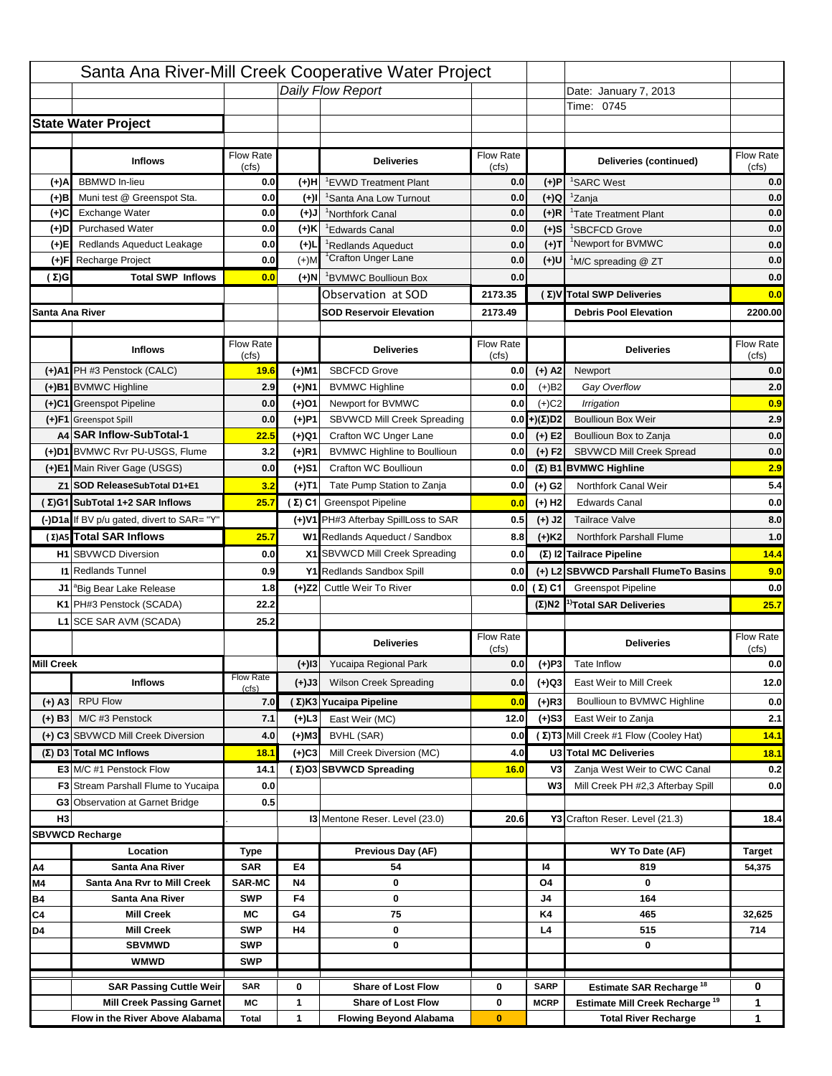|                   |                                                                     |                          |           | Santa Ana River-Mill Creek Cooperative Water Project       |                           |                      |                                                                           |                                                                          |
|-------------------|---------------------------------------------------------------------|--------------------------|-----------|------------------------------------------------------------|---------------------------|----------------------|---------------------------------------------------------------------------|--------------------------------------------------------------------------|
|                   |                                                                     |                          |           | Daily Flow Report                                          |                           |                      | Date: January 7, 2013                                                     |                                                                          |
|                   |                                                                     |                          |           |                                                            |                           |                      | Time: 0745                                                                |                                                                          |
|                   | <b>State Water Project</b>                                          |                          |           |                                                            |                           |                      |                                                                           |                                                                          |
|                   |                                                                     |                          |           |                                                            |                           |                      |                                                                           |                                                                          |
|                   | <b>Inflows</b>                                                      | Flow Rate<br>(cfs)       |           | <b>Deliveries</b>                                          | <b>Flow Rate</b><br>(cfs) |                      | Deliveries (continued)                                                    | Flow Rate<br>(cfs)                                                       |
| (+)A              | <b>BBMWD</b> In-lieu                                                | 0.0                      | (+)H      | 'EVWD Treatment Plant                                      | 0.0                       | (+)P                 | <sup>1</sup> SARC West                                                    | 0.0                                                                      |
| (+)B              | Muni test @ Greenspot Sta.                                          | 0.0                      | $(+)$ l   | 'Santa Ana Low Turnout                                     | 0.0                       | $(+)Q$               | <sup>1</sup> Zanja                                                        | 0.0                                                                      |
| (+)C              | Exchange Water                                                      | 0.0                      | $(+)$ J   | <sup>1</sup> Northfork Canal                               | 0.0                       | $(+)R$               | <sup>1</sup> Tate Treatment Plant                                         | 0.0                                                                      |
| (+)D              | <b>Purchased Water</b>                                              | 0.0                      | (+)K      | <sup>1</sup> Edwards Canal                                 | 0.0                       | $(+)$ S              | <sup>1</sup> SBCFCD Grove                                                 | 0.0                                                                      |
| (+)E              | Redlands Aqueduct Leakage                                           | 0.0                      | $(+)1$    | <sup>1</sup> Redlands Aqueduct                             | 0.0                       | $(+)T$               | <sup>1</sup> Newport for BVMWC                                            | 0.0                                                                      |
| (+)F              | Recharge Project                                                    | 0.0                      | $(+)$ M   | <sup>1</sup> Crafton Unger Lane                            | 0.0                       | (+)U                 | <sup>1</sup> M/C spreading @ ZT                                           | 0.0                                                                      |
| (Σ)G              | <b>Total SWP Inflows</b>                                            | 0.0                      | (+)N      | <sup>1</sup> BVMWC Boullioun Box                           | 0.0                       |                      |                                                                           | 0.0                                                                      |
|                   |                                                                     |                          |           | Observation at SOD                                         | 2173.35                   |                      | (Σ) V Total SWP Deliveries                                                | 0.0                                                                      |
| Santa Ana River   |                                                                     |                          |           | <b>SOD Reservoir Elevation</b>                             | 2173.49                   |                      | <b>Debris Pool Elevation</b>                                              | 2200.00                                                                  |
|                   |                                                                     |                          |           |                                                            |                           |                      |                                                                           |                                                                          |
|                   | <b>Inflows</b>                                                      | Flow Rate                |           | <b>Deliveries</b>                                          | Flow Rate                 |                      | <b>Deliveries</b>                                                         | Flow Rate                                                                |
|                   | (+)A1 PH #3 Penstock (CALC)                                         | (cfs)<br>19.6            | (+)M1     | <b>SBCFCD Grove</b>                                        | (cfs)<br>0.0              | $(+)$ A2             | Newport                                                                   | (cfs)<br>0.0                                                             |
|                   | (+)B1 BVMWC Highline                                                | 2.9                      | (+)N1     | <b>BVMWC Highline</b>                                      | 0.0                       | $(+)B2$              | Gay Overflow                                                              | 2.0                                                                      |
|                   | (+)C1 Greenspot Pipeline                                            | 0.0                      | (+)01     | Newport for BVMWC                                          | 0.0                       | $(+)$ C <sub>2</sub> | Irrigation                                                                | 0.9                                                                      |
|                   | (+)F1 Greenspot Spill                                               | 0.0                      | (+)P1     | SBVWCD Mill Creek Spreading                                | 0.0                       | (+)(Σ)D2             | <b>Boullioun Box Weir</b>                                                 | 2.9                                                                      |
|                   | A4 SAR Inflow-SubTotal-1                                            | 22.5                     | (+)Q1     | Crafton WC Unger Lane                                      | 0.0                       | $(+) E2$             | Boullioun Box to Zanja                                                    | 0.0                                                                      |
|                   | (+)D1 BVMWC Rvr PU-USGS, Flume                                      | 3.2                      | $(+)$ R1  | <b>BVMWC Highline to Boullioun</b>                         | 0.0                       | $(+) F2$             | SBVWCD Mill Creek Spread                                                  | 0.0                                                                      |
|                   | (+)E1 Main River Gage (USGS)                                        | 0.0                      | (+)S1     | Crafton WC Boullioun                                       | 0.0                       |                      | $(\Sigma)$ B1 BVMWC Highline                                              | 2.9                                                                      |
|                   | Z1 SOD ReleaseSubTotal D1+E1                                        | 3.2                      |           | Tate Pump Station to Zanja                                 | 0.0                       |                      | Northfork Canal Weir                                                      | 5.4                                                                      |
|                   | (Σ)G1 SubTotal 1+2 SAR Inflows                                      | 25.7                     | (+)T1     | (Σ) C1 Greenspot Pipeline                                  |                           | (+) G2               | <b>Edwards Canal</b>                                                      | 0.0                                                                      |
|                   |                                                                     |                          |           |                                                            | 0.0                       | $(+)$ H <sub>2</sub> |                                                                           | 8.0                                                                      |
|                   | (-)D1a If BV p/u gated, divert to SAR= "Y"                          |                          |           | (+)V1 PH#3 Afterbay SpillLoss to SAR                       | 0.5                       | $(+)$ J2             | <b>Tailrace Valve</b>                                                     |                                                                          |
|                   | (Σ) A5 Total SAR Inflows                                            | 25.7                     |           | W1 Redlands Aqueduct / Sandbox                             | 8.8                       | $(+)$ K <sub>2</sub> | Northfork Parshall Flume                                                  | 1.0                                                                      |
|                   | <b>H1</b> SBVWCD Diversion                                          | 0.0                      |           | X1 SBVWCD Mill Creek Spreading                             | 0.0                       |                      | (Σ) I2 Tailrace Pipeline                                                  | 14.4                                                                     |
|                   | <b>11 Redlands Tunnel</b>                                           | 0.9                      |           | Y1 Redlands Sandbox Spill                                  | 0.0                       |                      | (+) L2 SBVWCD Parshall FlumeTo Basins                                     | 9.0                                                                      |
|                   |                                                                     |                          |           |                                                            |                           |                      |                                                                           |                                                                          |
|                   | J1 <sup>a</sup> Big Bear Lake Release                               | 1.8                      |           | (+)Z2 Cuttle Weir To River                                 |                           | 0.0 $(\Sigma)$ C1    | <b>Greenspot Pipeline</b>                                                 |                                                                          |
|                   | K1 PH#3 Penstock (SCADA)                                            | 22.2                     |           |                                                            |                           |                      | $(\Sigma)$ N2 <sup>1)</sup> Total SAR Deliveries                          |                                                                          |
|                   | L1 SCE SAR AVM (SCADA)                                              | 25.2                     |           |                                                            |                           |                      |                                                                           |                                                                          |
|                   |                                                                     |                          |           | <b>Deliveries</b>                                          | <b>Flow Rate</b>          |                      | <b>Deliveries</b>                                                         | Flow Rate                                                                |
|                   |                                                                     |                          |           |                                                            | (cfs)                     |                      |                                                                           | (cfs)                                                                    |
| <b>Mill Creek</b> |                                                                     | <b>Flow Rate</b>         | $(+)$ 13  | Yucaipa Regional Park                                      | 0.0                       | $(+)P3$              | Tate Inflow                                                               |                                                                          |
|                   | <b>Inflows</b>                                                      | (cfs)                    | (+)J3     | <b>Wilson Creek Spreading</b>                              | 0.0                       | (+)Q3                | East Weir to Mill Creek                                                   |                                                                          |
| $(+)$ A3          | <b>RPU Flow</b>                                                     | 7.0                      |           | (Σ)K3 Yucaipa Pipeline                                     | 0.0                       | (+)R3                | Boullioun to BVMWC Highline                                               |                                                                          |
| $(+)$ B3          | M/C #3 Penstock                                                     | 7.1                      | (+)L3     | East Weir (MC)                                             | 12.0                      | $(+)$ S3             | East Weir to Zanja                                                        |                                                                          |
|                   | (+) C3 SBVWCD Mill Creek Diversion                                  | 4.0                      | (+)M3     | BVHL (SAR)                                                 | 0.0                       |                      | (Σ) T3 Mill Creek #1 Flow (Cooley Hat)                                    | 14.1                                                                     |
|                   | (Σ) D3 Total MC Inflows                                             | 18.1                     | $(+)C3$   | Mill Creek Diversion (MC)                                  | 4.0                       |                      | U3 Total MC Deliveries                                                    | 18.1                                                                     |
|                   | E3 M/C #1 Penstock Flow                                             | 14.1                     |           | (Σ)O3 SBVWCD Spreading                                     | 16.0                      | V3                   | Zanja West Weir to CWC Canal                                              |                                                                          |
|                   | <b>F3</b> Stream Parshall Flume to Yucaipa                          | 0.0                      |           |                                                            |                           | W <sub>3</sub>       | Mill Creek PH #2,3 Afterbay Spill                                         |                                                                          |
|                   | G3 Observation at Garnet Bridge                                     | 0.5                      |           |                                                            |                           |                      |                                                                           |                                                                          |
| H <sub>3</sub>    |                                                                     |                          |           | 13 Mentone Reser. Level (23.0)                             | 20.6                      |                      | Y3 Crafton Reser. Level (21.3)                                            |                                                                          |
|                   | <b>SBVWCD Recharge</b>                                              |                          |           |                                                            |                           |                      |                                                                           |                                                                          |
|                   | Location                                                            | Type                     |           | Previous Day (AF)                                          |                           |                      | WY To Date (AF)                                                           | Target                                                                   |
| Α4                | Santa Ana River                                                     | <b>SAR</b>               | E4        | 54                                                         |                           | 14                   | 819                                                                       | 54,375                                                                   |
| M4                | Santa Ana Rvr to Mill Creek                                         | <b>SAR-MC</b>            | <b>N4</b> | 0                                                          |                           | O4                   | 0                                                                         |                                                                          |
| Β4                | Santa Ana River                                                     | <b>SWP</b>               | F4        | 0                                                          |                           | J4                   | 164                                                                       |                                                                          |
| C4                | <b>Mill Creek</b>                                                   | МC                       | G4        | 75                                                         |                           | K4                   | 465                                                                       | 32,625                                                                   |
| D4                | <b>Mill Creek</b>                                                   | <b>SWP</b>               | H4        | 0                                                          |                           | L4                   | 515                                                                       | 714                                                                      |
|                   | <b>SBVMWD</b><br><b>WMWD</b>                                        | <b>SWP</b><br><b>SWP</b> |           | 0                                                          |                           |                      | 0                                                                         |                                                                          |
|                   |                                                                     |                          |           |                                                            |                           |                      |                                                                           |                                                                          |
|                   | <b>SAR Passing Cuttle Weir</b>                                      | <b>SAR</b>               | 0         | <b>Share of Lost Flow</b>                                  | 0                         | <b>SARP</b>          | Estimate SAR Recharge <sup>18</sup>                                       | 0                                                                        |
|                   | <b>Mill Creek Passing Garnet</b><br>Flow in the River Above Alabama | МC<br><b>Total</b>       | 1<br>1    | <b>Share of Lost Flow</b><br><b>Flowing Beyond Alabama</b> | 0<br>$\bf{0}$             | <b>MCRP</b>          | Estimate Mill Creek Recharge <sup>19</sup><br><b>Total River Recharge</b> | 0.0<br>25.7<br>0.0<br>12.0<br>0.0<br>2.1<br>0.2<br>0.0<br>18.4<br>1<br>1 |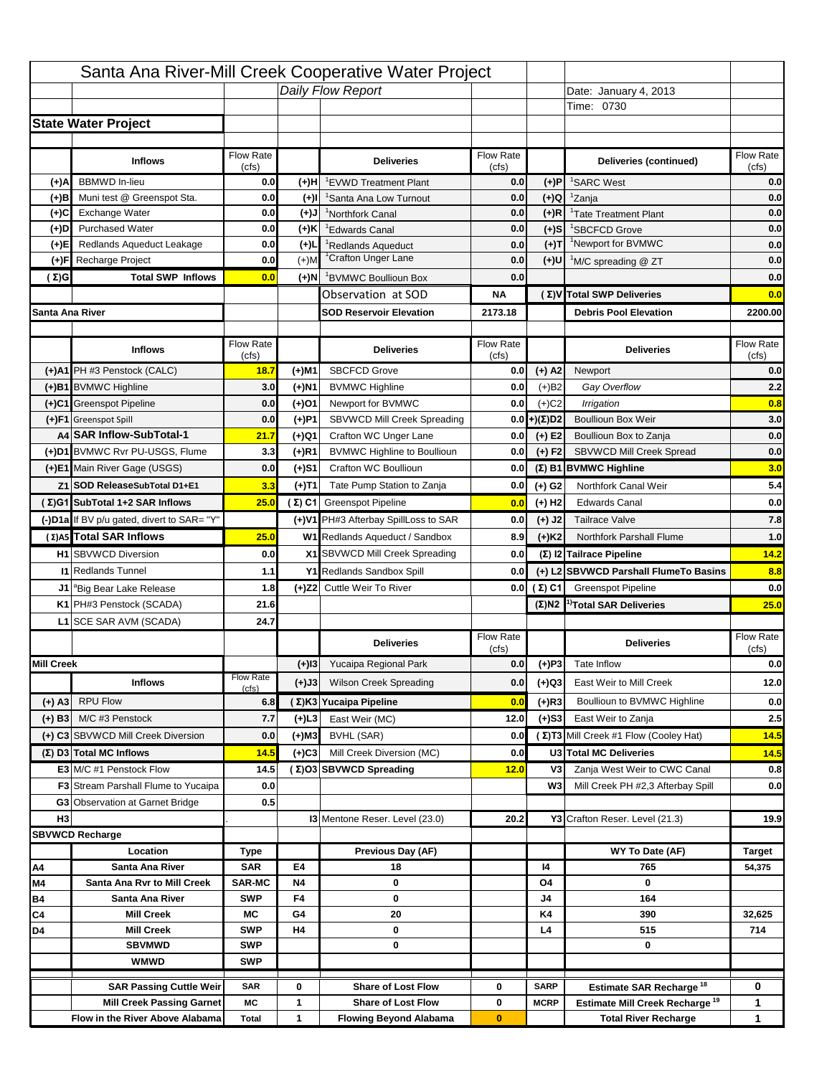|                   |                                                                        |                    |           | Santa Ana River-Mill Creek Cooperative Water Project                   |                           |                            |                                                                                   |                                                 |
|-------------------|------------------------------------------------------------------------|--------------------|-----------|------------------------------------------------------------------------|---------------------------|----------------------------|-----------------------------------------------------------------------------------|-------------------------------------------------|
|                   |                                                                        |                    |           | Daily Flow Report                                                      |                           |                            | Date: January 4, 2013                                                             |                                                 |
|                   |                                                                        |                    |           |                                                                        |                           |                            | Time: 0730                                                                        |                                                 |
|                   | <b>State Water Project</b>                                             |                    |           |                                                                        |                           |                            |                                                                                   |                                                 |
|                   |                                                                        |                    |           |                                                                        |                           |                            |                                                                                   |                                                 |
|                   | <b>Inflows</b>                                                         | Flow Rate<br>(cfs) |           | <b>Deliveries</b>                                                      | <b>Flow Rate</b><br>(cfs) |                            | Deliveries (continued)                                                            | Flow Rate<br>(cfs)                              |
| (+)A              | <b>BBMWD</b> In-lieu                                                   | 0.0                | (+)H      | 'EVWD Treatment Plant                                                  | 0.0                       | (+)P                       | <sup>1</sup> SARC West                                                            | 0.0                                             |
| (+)B              | Muni test @ Greenspot Sta.                                             | 0.0                | $(+)$ l   | <sup>1</sup> Santa Ana Low Turnout                                     | 0.0                       | $(+)Q$                     | <sup>1</sup> Zanja                                                                | 0.0                                             |
| (+)C              | Exchange Water                                                         | 0.0                | $(+)$ J   | <sup>1</sup> Northfork Canal                                           | 0.0                       | $(+)R$                     | <sup>1</sup> Tate Treatment Plant                                                 | 0.0                                             |
| (+)D              | <b>Purchased Water</b>                                                 | 0.0                | (+)K      | <sup>1</sup> Edwards Canal                                             | 0.0                       | $(+)$ S                    | <sup>1</sup> SBCFCD Grove                                                         | 0.0                                             |
| (+)E              | Redlands Aqueduct Leakage                                              | 0.0                | $(+)1$    | <sup>1</sup> Redlands Aqueduct                                         | 0.0                       | $(+)T$                     | <sup>1</sup> Newport for BVMWC                                                    | 0.0                                             |
| (+)F              | Recharge Project                                                       | 0.0                | $(+)$ M   | <sup>1</sup> Crafton Unger Lane                                        | 0.0                       | $(+)$ U                    | <sup>1</sup> M/C spreading @ ZT                                                   | 0.0                                             |
| (Σ)G              | <b>Total SWP Inflows</b>                                               | 0.0                | (+)N      | <sup>1</sup> BVMWC Boullioun Box                                       | 0.0                       |                            |                                                                                   | 0.0                                             |
|                   |                                                                        |                    |           | Observation at SOD                                                     | ΝA                        |                            | (Σ) V Total SWP Deliveries                                                        | 0.0                                             |
| Santa Ana River   |                                                                        |                    |           | <b>SOD Reservoir Elevation</b>                                         | 2173.18                   |                            | <b>Debris Pool Elevation</b>                                                      | 2200.00                                         |
|                   |                                                                        |                    |           |                                                                        |                           |                            |                                                                                   |                                                 |
|                   | <b>Inflows</b>                                                         | Flow Rate          |           | <b>Deliveries</b>                                                      | Flow Rate                 |                            | <b>Deliveries</b>                                                                 | Flow Rate<br>(cfs)                              |
|                   | (+)A1 PH #3 Penstock (CALC)                                            | (cfs)<br>18.7      | (+)M1     | <b>SBCFCD Grove</b>                                                    | (cfs)<br>0.0              | $(+)$ A2                   | Newport                                                                           | 0.0                                             |
|                   | (+)B1 BVMWC Highline                                                   | 3.0                | (+)N1     | <b>BVMWC Highline</b>                                                  | 0.0                       | $(+)B2$                    | Gay Overflow                                                                      | 2.2                                             |
|                   | (+)C1 Greenspot Pipeline                                               | 0.0                | (+)01     | Newport for BVMWC                                                      | 0.0                       | $(+)$ C <sub>2</sub>       | Irrigation                                                                        | 0.8                                             |
|                   | (+)F1 Greenspot Spill                                                  | 0.0                | (+)P1     | SBVWCD Mill Creek Spreading                                            | 0.0                       | (+)(Σ)D2                   | <b>Boullioun Box Weir</b>                                                         | 3.0                                             |
|                   | A4 SAR Inflow-SubTotal-1                                               | 21.7               | (+)Q1     | Crafton WC Unger Lane                                                  | 0.0                       | $(+) E2$                   | Boullioun Box to Zanja                                                            | 0.0                                             |
|                   | (+)D1 BVMWC Rvr PU-USGS, Flume                                         | 3.3                | $(+)$ R1  | <b>BVMWC Highline to Boullioun</b>                                     | 0.0                       | $(+) F2$                   | SBVWCD Mill Creek Spread                                                          | 0.0                                             |
|                   | (+)E1 Main River Gage (USGS)                                           | 0.0                | (+)S1     | Crafton WC Boullioun                                                   | 0.0                       |                            | $(\Sigma)$ B1 BVMWC Highline                                                      | 3.0                                             |
|                   | Z1 SOD ReleaseSubTotal D1+E1                                           | 3.3                |           | Tate Pump Station to Zanja                                             | 0.0                       |                            | Northfork Canal Weir                                                              | 5.4                                             |
|                   | (Σ)G1 SubTotal 1+2 SAR Inflows                                         | 25.0               | (+)T1     |                                                                        |                           | (+) G2                     | <b>Edwards Canal</b>                                                              | 0.0                                             |
|                   |                                                                        |                    |           | (Σ) C1 Greenspot Pipeline                                              | 0.0                       | $(+)$ H <sub>2</sub>       |                                                                                   |                                                 |
|                   | (-)D1a If BV p/u gated, divert to SAR= "Y"<br>(Σ) A5 Total SAR Inflows |                    |           | (+)V1 PH#3 Afterbay SpillLoss to SAR<br>W1 Redlands Aqueduct / Sandbox | 0.0                       | $(+)$ J2                   | <b>Tailrace Valve</b>                                                             | 7.8                                             |
|                   |                                                                        | 25.0               |           |                                                                        | 8.9                       | $(+)$ K <sub>2</sub>       | <b>Northfork Parshall Flume</b>                                                   | 1.0                                             |
|                   |                                                                        |                    |           |                                                                        |                           |                            |                                                                                   |                                                 |
|                   | <b>H1</b> SBVWCD Diversion                                             | 0.0                |           | X1 SBVWCD Mill Creek Spreading                                         | 0.0                       |                            | (Σ) I2 Tailrace Pipeline                                                          | 14.2                                            |
|                   | <b>11 Redlands Tunnel</b>                                              | 1.1                |           | Y1 Redlands Sandbox Spill                                              | 0.0                       |                            | (+) L2 SBVWCD Parshall FlumeTo Basins                                             |                                                 |
|                   | J1 <sup>a</sup> Big Bear Lake Release                                  | 1.8                |           | (+)Z2 Cuttle Weir To River                                             |                           | 0.0 $(\Sigma)$ C1          | <b>Greenspot Pipeline</b>                                                         |                                                 |
|                   | K1 PH#3 Penstock (SCADA)                                               | 21.6               |           |                                                                        |                           |                            | $(\Sigma)$ N2 <sup>1)</sup> Total SAR Deliveries                                  |                                                 |
|                   | L1 SCE SAR AVM (SCADA)                                                 | 24.7               |           |                                                                        |                           |                            |                                                                                   |                                                 |
|                   |                                                                        |                    |           | <b>Deliveries</b>                                                      | <b>Flow Rate</b>          |                            | <b>Deliveries</b>                                                                 | Flow Rate                                       |
| <b>Mill Creek</b> |                                                                        |                    | $(+)$ 13  | Yucaipa Regional Park                                                  | (cfs)<br>0.0              |                            | Tate Inflow                                                                       | (cfs)                                           |
|                   |                                                                        | <b>Flow Rate</b>   |           |                                                                        |                           | $(+)P3$                    |                                                                                   |                                                 |
|                   | <b>Inflows</b>                                                         | (cfs)              | (+)J3     | <b>Wilson Creek Spreading</b>                                          | 0.0                       | (+)Q3                      | East Weir to Mill Creek                                                           |                                                 |
| (+) A3            | <b>RPU Flow</b>                                                        | 6.8                |           | (Σ)K3 Yucaipa Pipeline                                                 | 0.0                       | (+)R3                      | Boullioun to BVMWC Highline                                                       |                                                 |
| $(+)$ B3          | M/C #3 Penstock                                                        | 7.7                | (+)L3     | East Weir (MC)                                                         | 12.0                      | $(+)$ S3                   | East Weir to Zanja                                                                | 8.8<br>0.0<br>25.0<br>0.0<br>12.0<br>0.0<br>2.5 |
|                   | (+) C3 SBVWCD Mill Creek Diversion                                     | 0.0                | (+)M3     | BVHL (SAR)                                                             | 0.0                       |                            | (Σ) T3 Mill Creek #1 Flow (Cooley Hat)                                            | 14.5                                            |
|                   | (Σ) D3 Total MC Inflows                                                | 14.5               | $(+)C3$   | Mill Creek Diversion (MC)                                              | 0.0                       |                            | U3 Total MC Deliveries                                                            | 14.5                                            |
|                   | E3 M/C #1 Penstock Flow                                                | 14.5               |           | (Σ)O3 SBVWCD Spreading                                                 | 12.0                      | V3                         | Zanja West Weir to CWC Canal                                                      |                                                 |
|                   | <b>F3</b> Stream Parshall Flume to Yucaipa                             | 0.0                |           |                                                                        |                           | W <sub>3</sub>             | Mill Creek PH #2,3 Afterbay Spill                                                 |                                                 |
|                   | G3 Observation at Garnet Bridge                                        | 0.5                |           |                                                                        |                           |                            |                                                                                   | 0.8<br>0.0                                      |
| H <sub>3</sub>    |                                                                        |                    |           | <b>13 Mentone Reser. Level (23.0)</b>                                  | 20.2                      |                            | Y3 Crafton Reser. Level (21.3)                                                    | 19.9                                            |
|                   | <b>SBVWCD Recharge</b>                                                 |                    |           |                                                                        |                           |                            |                                                                                   |                                                 |
|                   | Location                                                               | Type               |           | Previous Day (AF)                                                      |                           |                            | WY To Date (AF)                                                                   | <b>Target</b>                                   |
| Α4                | Santa Ana River                                                        | <b>SAR</b>         | E4        | 18                                                                     |                           | 14                         | 765<br>0                                                                          | 54,375                                          |
| M4                | Santa Ana Rvr to Mill Creek                                            | <b>SAR-MC</b>      | <b>N4</b> | 0                                                                      |                           | O4                         |                                                                                   |                                                 |
| Β4<br>C4          | Santa Ana River<br><b>Mill Creek</b>                                   | <b>SWP</b><br>МC   | F4<br>G4  | 0<br>20                                                                |                           | J4<br>K4                   | 164<br>390                                                                        | 32,625                                          |
| D4                | <b>Mill Creek</b>                                                      | <b>SWP</b>         | H4        | 0                                                                      |                           | L4                         | 515                                                                               | 714                                             |
|                   | <b>SBVMWD</b>                                                          | <b>SWP</b>         |           | 0                                                                      |                           |                            | 0                                                                                 |                                                 |
|                   | <b>WMWD</b>                                                            | <b>SWP</b>         |           |                                                                        |                           |                            |                                                                                   |                                                 |
|                   |                                                                        |                    |           |                                                                        |                           |                            |                                                                                   |                                                 |
|                   | <b>SAR Passing Cuttle Weir</b><br><b>Mill Creek Passing Garnet</b>     | <b>SAR</b><br>МC   | 0<br>1    | <b>Share of Lost Flow</b><br><b>Share of Lost Flow</b>                 | 0<br>0                    | <b>SARP</b><br><b>MCRP</b> | Estimate SAR Recharge <sup>18</sup><br>Estimate Mill Creek Recharge <sup>19</sup> | 0<br>1                                          |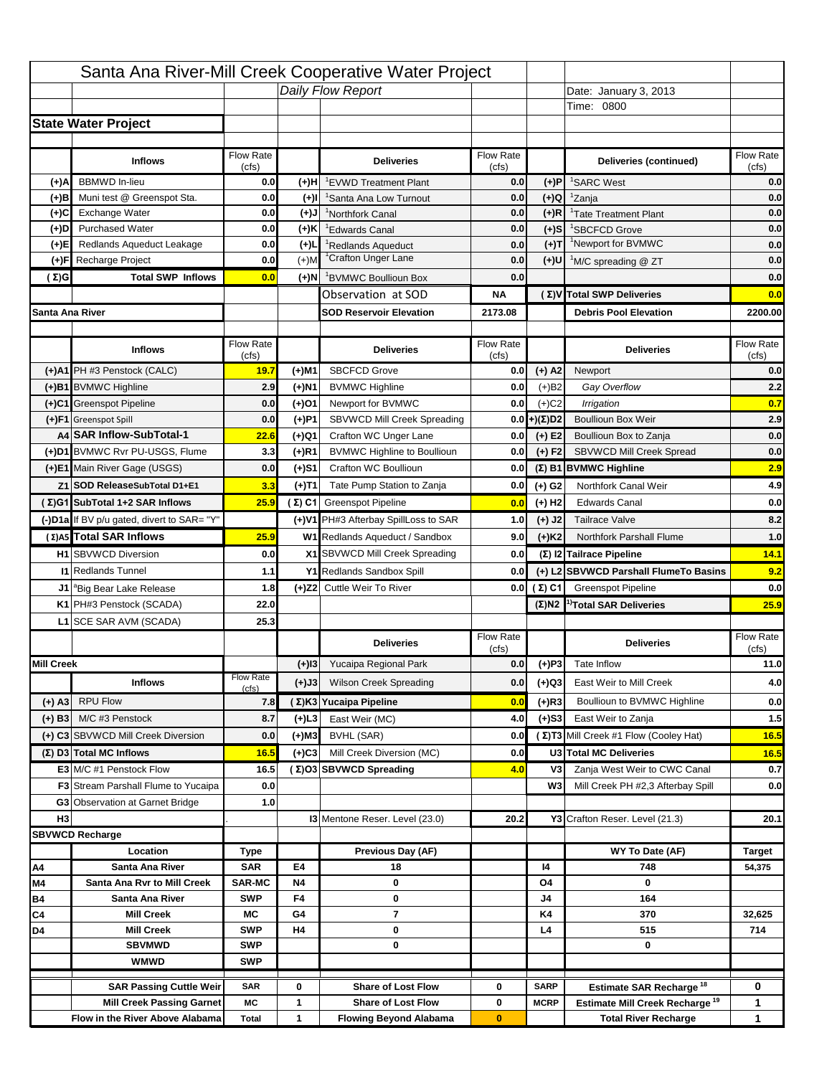|                   |                                            |                           |           | Santa Ana River-Mill Creek Cooperative Water Project |                  |                      |                                                  |                                                         |
|-------------------|--------------------------------------------|---------------------------|-----------|------------------------------------------------------|------------------|----------------------|--------------------------------------------------|---------------------------------------------------------|
|                   |                                            |                           |           | Daily Flow Report                                    |                  |                      | Date: January 3, 2013                            |                                                         |
|                   |                                            |                           |           |                                                      |                  |                      | Time: 0800                                       |                                                         |
|                   | <b>State Water Project</b>                 |                           |           |                                                      |                  |                      |                                                  |                                                         |
|                   |                                            |                           |           |                                                      |                  |                      |                                                  |                                                         |
|                   | <b>Inflows</b>                             | Flow Rate                 |           | <b>Deliveries</b>                                    | <b>Flow Rate</b> |                      | Deliveries (continued)                           | Flow Rate                                               |
| (+)A              | <b>BBMWD</b> In-lieu                       | (cfs)<br>0.0              | (+)H      | 'EVWD Treatment Plant                                | (cfs)<br>0.0     | (+)P                 | <sup>1</sup> SARC West                           | (cfs)<br>0.0                                            |
| (+)B              | Muni test @ Greenspot Sta.                 | 0.0                       | $(+)$ l   | 'Santa Ana Low Turnout                               | 0.0              | $(+)Q$               | <sup>1</sup> Zanja                               | 0.0                                                     |
| (+)C              | Exchange Water                             | 0.0                       | $(+)$ J   | <sup>1</sup> Northfork Canal                         | 0.0              | $(+)R$               | <sup>1</sup> Tate Treatment Plant                | 0.0                                                     |
| (+)D              | <b>Purchased Water</b>                     | 0.0                       | (+)K      | <sup>1</sup> Edwards Canal                           | 0.0              | $(+)$ S              | <sup>1</sup> SBCFCD Grove                        | 0.0                                                     |
| (+)E              | Redlands Aqueduct Leakage                  | 0.0                       | $(+)1$    | <sup>1</sup> Redlands Aqueduct                       | 0.0              | $(+)T$               | <sup>1</sup> Newport for BVMWC                   | 0.0                                                     |
| (+)F              | Recharge Project                           | 0.0                       | $(+)$ M   | <sup>1</sup> Crafton Unger Lane                      | 0.0              | (+)U                 | <sup>1</sup> M/C spreading @ ZT                  | 0.0                                                     |
| (Σ)G              | <b>Total SWP Inflows</b>                   | 0.0                       | (+)N      | <sup>1</sup> BVMWC Boullioun Box                     | 0.0              |                      |                                                  | 0.0                                                     |
|                   |                                            |                           |           | Observation at SOD                                   | ΝA               |                      | (Σ) V Total SWP Deliveries                       | 0.0                                                     |
| Santa Ana River   |                                            |                           |           | <b>SOD Reservoir Elevation</b>                       | 2173.08          |                      | <b>Debris Pool Elevation</b>                     | 2200.00                                                 |
|                   |                                            |                           |           |                                                      |                  |                      |                                                  |                                                         |
|                   | <b>Inflows</b>                             | Flow Rate                 |           | <b>Deliveries</b>                                    | Flow Rate        |                      | <b>Deliveries</b>                                | Flow Rate                                               |
|                   |                                            | (cfs)                     |           |                                                      | (cfs)            |                      |                                                  | (cfs)                                                   |
|                   | (+)A1 PH #3 Penstock (CALC)                | 19.7                      | (+)M1     | <b>SBCFCD Grove</b>                                  | 0.0              | $(+)$ A2             | Newport                                          | 0.0                                                     |
|                   | (+)B1 BVMWC Highline                       | 2.9                       | (+)N1     | <b>BVMWC Highline</b>                                | 0.0              | $(+)B2$              | Gay Overflow                                     | 2.2                                                     |
|                   | (+)C1 Greenspot Pipeline                   | 0.0                       | (+)01     | Newport for BVMWC                                    | 0.0              | $(+)$ C <sub>2</sub> | Irrigation                                       | 0.7                                                     |
|                   | (+)F1 Greenspot Spill                      | 0.0                       | (+)P1     | SBVWCD Mill Creek Spreading                          | 0.0              | (+)(Σ)D2             | <b>Boullioun Box Weir</b>                        | 2.9                                                     |
|                   | A4 SAR Inflow-SubTotal-1                   | 22.6                      | (+)Q1     | Crafton WC Unger Lane                                | 0.0              | $(+) E2$             | Boullioun Box to Zanja                           | 0.0                                                     |
|                   | (+)D1 BVMWC Rvr PU-USGS, Flume             | 3.3                       | $(+)$ R1  | <b>BVMWC Highline to Boullioun</b>                   | 0.0              | $(+) F2$             | SBVWCD Mill Creek Spread                         | 0.0                                                     |
|                   | (+)E1 Main River Gage (USGS)               | 0.0                       | (+)S1     | Crafton WC Boullioun                                 | 0.0              |                      | $(\Sigma)$ B1 BVMWC Highline                     | 2.9                                                     |
|                   | Z1 SOD ReleaseSubTotal D1+E1               | 3.3                       | (+)T1     | Tate Pump Station to Zanja                           | 0.0              | (+) G2               | Northfork Canal Weir                             | 4.9                                                     |
|                   | (Σ)G1 SubTotal 1+2 SAR Inflows             | 25.9                      |           | (Σ) C1 Greenspot Pipeline                            | 0.0              | $(+)$ H <sub>2</sub> | <b>Edwards Canal</b>                             | 0.0                                                     |
|                   | (-)D1a If BV p/u gated, divert to SAR= "Y" |                           |           | (+)V1 PH#3 Afterbay SpillLoss to SAR                 | 1.0              | $(+)$ J2             | <b>Tailrace Valve</b>                            | 8.2                                                     |
|                   | (Σ)A5 Total SAR Inflows                    | 25.9                      |           | W1 Redlands Aqueduct / Sandbox                       | 9.0              | $(+)$ K <sub>2</sub> | <b>Northfork Parshall Flume</b>                  | 1.0                                                     |
|                   | <b>H1</b> SBVWCD Diversion                 |                           |           |                                                      |                  |                      |                                                  |                                                         |
|                   |                                            | 0.0                       |           | X1 SBVWCD Mill Creek Spreading                       | 0.0              |                      | (Σ) I2 Tailrace Pipeline                         |                                                         |
|                   | <b>11 Redlands Tunnel</b>                  | 1.1                       |           | Y1 Redlands Sandbox Spill                            | 0.0              |                      | (+) L2 SBVWCD Parshall FlumeTo Basins            |                                                         |
|                   | J1 <sup>a</sup> Big Bear Lake Release      | 1.8                       |           | (+)Z2 Cuttle Weir To River                           |                  | 0.0 $(\Sigma)$ C1    | <b>Greenspot Pipeline</b>                        |                                                         |
|                   | K1 PH#3 Penstock (SCADA)                   | 22.0                      |           |                                                      |                  |                      | $(\Sigma)$ N2 <sup>1)</sup> Total SAR Deliveries |                                                         |
|                   | L1 SCE SAR AVM (SCADA)                     | 25.3                      |           |                                                      |                  |                      |                                                  |                                                         |
|                   |                                            |                           |           | <b>Deliveries</b>                                    | <b>Flow Rate</b> |                      | <b>Deliveries</b>                                | Flow Rate                                               |
|                   |                                            |                           |           |                                                      | (cfs)            |                      |                                                  | (cts)                                                   |
| <b>Mill Creek</b> |                                            |                           | $(+)$ 13  | Yucaipa Regional Park                                | 0.0              | $(+)P3$              | Tate Inflow                                      |                                                         |
|                   | <b>Inflows</b>                             | <b>Flow Rate</b><br>(cfs) | (+)J3     | <b>Wilson Creek Spreading</b>                        | 0.0              | (+)Q3                | East Weir to Mill Creek                          |                                                         |
| (+) A3            | <b>RPU Flow</b>                            | 7.8                       |           | (Σ)K3 Yucaipa Pipeline                               | 0.0              | $(+)$ R3             | Boullioun to BVMWC Highline                      |                                                         |
| $(+)$ B3          | M/C #3 Penstock                            | 8.7                       | (+)L3     | East Weir (MC)                                       | 4.0              | $(+)$ S3             | East Weir to Zanja                               | 14.1<br>9.2<br>0.0<br>25.9<br>11.0<br>4.0<br>0.0<br>1.5 |
|                   | (+) C3 SBVWCD Mill Creek Diversion         | 0.0                       | (+)M3     | BVHL (SAR)                                           | 0.0              |                      | (Σ) T3 Mill Creek #1 Flow (Cooley Hat)           | 16.5                                                    |
|                   | (Σ) D3 Total MC Inflows                    | 16.5                      | $(+)C3$   | Mill Creek Diversion (MC)                            | 0.0              |                      | U3 Total MC Deliveries                           | 16.5                                                    |
|                   | E3 M/C #1 Penstock Flow                    | 16.5                      |           | (Σ)O3 SBVWCD Spreading                               | 4.0              | V3                   | Zanja West Weir to CWC Canal                     | 0.7                                                     |
|                   | <b>F3</b> Stream Parshall Flume to Yucaipa | 0.0                       |           |                                                      |                  | W <sub>3</sub>       | Mill Creek PH #2,3 Afterbay Spill                |                                                         |
|                   | G3 Observation at Garnet Bridge            | 1.0                       |           |                                                      |                  |                      |                                                  |                                                         |
| H <sub>3</sub>    |                                            |                           |           | 13 Mentone Reser. Level (23.0)                       | 20.2             |                      | Y3 Crafton Reser. Level (21.3)                   | 0.0<br>20.1                                             |
|                   | <b>SBVWCD Recharge</b>                     |                           |           |                                                      |                  |                      |                                                  |                                                         |
|                   | Location                                   | Type                      |           | Previous Day (AF)                                    |                  |                      | WY To Date (AF)                                  | Target                                                  |
| Α4                | Santa Ana River                            | <b>SAR</b>                | E4        | 18                                                   |                  | 14                   | 748                                              | 54,375                                                  |
| M4                | Santa Ana Rvr to Mill Creek                | <b>SAR-MC</b>             | <b>N4</b> | 0                                                    |                  | O4                   | 0                                                |                                                         |
| Β4                | Santa Ana River                            | <b>SWP</b>                | F4        | 0                                                    |                  | J4                   | 164                                              |                                                         |
| C4                | <b>Mill Creek</b>                          | МC                        | G4        | 7                                                    |                  | K4                   | 370                                              | 32,625                                                  |
| D4                | <b>Mill Creek</b>                          | <b>SWP</b>                | H4        | 0                                                    |                  | L4                   | 515                                              | 714                                                     |
|                   | <b>SBVMWD</b>                              | <b>SWP</b>                |           | 0                                                    |                  |                      | 0                                                |                                                         |
|                   | <b>WMWD</b>                                | <b>SWP</b>                |           |                                                      |                  |                      |                                                  |                                                         |
|                   | <b>SAR Passing Cuttle Weir</b>             | <b>SAR</b>                | 0         | <b>Share of Lost Flow</b>                            | 0                | <b>SARP</b>          | Estimate SAR Recharge <sup>18</sup>              | 0                                                       |
|                   | <b>Mill Creek Passing Garnet</b>           | МC                        | 1         | <b>Share of Lost Flow</b>                            | 0                | <b>MCRP</b>          | Estimate Mill Creek Recharge <sup>19</sup>       | 1                                                       |